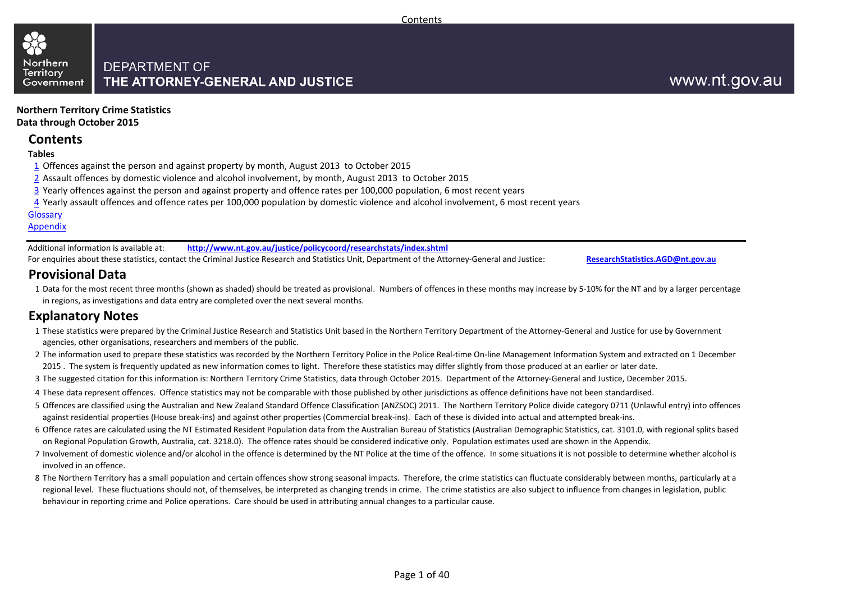

**Northern Territory Crime Statistics Data through October 2015**

### **Contents**

#### **Tables**

- 1 Offences against the person and against property by month, August 2013 to October 2015
- 2 Assault offences by domestic violence and alcohol involvement, by month, August 2013 to October 2015
- 3 Yearly offences against the person and against property and offence rates per 100,000 population, 6 most recent years
- 4 Yearly assault offences and offence rates per 100,000 population by domestic violence and alcohol involvement, 6 most recent years

#### **Glossary**

#### Appendix

Additional information is available at: **<http://www.nt.gov.au/justice/policycoord/researchstats/index.shtml>** For enquiries about these statistics, contact the Criminal Justice Research and Statistics Unit, Department of the Attorney-General and Justice: **[ResearchStatistics.AGD@nt.gov.au](mailto:ResearchStatistics.DOJ@nt.gov.au)**

### **Provisional Data**

1 Data for the most recent three months (shown as shaded) should be treated as provisional. Numbers of offences in these months may increase by 5-10% for the NT and by a larger percentage in regions, as investigations and data entry are completed over the next several months.

### **Explanatory Notes**

- 1 These statistics were prepared by the Criminal Justice Research and Statistics Unit based in the Northern Territory Department of the Attorney-General and Justice for use by Government agencies, other organisations, researchers and members of the public.
- 2 The information used to prepare these statistics was recorded by the Northern Territory Police in the Police Real-time On-line Management Information System and extracted on 1 December 2015. The system is frequently updated as new information comes to light. Therefore these statistics may differ slightly from those produced at an earlier or later date.
- 3 The suggested citation for this information is: Northern Territory Crime Statistics, data through October 2015. Department of the Attorney-General and Justice, December 2015.
- 4 These data represent offences. Offence statistics may not be comparable with those published by other jurisdictions as offence definitions have not been standardised.
- 5 Offences are classified using the Australian and New Zealand Standard Offence Classification (ANZSOC) 2011. The Northern Territory Police divide category 0711 (Unlawful entry) into offences against residential properties (House break-ins) and against other properties (Commercial break-ins). Each of these is divided into actual and attempted break-ins.
- 6 Offence rates are calculated using the NT Estimated Resident Population data from the Australian Bureau of Statistics (Australian Demographic Statistics, cat. 3101.0, with regional splits based on Regional Population Growth, Australia, cat. 3218.0). The offence rates should be considered indicative only. Population estimates used are shown in the Appendix.
- 7 Involvement of domestic violence and/or alcohol in the offence is determined by the NT Police at the time of the offence. In some situations it is not possible to determine whether alcohol is involved in an offence.
- 8 The Northern Territory has a small population and certain offences show strong seasonal impacts. Therefore, the crime statistics can fluctuate considerably between months, particularly at a regional level. These fluctuations should not, of themselves, be interpreted as changing trends in crime. The crime statistics are also subject to influence from changes in legislation, public behaviour in reporting crime and Police operations. Care should be used in attributing annual changes to a particular cause.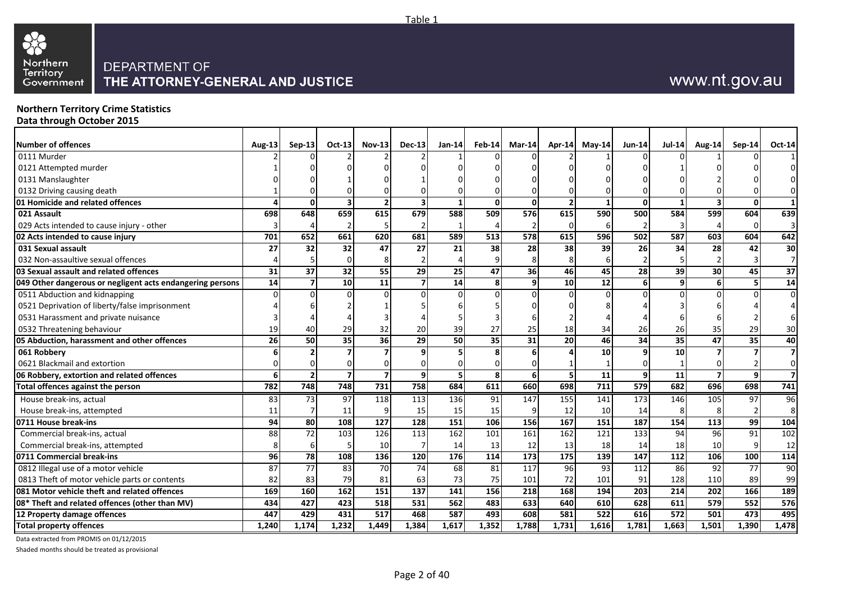

### **Northern Territory Crime Statistics**

**Data through October 2015**

| <b>Number of offences</b>                                 | Aug-13                 | $Sep-13$        | Oct-13         | <b>Nov-13</b>  | $Dec-13$                | $Jan-14$                | $Feb-14$ | Mar-14          | $Apr-14$          | $May-14$        | Jun-14           | <b>Jul-14</b> | <b>Aug-14</b>   | $Sen-14$ | Oct-14                  |
|-----------------------------------------------------------|------------------------|-----------------|----------------|----------------|-------------------------|-------------------------|----------|-----------------|-------------------|-----------------|------------------|---------------|-----------------|----------|-------------------------|
| 0111 Murder                                               |                        |                 |                |                |                         |                         |          |                 |                   |                 |                  |               |                 |          |                         |
| 0121 Attempted murder                                     |                        |                 |                |                |                         |                         |          |                 |                   |                 |                  |               |                 |          |                         |
| 0131 Manslaughter                                         |                        |                 |                |                |                         |                         |          |                 |                   |                 |                  |               |                 |          |                         |
| 0132 Driving causing death                                |                        |                 |                |                |                         |                         |          |                 |                   |                 |                  |               |                 |          | $\Omega$                |
| 01 Homicide and related offences                          | $\boldsymbol{\Lambda}$ | $\overline{0}$  | 3              | $\overline{2}$ | $\overline{\mathbf{3}}$ | $\mathbf{1}$            | $\Omega$ | $\mathbf{0}$    |                   | $\mathbf{1}$    | $\Omega$         | -1            |                 | ŋ        | $\mathbf{1}$            |
| 021 Assault                                               | 698                    | 648             | 659            | 615            | 679                     | 588                     | 509      | 576             | 615               | 590             | 500              | 584           | 599             | 604      | 639                     |
| 029 Acts intended to cause injury - other                 |                        |                 |                |                |                         |                         |          |                 | $\Omega$          | 6               | $\mathcal{P}$    |               |                 |          | $\overline{3}$          |
| 02 Acts intended to cause injury                          | 701                    | 652             | 661            | 620            | 681                     | 589                     | 513      | 578             | 615               | 596             | 502              | 587           | 603             | 604      | 642                     |
| 031 Sexual assault                                        | 27                     | 32              | 32             | 47             | 27                      | 21                      | 38       | 28              | 38                | 39              | 26               | 34            | 28              | 42       | 30                      |
| 032 Non-assaultive sexual offences                        |                        |                 |                |                |                         |                         | 9        |                 | 8                 |                 |                  |               |                 |          | $\overline{7}$          |
| 03 Sexual assault and related offences                    | 31                     | 37              | 32             | 55             | 29                      | $\overline{25}$         | 47       | $\overline{36}$ | 46                | 45              | 28               | 39            | 30 <sup>1</sup> | 45       | 37                      |
| 049 Other dangerous or negligent acts endangering persons | $\overline{14}$        | $\overline{7}$  | 10             | 11             | 7                       | 14                      | 8l       | 9               | 10                | $\overline{12}$ | $6 \overline{6}$ | 9             | 61              |          | $\overline{14}$         |
| 0511 Abduction and kidnapping                             | $\Omega$               | $\Omega$        |                |                |                         | $\mathbf 0$             | $\Omega$ | $\Omega$        | $\Omega$          | $\Omega$        | $\Omega$         | $\Omega$      | $\Omega$        |          | $\mathbf{0}$            |
| 0521 Deprivation of liberty/false imprisonment            |                        |                 |                |                |                         |                         |          |                 |                   |                 |                  |               |                 |          | $\overline{4}$          |
| 0531 Harassment and private nuisance                      |                        |                 |                |                |                         |                         |          |                 |                   |                 |                  |               |                 |          | 6                       |
| 0532 Threatening behaviour                                | 19                     | 40              | 29             | 32             | 20                      | 39                      | 27       | 25              | 18                | 34              | 26               | 26            | 35              | 29       | 30                      |
| 05 Abduction, harassment and other offences               | $\overline{26}$        | 50              | 35             | 36             | 29                      | 50                      | 35       | 31              | 20                | 46              | 34               | 35            | 47              | 35       | 40                      |
| 061 Robbery                                               |                        | $\overline{2}$  |                |                |                         | 5                       |          |                 |                   | 10              | q                | 10            |                 |          | $\overline{\mathbf{z}}$ |
| 0621 Blackmail and extortion                              |                        | $\Omega$        |                |                | 0                       | 0                       |          |                 |                   |                 |                  |               |                 |          | $\Omega$                |
| 06 Robbery, extortion and related offences                | 6                      | $\overline{2}$  | $\overline{7}$ | $\overline{7}$ | 9                       | $\overline{\mathbf{5}}$ | 8        | 6               | 5                 | $\overline{11}$ | 9                | 11            |                 | q        | $\overline{\mathbf{1}}$ |
| Total offences against the person                         | 782                    | 748             | 748            | 731            | 758                     | 684                     | 611      | 660             | 698               | 711             | 579              | 682           | 696             | 698      | 741                     |
| House break-ins, actual                                   | 83                     | 73              | 97             | 118            | 113                     | 136                     | 91       | 147             | 155               | 141             | 173              | 146           | 105             | 97       | 96                      |
| House break-ins, attempted                                | 11                     | $\overline{7}$  | 11             | ٩              | 15                      | 15                      | 15       | 9               | 12                | 10              | 14               |               |                 |          | 8                       |
| 0711 House break-ins                                      | 94                     | 80              | 108            | 127            | 128                     | 151                     | 106      | 156             | 167               | 151             | 187              | 154           | 113             | 99       | 104                     |
| Commercial break-ins, actual                              | 88                     | $\overline{72}$ | 103            | 126            | 113                     | 162                     | 101      | 161             | 162               | 121             | 133              | 94            | 96              | 91       | 102                     |
| Commercial break-ins, attempted                           |                        | 6               |                | 10             |                         | 14                      | 13       | 12              | 13                | 18              | 14               | 18            | 10              |          | 12                      |
| 0711 Commercial break-ins                                 | 96                     | 78              | 108            | 136            | 120                     | 176                     | 114      | 173             | $\frac{175}{175}$ | 139             | 147              | 112           | 106             | 100      | 114                     |
| 0812 Illegal use of a motor vehicle                       | 87                     | 77              | 83             | 70             | 74                      | 68                      | 81       | 117             | 96                | 93              | 112              | 86            | 92              | 77       | 90                      |
| 0813 Theft of motor vehicle parts or contents             | 82                     | 83              | 79             | 81             | 63                      | 73                      | 75       | 101             | 72                | 101             | 91               | 128           | 110             | 89       | 99                      |
| 081 Motor vehicle theft and related offences              | 169                    | 160             | 162            | 151            | 137                     | 141                     | 156      | 218             | 168               | 194             | 203              | 214           | 202             | 166      | 189                     |
| 08* Theft and related offences (other than MV)            | 434                    | 427             | 423            | 518            | 531                     | 562                     | 483      | 633             | 640               | 610             | 628              | 611           | <b>579</b>      | 552      | 576                     |
| 12 Property damage offences                               | 447                    | 429             | 431            | 517            | 468                     | 587                     | 493      | 608             | 581               | 522             | 616              | 572           | 501             | 473      | 495                     |
| <b>Total property offences</b>                            | 1,240                  | 1,174           | 1,232          | 1,449          | 1,384                   | 1,617                   | 1,352    | 1,788           | 1,731             | 1,616           | 1,781            | 1,663         | 1,501           | 1,390    | 1,478                   |

Table 1

Data extracted from PROMIS on 01/12/2015

Shaded months should be treated as provisional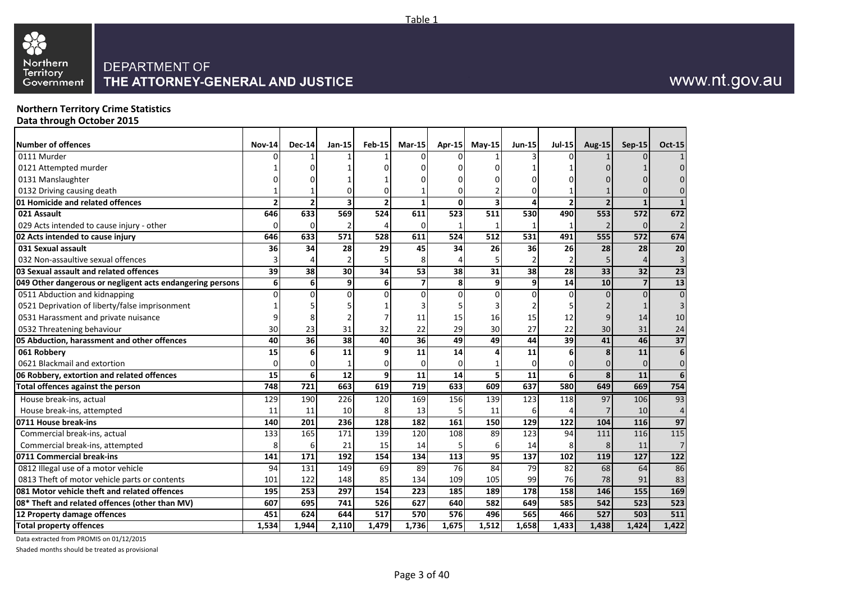

### **Northern Territory Crime Statistics**

**Data through October 2015**

| <b>Number of offences</b>                                 | <b>Nov-14</b>  | <b>Dec-14</b>  | $Jan-15$     | <b>Feb-15</b>  | $Mar-15$       |              | Apr-15 May-15 | <b>Jun-15</b> | <b>Jul-15</b>  | <b>Aug-15</b>           | Sep-15         | <b>Oct-15</b>    |
|-----------------------------------------------------------|----------------|----------------|--------------|----------------|----------------|--------------|---------------|---------------|----------------|-------------------------|----------------|------------------|
| 0111 Murder                                               |                |                |              |                |                |              |               |               |                |                         |                |                  |
| 0121 Attempted murder                                     |                |                |              |                |                |              |               |               |                |                         |                |                  |
| 0131 Manslaughter                                         |                |                |              |                |                |              |               |               |                |                         |                |                  |
| 0132 Driving causing death                                |                |                |              |                |                | n            |               |               |                |                         |                |                  |
| 01 Homicide and related offences                          | $\overline{2}$ | $\overline{2}$ |              | $\overline{2}$ | $\mathbf{1}$   | $\mathbf{0}$ | 3             | Δ             |                | $\overline{\mathbf{z}}$ | $\mathbf{1}$   |                  |
| 021 Assault                                               | 646            | 633            | 569          | 524            | 611            | 523          | 511           | 530           | 490            | 553                     | 572            | 672              |
| 029 Acts intended to cause injury - other                 | 0              | $\Omega$       |              |                | $\Omega$       | $\mathbf{1}$ |               |               |                |                         | $\Omega$       | $\overline{2}$   |
| 02 Acts intended to cause injury                          | 646            | 633            | 571          | 528            | 611            | 524          | 512           | 531           | 491            | 555                     | 572            | 674              |
| 031 Sexual assault                                        | 36             | 34             | 28           | 29             | 45             | 34           | 26            | 36            | 26             | 28                      | 28             | 20               |
| 032 Non-assaultive sexual offences                        | 3              |                |              |                | 8              |              |               |               |                |                         |                | $\overline{3}$   |
| 03 Sexual assault and related offences                    | 39             | 38             | 30           | 34             | 53             | 38           | 31            | 38            | 28             | 33                      | 32             | $\overline{23}$  |
| 049 Other dangerous or negligent acts endangering persons | 6              | 6              | $\mathbf{9}$ | 6 <sup>1</sup> | $\overline{ }$ | 8            | 9             | 9             | 14             | 10                      | $\overline{7}$ | $\overline{13}$  |
| 0511 Abduction and kidnapping                             | $\Omega$       | $\Omega$       |              | $\Omega$       | $\Omega$       | $\Omega$     | $\Omega$      |               |                |                         | $\Omega$       | $\Omega$         |
| 0521 Deprivation of liberty/false imprisonment            |                |                |              |                |                |              |               |               |                |                         |                | 3                |
| 0531 Harassment and private nuisance                      | ٩              |                |              |                | 11             | 15           | 16            | 15            | 12             |                         | 14             | 10               |
| 0532 Threatening behaviour                                | 30             | 23             | 31           | 32             | 22             | 29           | 30            | 27            | 22             | 30                      | 31             | 24               |
| 05 Abduction, harassment and other offences               | 40             | 36             | 38           | 40             | 36             | 49           | 49            | 44            | 39             | 41                      | 46             | $\overline{37}$  |
| 061 Robbery                                               | 15             | 6              | 11           | 9              | 11             | 14           |               | 11            | 6              | 8                       | 11             | 6                |
| 0621 Blackmail and extortion                              | 0              | $\Omega$       |              |                | $\Omega$       | $\Omega$     |               |               |                |                         | $\Omega$       | $\mathbf{0}$     |
| 06 Robbery, extortion and related offences                | 15             | 6              | 12           | 9 <sub>l</sub> | 11             | 14           | 5             | 11            | 6 <sup>1</sup> | 8                       | 11             | 6                |
| Total offences against the person                         | 748            | 721            | 663          | 619            | 719            | 633          | 609           | 637           | 580            | 649                     | 669            | 754              |
| House break-ins, actual                                   | 129            | 190            | 226          | 120            | 169            | 156          | 139           | 123           | 118            | 97                      | 106            | 93               |
| House break-ins, attempted                                | 11             | 11             | 10           | 8              | 13             | 5            | 11            | 6             |                |                         | 10             | $\overline{4}$   |
| 0711 House break-ins                                      | 140            | 201            | 236          | 128            | 182            | 161          | 150           | 129           | 122            | 104                     | 116            | 97               |
| Commercial break-ins, actual                              | 133            | 165            | 171          | 139            | 120            | 108          | 89            | 123           | 94             | 111                     | 116            | 115              |
| Commercial break-ins, attempted                           | 8              | 6              | 21           | 15             | 14             | 5            | 6             | 14            |                | 8                       | 11             | 7                |
| 0711 Commercial break-ins                                 | 141            | 171            | 192          | 154            | 134            | 113          | 95            | 137           | 102            | 119                     | 127            | $\overline{122}$ |
| 0812 Illegal use of a motor vehicle                       | 94             | 131            | 149          | 69             | 89             | 76           | 84            | 79            | 82             | 68                      | 64             | 86               |
| 0813 Theft of motor vehicle parts or contents             | 101            | 122            | 148          | 85             | 134            | 109          | 105           | 99            | 76             | 78                      | 91             | 83               |
| 081 Motor vehicle theft and related offences              | 195            | 253            | 297          | 154            | 223            | 185          | 189           | 178           | 158            | 146                     | 155            | 169              |
| 08* Theft and related offences (other than MV)            | 607            | 695            | 741          | <b>526</b>     | 627            | 640          | 582           | 649           | 585            | 542                     | 523            | 523              |
| 12 Property damage offences                               | 451            | 624            | 644          | 517            | 570            | 576          | 496           | 565           | 466            | 527                     | 503            | 511              |
| <b>Total property offences</b>                            | 1,534          | 1,944          | 2,110        | 1,479          | 1,736          | 1,675        | 1,512         | 1,658         | 1,433          | 1,438                   | 1,424          | 1,422            |

Data extracted from PROMIS on 01/12/2015

Shaded months should be treated as provisional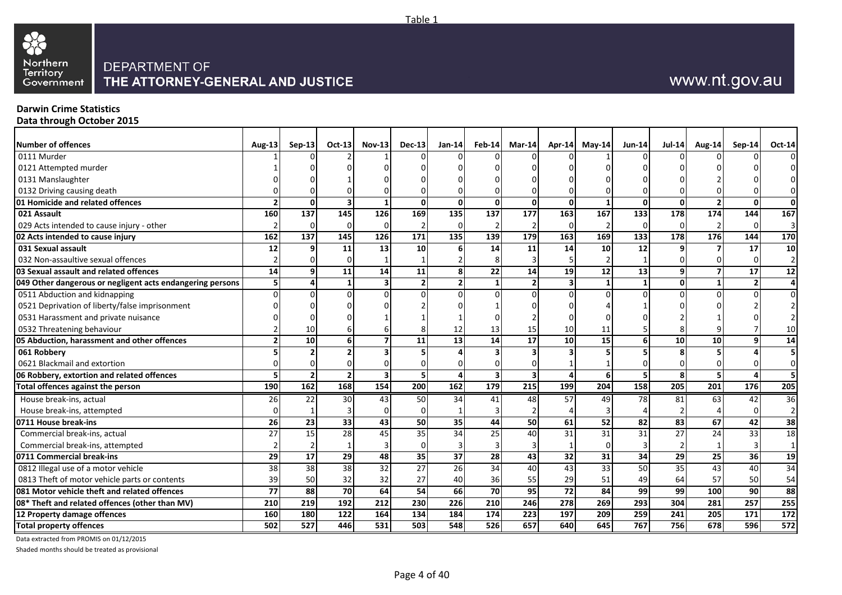

### **Darwin Crime Statistics**

**Data through October 2015**

| Number of offences                                        | Aug-13         | $Sep-13$       | Oct-13          | $Nov-13$                | $Dec-13$                | $Jan-14$         |                         | Feb-14 Mar-14           | $Apr-14$                | May-14            | $Jun-14$         | <b>Jul-14</b>    | <b>Aug-14</b> | $Sep-14$                 | <b>Oct-14</b>            |
|-----------------------------------------------------------|----------------|----------------|-----------------|-------------------------|-------------------------|------------------|-------------------------|-------------------------|-------------------------|-------------------|------------------|------------------|---------------|--------------------------|--------------------------|
| 0111 Murder                                               |                |                |                 |                         |                         |                  |                         |                         |                         |                   |                  |                  |               |                          | $\overline{0}$           |
| 0121 Attempted murder                                     |                |                |                 |                         |                         |                  |                         |                         |                         |                   |                  |                  |               |                          |                          |
| 0131 Manslaughter                                         |                |                |                 |                         |                         |                  |                         |                         |                         |                   |                  |                  |               |                          | $\overline{0}$           |
| 0132 Driving causing death                                |                |                |                 |                         |                         |                  |                         |                         |                         |                   |                  |                  |               |                          | $\overline{0}$           |
| 01 Homicide and related offences                          | $\overline{2}$ | $\Omega$       | 3               | $\mathbf 1$             | $\Omega$                | $\mathbf{0}$     | $\Omega$                | $\mathbf{0}$            | $\Omega$                | $\mathbf{1}$      | $\mathbf{0}$     | $\mathbf{0}$     |               | $\Omega$                 | 0                        |
| 021 Assault                                               | 160            | 137            | 145             | 126                     | 169                     | 135              | 137                     | 177                     | 163                     | $\frac{167}{167}$ | 133              | 178              | 174           | 144                      | 167                      |
| 029 Acts intended to cause injury - other                 |                | $\Omega$       | U               | U                       |                         | $\Omega$         | $\overline{2}$          |                         | $\Omega$                | $\overline{2}$    | $\Omega$         | $\Omega$         |               | $\Omega$                 | $\overline{3}$           |
| 02 Acts intended to cause injury                          | 162            | 137            | 145             | 126                     | 171                     | 135              | 139                     | 179                     | 163                     | 169               | 133              | 178              | 176           | 144                      | 170                      |
| 031 Sexual assault                                        | 12             | q              | 11              | 13                      | 10 <sup>1</sup>         | 6                | 14                      | 11                      | 14                      | 10                | 12               |                  |               | 17                       | 10                       |
| 032 Non-assaultive sexual offences                        |                |                |                 |                         |                         |                  |                         |                         |                         |                   |                  |                  |               |                          | 2 <sub>1</sub>           |
| 03 Sexual assault and related offences                    | 14             | 9              | 11              | 14                      | 11                      | 8                | 22                      | 14                      | 19                      | 12                | 13               | 9                |               | 17                       | 12                       |
| 049 Other dangerous or negligent acts endangering persons | 51             | $\overline{4}$ | 1               | 3                       | $\overline{2}$          | 2 <sup>1</sup>   | 1                       | $\overline{2}$          | $\overline{\mathbf{3}}$ | $\mathbf{1}$      | $\mathbf{1}$     | $\mathbf{0}$     |               | $\overline{\phantom{a}}$ | $\overline{4}$           |
| 0511 Abduction and kidnapping                             |                |                |                 |                         |                         | $\Omega$         |                         |                         |                         | $\Omega$          | $\Omega$         |                  |               |                          | $\overline{0}$           |
| 0521 Deprivation of liberty/false imprisonment            |                |                |                 |                         |                         |                  |                         |                         |                         |                   |                  |                  |               |                          |                          |
| 0531 Harassment and private nuisance                      |                |                |                 |                         |                         |                  |                         |                         |                         |                   |                  |                  |               |                          | $\overline{\phantom{a}}$ |
| 0532 Threatening behaviour                                |                | 10             |                 |                         |                         | 12               | 13                      | 15                      | 10                      | 11                |                  |                  |               |                          | 10                       |
| 05 Abduction, harassment and other offences               |                | 10             | 6               | 7                       | 11                      | 13               | 14                      | 17                      | 10                      | 15                | 6                | 10               | 10            | Q                        | 14                       |
| 061 Robbery                                               |                |                |                 |                         |                         |                  |                         |                         |                         |                   |                  |                  |               |                          |                          |
| 0621 Blackmail and extortion                              |                |                |                 |                         | 0                       | 0                |                         |                         |                         |                   |                  |                  |               |                          | $\overline{0}$           |
| 06 Robbery, extortion and related offences                | 51             | $\overline{2}$ | $\overline{2}$  | $\overline{\mathbf{3}}$ | $\overline{\mathbf{5}}$ | 4                | $\overline{\mathbf{3}}$ | $\overline{\mathbf{3}}$ | $\Delta$                | 6                 | 5                | 8                | 5             | Δ                        | 5 <sub>1</sub>           |
| Total offences against the person                         | 190            | <b>162</b>     | 168             | 154                     | 200                     | 162              | 179                     | $\overline{215}$        | 199                     | 204               | 158              | $\overline{205}$ | 201           | 176                      | 205                      |
| House break-ins, actual                                   | 26             | 22             | 30              | 43                      | 50                      | 34               | 41                      | 48                      | 57                      | 49                | 78               | 81               | 63            | 42                       | 36                       |
| House break-ins, attempted                                | U              |                |                 |                         | $\Omega$                |                  | 3                       |                         |                         | $\mathbf{3}$      |                  |                  |               | ∩                        | 2 <sub>l</sub>           |
| 0711 House break-ins                                      | 26             | 23             | 33              | 43                      | 50                      | 35               | 44                      | 50                      | 61                      | 52                | 82               | 83               | 67            | 42                       | 38                       |
| Commercial break-ins, actual                              | 27             | 15             | 28              | 45                      | 35                      | $\overline{34}$  | $\overline{25}$         | 40                      | 31                      | 31                | 31               | 27               | 24            | 33                       | 18                       |
| Commercial break-ins, attempted                           |                |                |                 |                         | $\Omega$                | 3                |                         |                         |                         | $\Omega$          |                  |                  |               |                          | $\mathbf{1}$             |
| 0711 Commercial break-ins                                 | 29             | 17             | $\overline{29}$ | 48                      | 35                      | 37               | $\overline{28}$         | $\overline{43}$         | 32                      | 31                | 34               | 29               | 25            | 36                       | 19                       |
| 0812 Illegal use of a motor vehicle                       | 38             | 38             | 38              | 32                      | 27                      | 26               | 34                      | 40                      | 43                      | 33                | 50               | 35               | 43            | 40                       | 34                       |
| 0813 Theft of motor vehicle parts or contents             | 39             | 50             | 32              | 32                      | 27                      | 40               | 36                      | 55                      | 29                      | 51                | 49               | 64               | 57            | 50                       | 54                       |
| 081 Motor vehicle theft and related offences              | 77             | 88             | 70              | 64                      | 54                      | 66               | 70                      | 95                      | 72                      | 84                | 99               | 99               | 100           | 90                       | 88                       |
| 08* Theft and related offences (other than MV)            | 210            | 219            | 192             | 212                     | 230                     | $\overline{226}$ | $\overline{210}$        | 246                     | $\overline{278}$        | 269               | $\overline{293}$ | 304              | 281           | $\overline{257}$         | 255                      |
| 12 Property damage offences                               | 160            | 180            | 122             | 164                     | 134                     | 184              | $\frac{174}{x}$         | 223                     | 197                     | 209               | 259              | 241              | 205           | 171                      | 172                      |
| <b>Total property offences</b>                            | 502            | 527            | 446             | $\overline{531}$        | 503                     | 548              | 526                     | 657                     | 640                     | 645               | 767              | 756              | 678           | 596                      | 572                      |

Table 1

Data extracted from PROMIS on 01/12/2015

Shaded months should be treated as provisional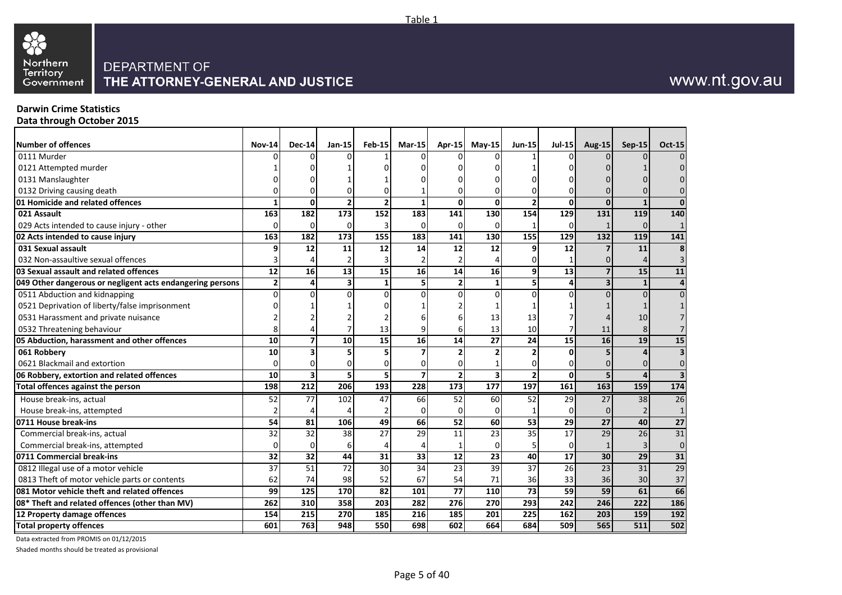

### **Darwin Crime Statistics**

**Data through October 2015**

| Number of offences                                        | <b>Nov-14</b>  | $Dec-14$        | Jan-15          | $Feb-15$        | $Mar-15$       |                 | Apr-15 May-15           | <b>Jun-15</b>            | $Jul-15$        | <b>Aug-15</b>           | <b>Sep-15</b> | <b>Oct-15</b>   |
|-----------------------------------------------------------|----------------|-----------------|-----------------|-----------------|----------------|-----------------|-------------------------|--------------------------|-----------------|-------------------------|---------------|-----------------|
| 0111 Murder                                               |                |                 |                 |                 |                |                 |                         |                          |                 |                         |               |                 |
| 0121 Attempted murder                                     |                |                 |                 |                 |                |                 |                         |                          |                 |                         |               |                 |
| 0131 Manslaughter                                         |                |                 |                 |                 |                |                 |                         |                          |                 |                         |               |                 |
| 0132 Driving causing death                                |                |                 |                 |                 |                | U               |                         |                          |                 |                         |               |                 |
| 01 Homicide and related offences                          | 1              | 0               |                 | $\overline{2}$  | 1              | 0               | 0                       |                          | 0               | $\Omega$                | $\mathbf{1}$  | $\Omega$        |
| 021 Assault                                               | 163            | 182             | 173             | 152             | 183            | 141             | 130                     | 154                      | 129             | 131                     | 119           | 140             |
| 029 Acts intended to cause injury - other                 | $\Omega$       | $\Omega$        | $\Omega$        |                 | $\Omega$       | $\Omega$        | 0                       |                          | <sup>0</sup>    |                         | $\Omega$      | $\mathbf 1$     |
| 02 Acts intended to cause injury                          | 163            | 182             | 173             | <b>155</b>      | 183            | 141             | 130                     | 155                      | 129             | 132                     | 119           | 141             |
| 031 Sexual assault                                        | 9              | 12              | 11              | 12              | 14             | 12              | 12                      |                          | 12              |                         | 11            | 8               |
| 032 Non-assaultive sexual offences                        | 3              |                 |                 |                 |                |                 |                         |                          |                 |                         |               |                 |
| 03 Sexual assault and related offences                    | 12             | 16              | 13              | 15              | 16             | 14              | 16                      | q                        | 13              |                         | 15            | 11              |
| 049 Other dangerous or negligent acts endangering persons | $\overline{2}$ | 4               | 3               | $\mathbf{1}$    | 5              | $\overline{2}$  | $\mathbf{1}$            |                          | 4               | $\overline{\mathbf{3}}$ | $\mathbf{1}$  | $\Delta$        |
| 0511 Abduction and kidnapping                             | $\Omega$       | O               | $\Omega$        |                 | U              | $\Omega$        | $\Omega$                |                          |                 |                         | $\Omega$      |                 |
| 0521 Deprivation of liberty/false imprisonment            |                |                 |                 |                 |                |                 |                         |                          |                 |                         |               |                 |
| 0531 Harassment and private nuisance                      |                |                 |                 |                 |                |                 | 13                      | 13                       |                 |                         | 10            |                 |
| 0532 Threatening behaviour                                |                |                 |                 | 13              |                | 6               | 13                      | 10                       |                 | 11                      | 8             |                 |
| 05 Abduction, harassment and other offences               | 10             |                 | 10              | 15              | 16             | 14              | 27                      | 24                       | 15              | 16                      | 19            | 15              |
| 061 Robbery                                               | 10             |                 |                 |                 |                | $\overline{2}$  |                         |                          | U               | 5                       |               | 3               |
| 0621 Blackmail and extortion                              | $\Omega$       | $\Omega$        |                 |                 |                | $\Omega$        |                         |                          |                 |                         | $\Omega$      | $\Omega$        |
| 06 Robbery, extortion and related offences                | 10             | 3               | 5               | 5 <sup>1</sup>  | $\overline{7}$ | $\mathbf{2}$    | $\overline{\mathbf{3}}$ | $\overline{\phantom{a}}$ | 0               | 5                       | 4             | 3               |
| <b>Total offences against the person</b>                  | 198            | 212             | 206             | 193             | 228            | 173             | 177                     | 197                      | 161             | 163                     | 159           | 174             |
| House break-ins, actual                                   | 52             | 77              | 102             | 47              | 66             | 52              | 60                      | 52                       | 29              | 27                      | 38            | 26              |
| House break-ins, attempted                                |                |                 |                 |                 | 0              | $\Omega$        | $\Omega$                |                          |                 |                         |               |                 |
| 0711 House break-ins                                      | 54             | 81              | 106             | 49              | 66             | 52              | 60                      | 53                       | 29              | 27                      | 40            | $\overline{27}$ |
| Commercial break-ins, actual                              | 32             | 32              | 38              | $\overline{27}$ | 29             | $\overline{11}$ | 23                      | $\overline{35}$          | $\overline{17}$ | 29                      | 26            | $\overline{31}$ |
| Commercial break-ins, attempted                           | $\Omega$       | $\Omega$        | 6               |                 | 4              | $\mathbf{1}$    | $\Omega$                |                          |                 |                         | 3             | $\mathbf 0$     |
| 0711 Commercial break-ins                                 | 32             | 32              | 44              | 31              | 33             | 12              | $\overline{23}$         | 40                       | $\overline{17}$ | 30                      | 29            | $\overline{31}$ |
| 0812 Illegal use of a motor vehicle                       | 37             | $\overline{51}$ | $\overline{72}$ | 30              | 34             | 23              | 39                      | 37                       | 26              | $\overline{23}$         | 31            | 29              |
| 0813 Theft of motor vehicle parts or contents             | 62             | 74              | 98              | 52              | 67             | 54              | 71                      | 36                       | 33              | 36                      | 30            | 37              |
| 081 Motor vehicle theft and related offences              | 99             | 125             | 170             | 82              | 101            | $\overline{77}$ | 110                     | 73                       | 59              | 59                      | 61            | 66              |
| 08* Theft and related offences (other than MV)            | 262            | 310             | 358             | 203             | 282            | 276             | 270                     | 293                      | 242             | 246                     | 222           | 186             |
| 12 Property damage offences                               | 154            | 215             | 270             | 185             | 216            | 185             | 201                     | 225                      | 162             | 203                     | 159           | 192             |
| <b>Total property offences</b>                            | 601            | 763             | 948             | 550             | 698            | 602             | 664                     | 684                      | 509             | 565                     | 511           | 502             |

Data extracted from PROMIS on 01/12/2015

Shaded months should be treated as provisional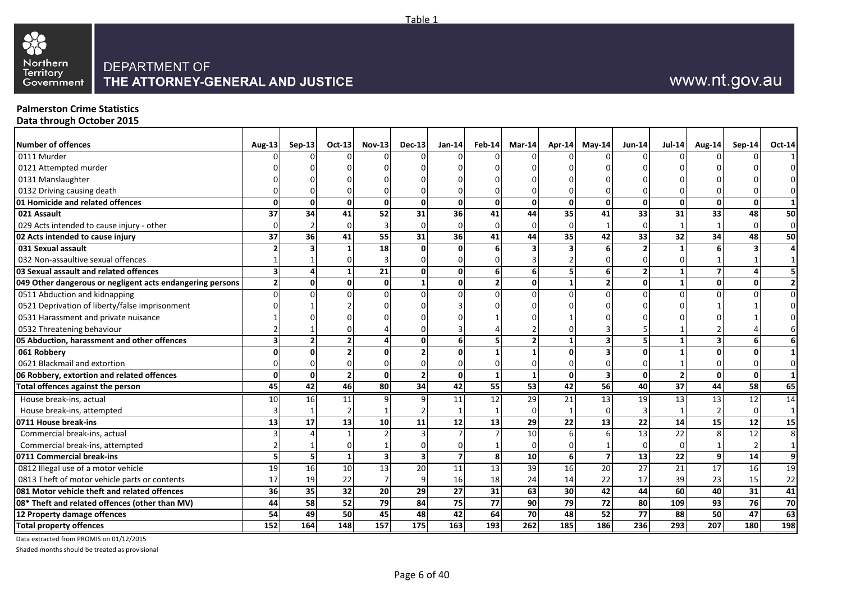

#### **Palmerston Crime Statistics Data through October 2015**

| <b>Number of offences</b>                                 | <b>Aug-13</b>           | $Sep-13$     | $Oct-13$     | <b>Nov-13</b>   | <b>Dec-13</b> | $Jan-14$        | $Feb-14$                 | $Mar-14$         |                 | Apr-14 May-14  | <b>Jun-14</b>   | <b>Jul-14</b> | <b>Aug-14</b>    | Sep-14 | Oct-14          |
|-----------------------------------------------------------|-------------------------|--------------|--------------|-----------------|---------------|-----------------|--------------------------|------------------|-----------------|----------------|-----------------|---------------|------------------|--------|-----------------|
| 0111 Murder                                               |                         |              |              |                 |               |                 |                          |                  |                 |                |                 |               |                  |        |                 |
| 0121 Attempted murder                                     |                         |              |              |                 |               |                 |                          |                  |                 |                |                 |               |                  |        |                 |
| 0131 Manslaughter                                         |                         |              |              |                 |               |                 |                          |                  |                 |                |                 |               |                  |        |                 |
| 0132 Driving causing death                                |                         |              |              |                 |               |                 |                          |                  |                 |                |                 |               |                  |        | $\overline{0}$  |
| 01 Homicide and related offences                          | $\mathbf{0}$            | O            | <sup>0</sup> |                 |               | $\mathbf{0}$    | Οl                       | O                | U               | $\Omega$       | $\Omega$        | O             |                  |        | 1               |
| 021 Assault                                               | 37                      | 34           | 41           | 52              | 31            | 36              | 41                       | 44               | 35              | 41             | 33              | 31            | 33               | 48     | 50              |
| 029 Acts intended to cause injury - other                 |                         |              |              |                 |               | $\Omega$        |                          |                  |                 |                |                 |               |                  |        | $\overline{0}$  |
| 02 Acts intended to cause injury                          | 37                      | 36           | 41           | 55              | 31            | 36              | 41                       | 44               | 35              | 42             | 33              | 32            | 34               | 48     | 50              |
| 031 Sexual assault                                        |                         |              |              | 18              |               | ΩI              |                          |                  |                 |                |                 |               |                  |        |                 |
| 032 Non-assaultive sexual offences                        |                         |              |              |                 |               |                 |                          |                  |                 |                |                 |               |                  |        |                 |
| 03 Sexual assault and related offences                    | $\overline{\mathbf{3}}$ |              |              | 21              |               | $\mathbf{0}$    |                          | 6                |                 | 6              | $\overline{2}$  |               |                  |        |                 |
| 049 Other dangerous or negligent acts endangering persons | $\overline{2}$          | 0            |              | ΩI              |               | οI              | $\overline{\phantom{a}}$ |                  |                 | $\overline{2}$ | $\Omega$        |               |                  |        | 2 <sub>l</sub>  |
| 0511 Abduction and kidnapping                             | $\Omega$                |              |              |                 |               | $\Omega$        |                          |                  |                 | $\Omega$       |                 |               |                  |        | $\overline{0}$  |
| 0521 Deprivation of liberty/false imprisonment            |                         |              |              |                 |               |                 |                          |                  |                 |                |                 |               |                  |        |                 |
| 0531 Harassment and private nuisance                      |                         |              |              |                 |               |                 |                          |                  |                 |                |                 |               |                  |        |                 |
| 0532 Threatening behaviour                                |                         |              |              |                 |               |                 |                          |                  |                 |                |                 |               |                  |        |                 |
| 05 Abduction, harassment and other offences               | 3                       |              |              |                 |               | $6 \mid$        |                          |                  |                 | 3              |                 |               |                  |        |                 |
| 061 Robbery                                               | n                       |              |              |                 |               | $\Omega$        |                          |                  |                 |                |                 |               |                  |        |                 |
| 0621 Blackmail and extortion                              |                         |              |              |                 |               |                 |                          |                  |                 |                |                 |               |                  |        | $\overline{0}$  |
| 06 Robbery, extortion and related offences                | $\mathbf{0}$            | $\mathbf{0}$ |              | 0               |               | $\mathbf{0}$    |                          |                  | U               | 3              | $\mathbf 0$     |               | O                |        | $\mathbf{1}$    |
| <b>Total offences against the person</b>                  | 45                      | 42           | 46           | $\overline{80}$ | 34            | 42              | 55                       | 53               | 42              | 56             | 40              | 37            | 44               | 58     | 65              |
| House break-ins, actual                                   | 10                      | 16           | 11           |                 |               | 11              | 12                       | 29               | 21              | 13             | 19              | 13            | 13               | 12     | 14              |
| House break-ins, attempted                                |                         |              |              |                 |               |                 |                          |                  |                 | $\Omega$       | 3               |               |                  |        |                 |
| 0711 House break-ins                                      | 13                      | 17           | 13           | 10 <sup>1</sup> | 11            | 12              | 13                       | 29               | 22              | 13             | 22              | 14            | 15               | 12     | $\overline{15}$ |
| Commercial break-ins, actual                              |                         |              |              |                 |               |                 |                          | 10               |                 |                | $\overline{13}$ | 22            |                  | 12     | 8 <sup>1</sup>  |
| Commercial break-ins, attempted                           |                         |              |              |                 |               |                 |                          |                  |                 |                |                 |               |                  |        |                 |
| 0711 Commercial break-ins                                 | 5                       |              |              |                 |               | $\overline{7}$  | 8 <sup>1</sup>           | 10               |                 | $\overline{7}$ | $\overline{13}$ | 22            |                  | 14     | $\overline{9}$  |
| 0812 Illegal use of a motor vehicle                       | 19                      | 16           | 10           | 13              | 20            | $\overline{11}$ | 13                       | 39               | 16              | 20             | $\overline{27}$ | 21            | 17               | 16     | 19              |
| 0813 Theft of motor vehicle parts or contents             | 17                      | 19           | 22           |                 |               | 16              | 18                       | 24               | 14              | 22             | 17              | 39            | 23               | 15     | 22              |
| 081 Motor vehicle theft and related offences              | 36                      | 35           | 32           | <b>20</b>       | 29            | 27              | 31                       | 63               | 30 <sup>1</sup> | 42             | 44              | 60            | 40               | 31     | 41              |
| 08* Theft and related offences (other than MV)            | 44                      | 58           | 52           | 79              | 84            | 75              | 77                       | 90               | 79              | 72             | 80              | 109           | 93               | 76     | 70              |
| 12 Property damage offences                               | 54                      | 49           | 50           | 45              | 48            | 42              | 64                       | 70               | 48              | 52             | $\overline{77}$ | 88            | 50               | 47     | 63              |
| <b>Total property offences</b>                            | 152                     | 164          | 148          | 157             | 175           | 163             | 193                      | $\overline{262}$ | 185             | 186            | 236             | 293           | $\overline{207}$ | 180    | 198             |

Data extracted from PROMIS on 01/12/2015

Shaded months should be treated as provisional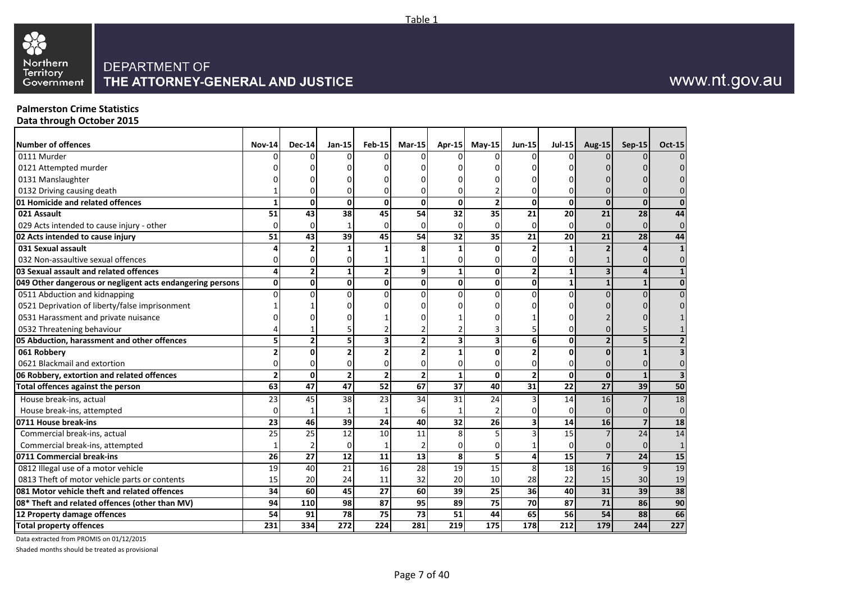

#### **Palmerston Crime Statistics Data through October 2015**

| Number of offences                                        | <b>Nov-14</b> | <b>Dec-14</b>   | $Jan-15$        | <b>Feb-15</b>    | Mar-15 $\vert$  | Apr-15           | $May-15$ | <b>Jun-15</b>   | $Jul-15$         | Aug-15          | <b>Sep-15</b>  | <b>Oct-15</b>  |
|-----------------------------------------------------------|---------------|-----------------|-----------------|------------------|-----------------|------------------|----------|-----------------|------------------|-----------------|----------------|----------------|
| 0111 Murder                                               |               |                 |                 |                  |                 |                  |          |                 |                  |                 |                |                |
| 0121 Attempted murder                                     |               |                 |                 |                  |                 |                  |          |                 |                  |                 |                |                |
| 0131 Manslaughter                                         |               |                 |                 |                  |                 |                  |          |                 |                  |                 |                |                |
| 0132 Driving causing death                                |               |                 |                 |                  |                 |                  |          |                 |                  |                 |                |                |
| 01 Homicide and related offences                          |               | O               | 0               | 0                | 0               | $\mathbf 0$      |          | 0               | 0                | $\mathbf{0}$    | $\Omega$       |                |
| 021 Assault                                               | 51            | 43              | 38              | 45               | 54              | 32               | 35       | 21              | 20               | 21              | 28             | 44             |
| 029 Acts intended to cause injury - other                 |               | ŋ               |                 | U.               | U               | $\Omega$         |          | U               | $\Omega$         | $\Omega$        | $\Omega$       | 0              |
| 02 Acts intended to cause injury                          | 51            | 43              | 39              | 45               | 54              | 32               | 35       | 21              | 20               | 21              | 28             | 44             |
| 031 Sexual assault                                        |               |                 |                 |                  |                 |                  |          |                 |                  |                 |                | $\mathbf{1}$   |
| 032 Non-assaultive sexual offences                        |               |                 |                 |                  |                 |                  |          |                 | U                |                 |                |                |
| 03 Sexual assault and related offences                    | 4             | $\overline{2}$  | 1               | $\overline{2}$   | 9               | 1                | 0        | $\mathbf{2}$    | $\mathbf{1}$     | 3 <sup>1</sup>  | 4              | $\mathbf{1}$   |
| 049 Other dangerous or negligent acts endangering persons | 0             | 0               | Οl              | $\mathbf{0}$     | 0               | $\mathbf 0$      | $\Omega$ | $\mathbf{0}$    | $\mathbf{1}$     | $\mathbf{1}$    | $\mathbf{1}$   | 0              |
| 0511 Abduction and kidnapping                             |               |                 | <sup>0</sup>    |                  |                 |                  |          | 0               | $\Omega$         |                 |                |                |
| 0521 Deprivation of liberty/false imprisonment            |               |                 |                 |                  |                 |                  |          |                 |                  |                 |                |                |
| 0531 Harassment and private nuisance                      |               |                 |                 |                  |                 |                  |          |                 |                  |                 |                |                |
| 0532 Threatening behaviour                                |               |                 |                 |                  |                 |                  |          |                 |                  |                 |                |                |
| 05 Abduction, harassment and other offences               |               |                 |                 |                  | 2               | 3                |          | 6               | 0                | $\overline{2}$  |                |                |
| 061 Robbery                                               |               |                 |                 |                  |                 |                  |          |                 | $\Omega$         | U               |                |                |
| 0621 Blackmail and extortion                              |               |                 |                 |                  |                 |                  |          |                 | 0                | $\Omega$        |                |                |
| 06 Robbery, extortion and related offences                |               | $\Omega$        | $\overline{2}$  | $\overline{2}$   | 2               | $\mathbf{1}$     | 0        | $\overline{2}$  | 0                | $\mathbf{0}$    | $\mathbf{1}$   | $\overline{3}$ |
| Total offences against the person                         | 63            | $\overline{47}$ | $\overline{47}$ | 52               | 67              | $\overline{37}$  | 40       | $\overline{31}$ | $\overline{22}$  | $\overline{27}$ | 39             | 50             |
| House break-ins, actual                                   | 23            | 45              | 38              | 23               | 34              | 31               | 24       |                 | 14               | 16              | $\overline{7}$ | 18             |
| House break-ins, attempted                                | n             |                 |                 |                  |                 |                  |          |                 | $\Omega$         | $\Omega$        |                | 0              |
| 0711 House break-ins                                      | 23            | 46              | 39              | 24               | 40              | 32               | 26       |                 | 14               | 16              | $\overline{7}$ | 18             |
| Commercial break-ins, actual                              | 25            | 25              | 12              | 10               | 11              | 8                |          |                 | 15               |                 | 24             | 14             |
| Commercial break-ins, attempted                           |               |                 | $\Omega$        |                  |                 |                  |          |                 | 0                | $\Omega$        | $\Omega$       | 1              |
| 0711 Commercial break-ins                                 | 26            | 27              | 12              | 11               | 13              | 8                |          |                 | 15               | $\overline{7}$  | 24             | 15             |
| 0812 Illegal use of a motor vehicle                       | 19            | 40              | 21              | 16               | $\overline{28}$ | 19               | 15       | 8               | 18               | 16              | $\overline{9}$ | 19             |
| 0813 Theft of motor vehicle parts or contents             | 15            | 20              | 24              | 11               | 32              | 20               | 10       | 28              | 22               | 15              | 30             | 19             |
| 081 Motor vehicle theft and related offences              | 34            | 60              | 45              | $\overline{27}$  | 60              | 39               | 25       | 36              | 40               | 31              | 39             | 38             |
| 08* Theft and related offences (other than MV)            | 94            | 110             | 98              | 87               | 95              | 89               | 75       | 70              | 87               | 71              | 86             | 90             |
| 12 Property damage offences                               | 54            | 91              | 78              | 75               | 73              | 51               | 44       | 65              | 56               | 54              | 88             | 66             |
| <b>Total property offences</b>                            | 231           | 334             | 272             | $\overline{224}$ | 281             | $\overline{219}$ | 175      | 178             | $\overline{212}$ | 179             | 244            | 227            |

Data extracted from PROMIS on 01/12/2015

Shaded months should be treated as provisional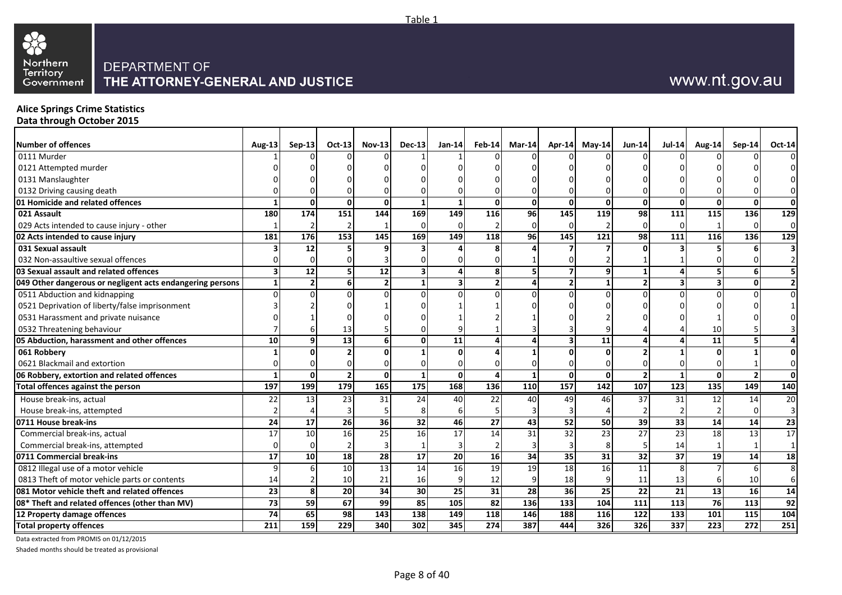

#### **Alice Springs Crime Statistics Data through October 2015**

| Number of offences                                        | <b>Aug-13</b>           | $Sep-13$       | Oct-13           | $Nov-13$        | <b>Dec-13</b> | $Jan-14$                | $Feb-14$     | $Mar-14$ |           | Apr-14 May-14   | <b>Jun-14</b>   | <b>Jul-14</b>  | <b>Aug-14</b>     | Sep-14           | Oct-14         |
|-----------------------------------------------------------|-------------------------|----------------|------------------|-----------------|---------------|-------------------------|--------------|----------|-----------|-----------------|-----------------|----------------|-------------------|------------------|----------------|
| 0111 Murder                                               |                         |                |                  |                 |               |                         |              |          |           |                 |                 |                |                   |                  | $\Omega$       |
| 0121 Attempted murder                                     |                         |                |                  |                 |               |                         |              |          |           |                 |                 |                |                   |                  | 01             |
| 0131 Manslaughter                                         |                         |                |                  |                 |               |                         |              |          |           |                 |                 |                |                   |                  | $\overline{0}$ |
| 0132 Driving causing death                                |                         |                |                  |                 |               |                         |              |          |           |                 |                 |                |                   |                  | $\overline{0}$ |
| 01 Homicide and related offences                          | -1                      | $\mathbf{0}$   | $\Omega$         | ΩI              |               | $\mathbf{1}$            | Οl           | ŋ        | U         | $\mathbf{0}$    | $\Omega$        | 0              | ŋ                 | $\Omega$         | 0              |
| 021 Assault                                               | 180                     | 174            | 151              | 144             | 169           | 149                     | 116          | 96       | 145       | 119             | 98              | 111            | 115               | 136              | 129            |
| 029 Acts intended to cause injury - other                 |                         |                |                  |                 |               | $\Omega$                |              |          |           |                 | $\Omega$        |                |                   |                  | $\overline{0}$ |
| 02 Acts intended to cause injury                          | 181                     | 176            | 153              | 145             | 169           | 149                     | 118          | 96       | 145       | 121             | 98              | 111            | 116               | 136              | $\boxed{129}$  |
| 031 Sexual assault                                        |                         | 12             |                  |                 |               |                         |              |          |           |                 |                 |                |                   |                  |                |
| 032 Non-assaultive sexual offences                        |                         |                |                  |                 |               |                         |              |          |           |                 |                 |                |                   |                  |                |
| 03 Sexual assault and related offences                    | $\overline{\mathbf{3}}$ | 12             |                  | 12              |               | $\overline{a}$          | 8            | 5        |           | 9               |                 |                |                   |                  |                |
| 049 Other dangerous or negligent acts endangering persons | $\mathbf{1}$            | $\overline{2}$ | ĥ                | $\overline{2}$  |               | $\overline{\mathbf{3}}$ | $\mathbf{2}$ |          |           | $\mathbf{1}$    | $\overline{2}$  |                |                   |                  |                |
| 0511 Abduction and kidnapping                             | $\Omega$                |                |                  |                 |               | $\Omega$                |              |          |           | $\Omega$        |                 | $\Omega$       |                   |                  | $\Omega$       |
| 0521 Deprivation of liberty/false imprisonment            |                         |                |                  |                 |               |                         |              |          |           |                 |                 |                |                   |                  |                |
| 0531 Harassment and private nuisance                      |                         |                |                  |                 |               |                         |              |          |           |                 |                 |                |                   |                  |                |
| 0532 Threatening behaviour                                |                         |                | 13               |                 |               |                         |              |          |           |                 |                 |                | 10                |                  |                |
| 05 Abduction, harassment and other offences               | 10                      |                | 13               |                 |               | 11                      |              |          |           | $\overline{11}$ |                 |                | 11                |                  |                |
| 061 Robbery                                               |                         |                |                  |                 |               | $\Omega$                |              |          |           | $\Omega$        |                 |                |                   |                  | 0              |
| 0621 Blackmail and extortion                              |                         |                |                  |                 |               |                         |              |          |           | $\Omega$        |                 |                |                   |                  | $\overline{0}$ |
| 06 Robbery, extortion and related offences                | $\mathbf{1}$            | $\mathbf 0$    | $\overline{2}$   | οl              |               | $\overline{0}$          | $\Delta$     |          | $\Omega$  | $\mathbf{0}$    | $\overline{2}$  | $\mathbf{1}$   | $\Omega$          |                  | 0              |
| Total offences against the person                         | 197                     | 199            | 179              | 165             | 175           | 168                     | 136          | 110      | 157       | $\frac{142}{x}$ | 107             | $\frac{1}{23}$ | $\frac{135}{135}$ | 149              | 140            |
| House break-ins, actual                                   | 22                      | 13             | 23               | 31              | 24            | 40                      | 22           | 40       | 49        | 46              | 37              | 31             | 12                | 14               | 20             |
| House break-ins, attempted                                |                         |                |                  |                 |               | 6                       |              |          |           |                 |                 |                |                   |                  |                |
| 0711 House break-ins                                      | 24                      | 17             | 26               | 36 <sup>l</sup> | 32            | 46                      | 27           | 43       | 52        | 50              | 39              | 33             | 14                | 14               | 23             |
| Commercial break-ins, actual                              | 17                      | 10             | 16               | 25              | 16            | $\overline{17}$         | 14           | 31       | 32        | 23              | $\overline{27}$ | 23             | 18                | 13               | 17             |
| Commercial break-ins, attempted                           | $\Omega$                | $\Omega$       |                  |                 |               |                         |              |          |           | 8               | 5               | 14             |                   |                  | $\mathbf{1}$   |
| 0711 Commercial break-ins                                 | 17                      | 10             | 18               | 28              | 17            | 20 <sup>1</sup>         | 16           | 34       | 35        | 31              | 32              | 37             | 19                | 14               | 18             |
| 0812 Illegal use of a motor vehicle                       | q                       |                | 10               | 13              | 14            | 16                      | 19           | 19       | 18        | 16              | $\overline{11}$ |                |                   |                  | 8 <sup>1</sup> |
| 0813 Theft of motor vehicle parts or contents             | 14                      |                | 10               | 21              | 16            | 9                       | 12           |          | 18        | 9               | 11              | 13             |                   | 10               | $6 \mid$       |
| 081 Motor vehicle theft and related offences              | 23                      | 8              | 20               | 34              | 30            | 25                      | 31           | 28       | <b>36</b> | 25              | 22              | 21             | 13                | 16               | 14             |
| 08* Theft and related offences (other than MV)            | 73                      | 59             | 67               | 99              | 85            | 105                     | 82           | 136      | 133       | 104             | 111             | 113            | 76                | 113              | 92             |
| 12 Property damage offences                               | 74                      | 65             | 98               | 143             | 138           | 149                     | <b>118</b>   | 146      | 188       | 116             | 122             | 133            | 101               | 115              | 104            |
| <b>Total property offences</b>                            | 211                     | 159            | $\overline{229}$ | 340             | 302           | 345                     | 274          | 387      | 444       | 326             | 326             | 337            | $\overline{223}$  | $\overline{272}$ | 251            |

Data extracted from PROMIS on 01/12/2015

Shaded months should be treated as provisional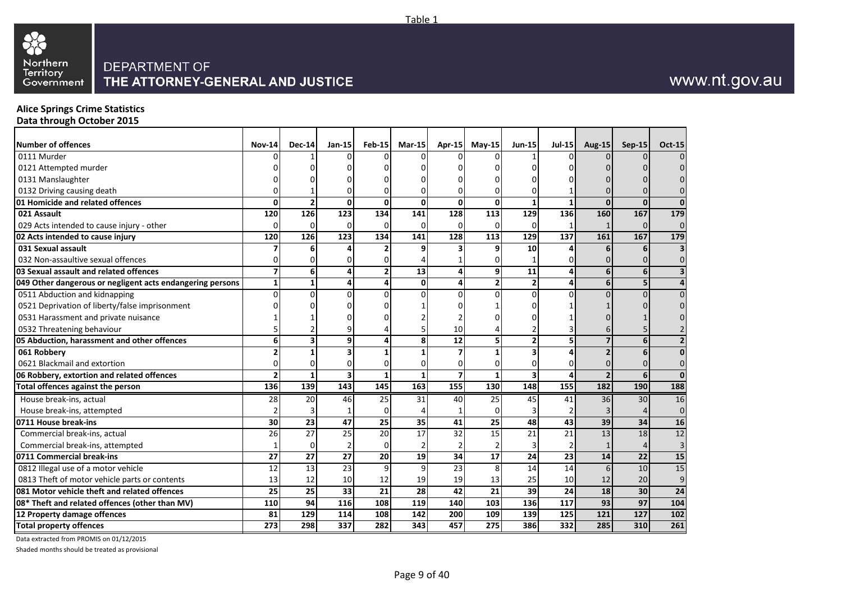

#### **Alice Springs Crime Statistics Data through October 2015**

| Number of offences                                        | <b>Nov-14</b>  | <b>Dec-14</b> | $Jan-15$        | <b>Feb-15</b> | $Mar-15$     | <b>Apr-15</b>   | May-15       | <b>Jun-15</b> | $Jul-15$ | Aug-15   | <b>Sep-15</b> | <b>Oct-15</b>           |
|-----------------------------------------------------------|----------------|---------------|-----------------|---------------|--------------|-----------------|--------------|---------------|----------|----------|---------------|-------------------------|
| 0111 Murder                                               |                |               |                 |               |              |                 |              |               |          |          |               | $\Omega$                |
| 0121 Attempted murder                                     |                |               |                 |               |              |                 |              |               |          |          |               |                         |
| 0131 Manslaughter                                         |                |               |                 |               |              |                 |              |               |          |          |               |                         |
| 0132 Driving causing death                                |                |               |                 |               |              |                 |              |               |          |          |               |                         |
| 01 Homicide and related offences                          | 0              |               | 0               | $\Omega$      | $\Omega$     | $\mathbf{0}$    | $\mathbf{0}$ |               |          | $\Omega$ |               | $\Omega$                |
| 021 Assault                                               | 120            | 126           | 123             | 134           | 141          | 128             | 113          | 129           | 136      | 160      | 167           | 179                     |
| 029 Acts intended to cause injury - other                 | 0              | 0             | $\Omega$        |               |              | $\Omega$        | ſ            |               |          |          | $\Omega$      | $\mathbf{0}$            |
| 02 Acts intended to cause injury                          | 120            | 126           | 123             | 134           | 141          | 128             | 113          | 129           | 137      | 161      | 167           | 179                     |
| 031 Sexual assault                                        |                |               |                 |               | q            | 3               | q            | 10            |          |          |               | $\overline{\mathbf{3}}$ |
| 032 Non-assaultive sexual offences                        |                |               |                 |               |              |                 |              |               |          |          |               | 0                       |
| 03 Sexual assault and related offences                    | $\overline{ }$ | 6             |                 |               | 13           | 4               | 9            | 11            |          | 6        | 6             | $\overline{\mathbf{3}}$ |
| 049 Other dangerous or negligent acts endangering persons | 1              | 1             | Δ               |               | $\mathbf{0}$ | 4               |              |               | Δ        | 6        | 5             | 4                       |
| 0511 Abduction and kidnapping                             | $\Omega$       |               | U               |               |              |                 |              |               |          |          |               | $\mathbf{0}$            |
| 0521 Deprivation of liberty/false imprisonment            |                |               |                 |               |              |                 |              |               |          |          |               | 0                       |
| 0531 Harassment and private nuisance                      |                |               |                 |               |              |                 |              |               |          |          |               |                         |
| 0532 Threatening behaviour                                |                |               |                 |               |              | 10              |              |               |          |          |               |                         |
| 05 Abduction, harassment and other offences               | 6              | 3             | 9               |               |              | 12              |              |               |          |          |               | $\overline{2}$          |
| 061 Robbery                                               |                |               | 3               |               |              |                 |              |               |          |          |               | $\mathbf 0$             |
| 0621 Blackmail and extortion                              |                |               | 0               |               |              |                 |              |               |          |          |               | $\mathbf{0}$            |
| 06 Robbery, extortion and related offences                |                |               | 3               | 1             | 1            | $\overline{7}$  |              |               |          |          | 6             | $\mathbf{0}$            |
| <b>Total offences against the person</b>                  | 136            | 139           | 143             | 145           | 163          | 155             | 130          | 148           | 155      | 182      | 190           | 188                     |
| House break-ins, actual                                   | 28             | 20            | 46              | 25            | 31           | 40              | 25           | 45            | 41       | 36       | 30            | 16                      |
| House break-ins, attempted                                |                |               |                 | $\Omega$      |              |                 | $\Omega$     |               |          |          |               | $\mathbf 0$             |
| 0711 House break-ins                                      | 30             | 23            | $\overline{47}$ | 25            | 35           | $\overline{41}$ | 25           | 48            | 43       | 39       | 34            | $\overline{16}$         |
| Commercial break-ins, actual                              | 26             | 27            | $\overline{25}$ | 20            | 17           | $\overline{32}$ | 15           | 21            | 21       | 13       | 18            | 12                      |
| Commercial break-ins, attempted                           |                |               |                 | $\Omega$      |              |                 |              |               |          |          |               | 3                       |
| 0711 Commercial break-ins                                 | 27             | 27            | 27              | 20            | 19           | 34              | 17           | 24            | 23       | 14       | 22            | 15                      |
| 0812 Illegal use of a motor vehicle                       | 12             | 13            | 23              | 9             | 9            | 23              | 8            | 14            | 14       | 6        | 10            | 15                      |
| 0813 Theft of motor vehicle parts or contents             | 13             | 12            | 10              | 12            | 19           | 19              | 13           | 25            | 10       | 12       | 20            | 9                       |
| 081 Motor vehicle theft and related offences              | 25             | 25            | 33              | 21            | 28           | 42              | 21           | 39            | 24       | 18       | 30            | $\overline{24}$         |
| 08* Theft and related offences (other than MV)            | 110            | 94            | 116             | 108           | 119          | 140             | 103          | 136           | 117      | 93       | 97            | 104                     |
| 12 Property damage offences                               | 81             | 129           | 114             | 108           | 142          | 200             | 109          | 139           | 125      | 121      | 127           | 102                     |
| <b>Total property offences</b>                            | 273            | 298           | 337             | 282           | 343          | 457             | 275          | 386           | 332      | 285      | 310           | 261                     |

Data extracted from PROMIS on 01/12/2015

Shaded months should be treated as provisional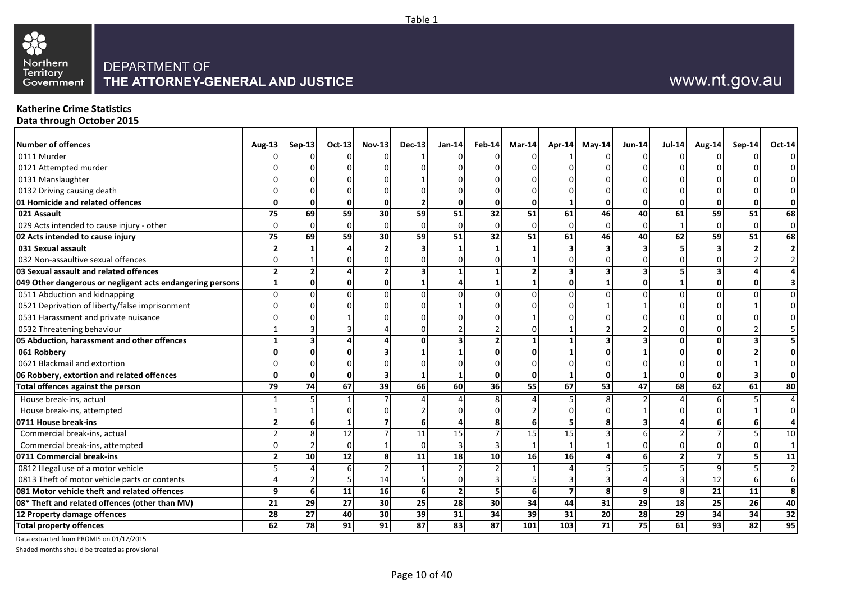

#### **Katherine Crime Statistics Data through October 2015**

| <b>Number of offences</b>                                 | <b>Aug-13</b>            | <b>Sep-13</b>   | Oct-13 | <b>Nov-13</b> | $Dec-13$       | <b>Jan-14</b>   | <b>Feb-14</b> | $Mar-14$       |     | Apr-14 May-14 | $Jun-14$        | <b>Jul-14</b> | Aug-14   | Sep-14 | Oct-14          |
|-----------------------------------------------------------|--------------------------|-----------------|--------|---------------|----------------|-----------------|---------------|----------------|-----|---------------|-----------------|---------------|----------|--------|-----------------|
| 0111 Murder                                               |                          |                 |        |               |                |                 |               |                |     |               |                 |               |          |        |                 |
| 0121 Attempted murder                                     |                          |                 |        |               |                |                 |               |                |     |               |                 |               |          |        |                 |
| 0131 Manslaughter                                         |                          |                 |        |               |                |                 |               |                |     |               |                 |               |          |        |                 |
| 0132 Driving causing death                                |                          |                 |        |               |                |                 |               |                |     |               |                 |               |          |        |                 |
| 01 Homicide and related offences                          | $\mathbf 0$              | $\mathbf{0}$    |        | U             |                |                 |               | $\Omega$       |     | 0             | $\Omega$        |               |          |        |                 |
| 021 Assault                                               | 75                       | 69              | 59     | 30            | 59             | 51              | 32            | 51             | 61  | 46            | 40              | 61            | 59       | 51     | 68              |
| 029 Acts intended to cause injury - other                 | $\Omega$                 | $\Omega$        |        |               |                |                 |               |                |     |               | U               |               | $\Omega$ |        |                 |
| 02 Acts intended to cause injury                          | 75                       | 69              | 59     | 30            | 59             | 51              | 32            | 51             | 61  | 46            | 40              | 62            | 59       | 51     | 68              |
| 031 Sexual assault                                        | $\overline{\phantom{a}}$ |                 |        |               |                |                 |               |                |     |               |                 |               |          |        |                 |
| 032 Non-assaultive sexual offences                        | O                        |                 |        |               |                |                 |               |                |     |               |                 |               |          |        |                 |
| 03 Sexual assault and related offences                    | $\overline{2}$           |                 |        |               |                |                 |               |                |     | 3             |                 |               |          |        |                 |
| 049 Other dangerous or negligent acts endangering persons | 1                        | οl              |        | U             |                |                 |               |                |     | 1             | 0               |               |          |        |                 |
| 0511 Abduction and kidnapping                             | $\Omega$                 | $\Omega$        |        |               |                |                 |               |                |     |               |                 |               |          |        |                 |
| 0521 Deprivation of liberty/false imprisonment            |                          |                 |        |               |                |                 |               |                |     |               |                 |               |          |        |                 |
| 0531 Harassment and private nuisance                      |                          |                 |        |               |                |                 |               |                |     |               |                 |               |          |        |                 |
| 0532 Threatening behaviour                                |                          |                 |        |               |                |                 |               |                |     |               |                 |               |          |        |                 |
| 05 Abduction, harassment and other offences               | $\mathbf{1}$             |                 |        |               |                |                 |               |                |     | 3             |                 |               |          |        |                 |
| 061 Robbery                                               | O                        | O               |        |               |                |                 |               |                |     |               |                 |               |          |        |                 |
| 0621 Blackmail and extortion                              |                          |                 |        |               |                |                 |               |                |     |               |                 |               |          |        |                 |
| 06 Robbery, extortion and related offences                | $\mathbf{0}$             | $\mathbf{0}$    | ŋ      |               |                |                 |               | $\mathbf{0}$   |     | 0             |                 | O             | O        |        |                 |
| Total offences against the person                         | 79                       | $\overline{74}$ | 67     | 39            | 66             | 60              | 36            | 55             | 67  | 53            | $\overline{47}$ | 68            | 62       | 61     | 80              |
| House break-ins, actual                                   |                          |                 |        |               |                |                 |               |                |     |               |                 |               |          |        |                 |
| House break-ins, attempted                                |                          |                 |        |               |                |                 |               |                |     |               |                 |               |          |        |                 |
| 0711 House break-ins                                      | $\overline{2}$           | 6               |        |               | 6 <sup>1</sup> |                 | R             | $6 \mid$       |     | 8             | 3               |               |          |        |                 |
| Commercial break-ins, actual                              |                          |                 | 12     |               | 11             | 15              |               | 15             | 15  |               |                 |               |          |        | 10              |
| Commercial break-ins, attempted                           |                          |                 |        |               |                |                 |               |                |     |               |                 |               |          |        |                 |
| 0711 Commercial break-ins                                 | $\overline{2}$           | 10 <sup>1</sup> | 12     |               | 11             | 18              | 10            | 16             | 16  |               |                 |               |          |        | 11              |
| 0812 Illegal use of a motor vehicle                       |                          |                 |        |               |                |                 |               |                |     |               |                 |               |          |        |                 |
| 0813 Theft of motor vehicle parts or contents             |                          |                 |        | 14            |                |                 |               |                |     |               |                 |               | 12       |        |                 |
| 081 Motor vehicle theft and related offences              | 9                        | 6               | 11     | 16            | 6              |                 |               | 6 <sup>1</sup> |     | 8             | 9               | 8             | 21       | 11     |                 |
| 08* Theft and related offences (other than MV)            | 21                       | 29              | 27     | 30            | 25             | $\overline{28}$ | 30            | 34             | 44  | 31            | $\overline{29}$ | 18            | 25       | 26     | 40              |
| 12 Property damage offences                               | 28                       | 27              | 40     | 30            | 39             | 31              | 34            | 39             | 31  | 20            | 28              | 29            | 34       | 34     | $\overline{32}$ |
| <b>Total property offences</b>                            | 62                       | $\overline{78}$ | 91     | 91            | 87             | 83              | 87            | 101            | 103 | 71            | 75              | 61            | 93       | 82     | 95              |

Data extracted from PROMIS on 01/12/2015

Shaded months should be treated as provisional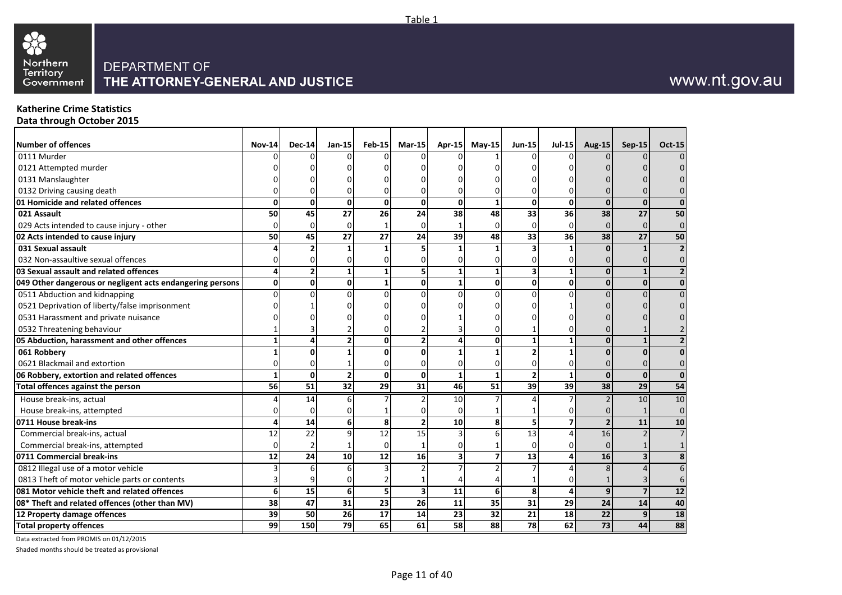

#### **Katherine Crime Statistics Data through October 2015**

| <b>Number of offences</b><br>0111 Murder                  | <b>Nov-14</b> | <b>Dec-14</b>   | $Jan-15$        | Feb-15          | $Mar-15$        | Apr-15                  | $M$ ay-15       | <b>Jun-15</b>   | <b>Jul-15</b> | <b>Aug-15</b>   | <b>Sep-15</b>   | <b>Oct-15</b>  |
|-----------------------------------------------------------|---------------|-----------------|-----------------|-----------------|-----------------|-------------------------|-----------------|-----------------|---------------|-----------------|-----------------|----------------|
|                                                           |               |                 |                 |                 |                 |                         |                 |                 |               |                 |                 |                |
| 0121 Attempted murder                                     |               |                 |                 |                 |                 |                         |                 |                 |               |                 |                 |                |
| 0131 Manslaughter                                         |               |                 |                 |                 |                 |                         |                 |                 |               |                 |                 |                |
| 0132 Driving causing death                                |               |                 |                 |                 |                 |                         |                 |                 |               |                 |                 |                |
| 01 Homicide and related offences                          | 0             | O               | 0               | $\mathbf{0}$    | 0               | 0                       |                 | 0               | $\mathbf 0$   | $\mathbf{0}$    | $\mathbf{0}$    |                |
| 021 Assault                                               | 50            | 45              | 27              | 26              | 24              | 38                      | 48              | 33              | 36            | 38              | $\overline{27}$ | 50             |
| 029 Acts intended to cause injury - other                 |               |                 | $\Omega$        |                 |                 |                         |                 | 0               | $\Omega$      | $\Omega$        | $\Omega$        | 0              |
| 02 Acts intended to cause injury                          | 50            | 45              | 27              | 27              | 24              | 39                      | 48              | 33              | 36            | 38              | 27              | 50             |
| 031 Sexual assault                                        |               |                 |                 |                 | 5               |                         |                 |                 | 1             | <sup>0</sup>    |                 | $\overline{2}$ |
| 032 Non-assaultive sexual offences                        |               |                 |                 |                 |                 |                         |                 |                 | $\Omega$      |                 |                 | 0              |
| 03 Sexual assault and related offences                    |               |                 |                 |                 | 5               | 1                       |                 | 3               | $\mathbf{1}$  | $\mathbf{0}$    | $\mathbf{1}$    | $\overline{2}$ |
| 049 Other dangerous or negligent acts endangering persons | 0             | O               | 0               |                 | 0               | $\mathbf{1}$            | O               | $\mathbf{0}$    | $\mathbf{0}$  | 0               | $\mathbf{0}$    | $\mathbf 0$    |
| 0511 Abduction and kidnapping                             |               |                 | U               |                 |                 |                         |                 | U               | U             |                 |                 |                |
| 0521 Deprivation of liberty/false imprisonment            |               |                 |                 |                 |                 |                         |                 |                 |               |                 |                 |                |
| 0531 Harassment and private nuisance                      |               |                 |                 |                 |                 |                         |                 |                 |               |                 |                 |                |
| 0532 Threatening behaviour                                |               |                 |                 |                 |                 |                         |                 |                 |               |                 |                 |                |
| 05 Abduction, harassment and other offences               |               |                 |                 | 0               | 2               |                         | ŋ               |                 |               | $\Omega$        |                 |                |
| 061 Robbery                                               |               |                 |                 |                 |                 |                         |                 |                 |               | U               | $\Omega$        |                |
| 0621 Blackmail and extortion                              |               |                 |                 |                 |                 |                         |                 |                 | $\Omega$      | $\Omega$        |                 | 0              |
| 06 Robbery, extortion and related offences                |               | O               |                 | $\Omega$        | 0               | $\mathbf{1}$            |                 |                 | $\mathbf{1}$  | $\mathbf{0}$    | $\mathbf 0$     | $\overline{0}$ |
| Total offences against the person                         | 56            | $\overline{51}$ | $\overline{32}$ | 29              | $\overline{31}$ | 46                      | $\overline{51}$ | $\overline{39}$ | 39            | $\overline{38}$ | $\overline{29}$ | 54             |
| House break-ins, actual                                   |               | 14              |                 |                 |                 | 10                      |                 |                 |               |                 | 10              | 10             |
| House break-ins, attempted                                |               | O               |                 |                 |                 |                         |                 |                 |               |                 |                 | $\mathbf 0$    |
| 0711 House break-ins                                      | Δ             | 14              | 6               | 8               | 2               | 10                      |                 | 5               | 7             | $\overline{2}$  | 11              | 10             |
| Commercial break-ins, actual                              | 12            | 22              | a               | $\overline{12}$ | 15              |                         |                 | 13              | 4             | 16              |                 | $\overline{7}$ |
| Commercial break-ins, attempted                           |               |                 |                 | $\Omega$        |                 |                         |                 |                 | $\Omega$      | $\Omega$        |                 |                |
| 0711 Commercial break-ins                                 | 12            | 24              | 10              | 12              | 16              | $\overline{\mathbf{3}}$ |                 | 13              | 4             | 16              |                 | 8              |
| 0812 Illegal use of a motor vehicle                       |               |                 |                 |                 |                 |                         |                 |                 |               |                 |                 | 6              |
| 0813 Theft of motor vehicle parts or contents             |               |                 |                 |                 |                 |                         |                 |                 | 0             |                 |                 | 6              |
| 081 Motor vehicle theft and related offences              | 6             | 15              | 6               |                 | 3               | 11                      | 6               | 8               | 4             | 9               | $\overline{7}$  | 12             |
| 08* Theft and related offences (other than MV)            | 38            | 47              | 31              | 23              | 26              | 11                      | 35              | 31              | 29            | 24              | 14              | 40             |
| 12 Property damage offences                               | 39            | 50              | 26              | 17              | 14              | 23                      | 32              | 21              | 18            | 22              | 9               | 18             |
| <b>Total property offences</b>                            | 99            | 150             | 79              | 65              | 61              | 58                      | 88              | 78              | 62            | $\overline{73}$ | 44              | 88             |
|                                                           |               |                 |                 |                 |                 |                         |                 |                 |               |                 |                 |                |

Data extracted from PROMIS on 01/12/2015

Shaded months should be treated as provisional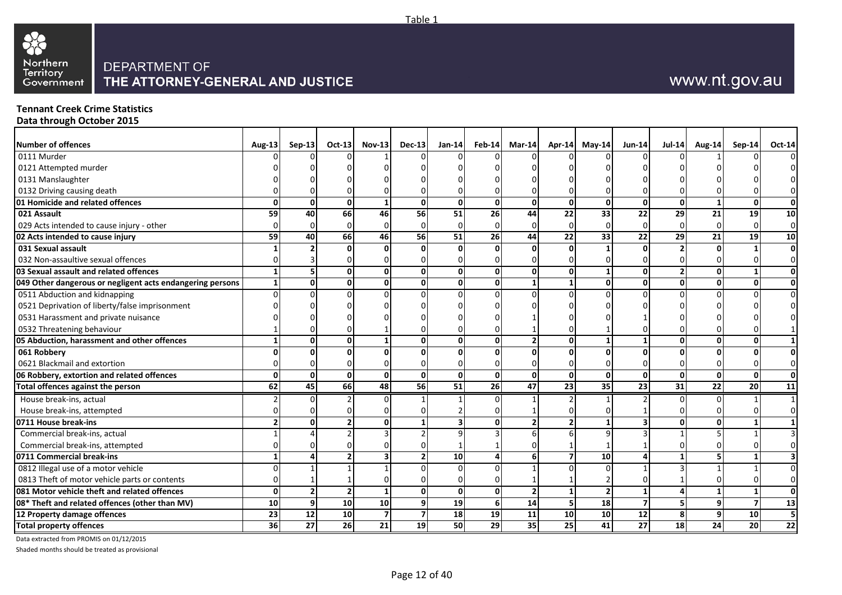

#### **Tennant Creek Crime Statistics Data through October 2015**

| <b>Number of offences</b>                                 | <b>Aug-13</b> | $Sep-13$       | $Oct-13$                 | $Nov-13$        | $Dec-13$ | $Jan-14$                | $Feb-14$       | $Mar-14$       |                 | Apr-14 May-14  | Jun-14          | <b>Jul-14</b> | <b>Aug-14</b> | $Sep-14$        | Oct-14                  |
|-----------------------------------------------------------|---------------|----------------|--------------------------|-----------------|----------|-------------------------|----------------|----------------|-----------------|----------------|-----------------|---------------|---------------|-----------------|-------------------------|
| 0111 Murder                                               |               |                |                          |                 |          |                         |                |                |                 |                |                 |               |               |                 | $\overline{0}$          |
| 0121 Attempted murder                                     |               |                |                          |                 |          |                         |                |                |                 |                |                 |               |               |                 | $\overline{0}$          |
| 0131 Manslaughter                                         |               |                |                          |                 |          |                         |                |                |                 |                |                 |               |               |                 | $\overline{0}$          |
| 0132 Driving causing death                                |               |                |                          |                 |          |                         |                |                |                 |                |                 |               |               |                 | $\overline{0}$          |
| 01 Homicide and related offences                          | $\mathbf{0}$  | 0              | 0                        |                 | ŋ        | 0                       | ٥l             | 0              | $\mathbf{0}$    | $\mathbf{0}$   | $\mathbf{0}$    | $\Omega$      |               | n               | 0                       |
| 021 Assault                                               | 59            | 40             | <b>66</b>                | 46              | 56       | 51                      | <b>26</b>      | 44             | 22              | 33             | $\overline{22}$ | 29            | 21            | 19              | 10                      |
| 029 Acts intended to cause injury - other                 | n             | $\Omega$       | $\Omega$                 |                 |          | $\Omega$                |                |                | $\Omega$        | $\Omega$       | $\Omega$        | $\Omega$      |               |                 | $\overline{0}$          |
| 02 Acts intended to cause injury                          | 59            | 40             | <b>66</b>                | 46              | 56       | 51                      | <b>26</b>      | 44             | 22              | 33             | 22              | 29            | 21            | 19 <sup>1</sup> | 10                      |
| 031 Sexual assault                                        |               |                |                          |                 |          | ΩI                      |                |                |                 |                | $\mathbf{0}$    |               |               |                 | 0                       |
| 032 Non-assaultive sexual offences                        |               |                |                          |                 |          |                         |                |                |                 |                | O               |               |               |                 | $\overline{0}$          |
| 03 Sexual assault and related offences                    | $\mathbf{1}$  |                | ΩI                       |                 |          | 0                       | U              | U              |                 |                | $\mathbf 0$     |               |               |                 | $\mathbf{0}$            |
| 049 Other dangerous or negligent acts endangering persons | $\mathbf{1}$  | $\Omega$       | ΩI                       |                 |          | οI                      | ٥l             |                |                 | 0              | $\mathbf 0$     | O             |               |                 | 0                       |
| 0511 Abduction and kidnapping                             | $\Omega$      |                |                          |                 |          | $\Omega$                |                |                |                 |                | $\Omega$        |               |               |                 | $\overline{0}$          |
| 0521 Deprivation of liberty/false imprisonment            |               |                |                          |                 |          |                         |                |                |                 |                |                 |               |               |                 | $\overline{0}$          |
| 0531 Harassment and private nuisance                      |               |                |                          |                 |          |                         |                |                |                 |                |                 |               |               |                 | 0                       |
| 0532 Threatening behaviour                                |               |                |                          |                 |          |                         |                |                |                 |                |                 |               |               |                 |                         |
| 05 Abduction, harassment and other offences               | $\mathbf{1}$  | 0              | 0                        |                 |          | 0                       | U              |                | $\Omega$        |                | 1               | O             |               |                 | 1 <sup>1</sup>          |
| 061 Robbery                                               | ŋ             |                |                          |                 |          | $\Omega$                |                |                |                 |                | O               |               |               |                 | $\mathbf{0}$            |
| 0621 Blackmail and extortion                              |               |                |                          |                 |          |                         |                |                |                 |                | $\Omega$        |               |               |                 | $\overline{0}$          |
| 06 Robbery, extortion and related offences                | $\Omega$      | $\Omega$       | ΩI                       | ΩI              |          | $\Omega$                | $\Omega$       | $\Omega$       | $\Omega$        | $\mathbf{0}$   | $\mathbf{0}$    | $\Omega$      | <sup>0</sup>  | <sup>0</sup>    | 0                       |
| <b>Total offences against the person</b>                  | 62            | 45             | <b>66</b>                | 48              | 56       | 51                      | 26             | 47             | 23              | 35             | $\overline{23}$ | 31            | 22            | <b>20</b>       | 11                      |
| House break-ins, actual                                   |               |                |                          |                 |          |                         |                |                |                 |                |                 |               |               |                 |                         |
| House break-ins, attempted                                |               |                |                          |                 |          |                         |                |                |                 |                |                 |               |               |                 | $\overline{0}$          |
| 0711 House break-ins                                      |               | $\Omega$       |                          |                 |          | $\overline{\mathbf{3}}$ | n١             |                |                 |                | 3               | ŋ             |               |                 |                         |
| Commercial break-ins, actual                              |               |                |                          |                 |          |                         |                |                |                 |                |                 |               |               |                 | $\overline{\mathsf{3}}$ |
| Commercial break-ins, attempted                           |               |                |                          |                 |          |                         |                |                |                 |                |                 |               |               |                 | $\Omega$                |
| 0711 Commercial break-ins                                 |               |                |                          |                 |          | 10 <sup>1</sup>         |                |                |                 | 10             |                 |               |               |                 | 3 <sup>1</sup>          |
| 0812 Illegal use of a motor vehicle                       | $\Omega$      |                |                          |                 |          | $\Omega$                |                |                |                 |                |                 |               |               |                 | $\overline{0}$          |
| 0813 Theft of motor vehicle parts or contents             |               |                |                          |                 |          |                         |                |                |                 |                | 0               |               |               |                 | $\overline{0}$          |
| 081 Motor vehicle theft and related offences              | $\mathbf{0}$  | $\overline{2}$ | $\overline{\phantom{a}}$ |                 |          | 0                       | 0              | $\overline{2}$ |                 | $\overline{2}$ | 1               |               |               |                 | 0                       |
| 08* Theft and related offences (other than MV)            | 10            | $\overline{9}$ | 10                       | 10 <sup>1</sup> |          | 19                      | 6 <sup>1</sup> | 14             |                 | 18             | $\overline{7}$  | 5             | q             | 7               | 13                      |
| 12 Property damage offences                               | 23            | 12             | 10 <sup>1</sup>          |                 |          | 18                      | 19             | 11             | 10              | 10             | 12              | 8             |               | 10              | 5                       |
| <b>Total property offences</b>                            | 36            | 27             | 26                       | 21              | 19       | 50                      | 29             | 35             | 25 <sub>l</sub> | 41             | $\overline{27}$ | 18            | 24            | 20 <sup>1</sup> | $\overline{22}$         |

Table 1

Data extracted from PROMIS on 01/12/2015

Shaded months should be treated as provisional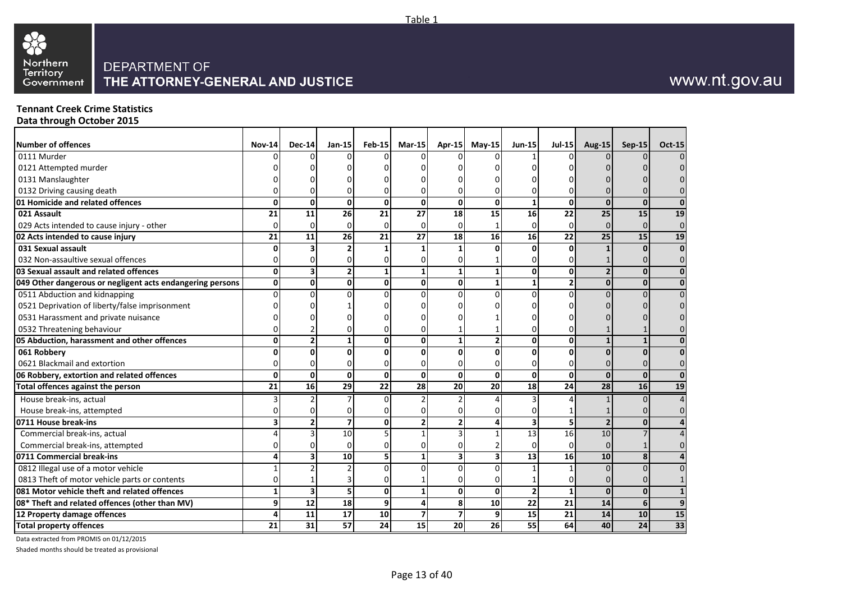

#### **Tennant Creek Crime Statistics Data through October 2015**

| <b>Number of offences</b>                                 | <b>Nov-14</b> | <b>Dec-14</b>   | <b>Jan-15</b>   | Feb-15 | $Mar-15$        | Apr-15          | $M$ ay-15    | $Jun-15$       | <b>Jul-15</b> | Aug-15         | <b>Sep-15</b>   | <b>Oct-15</b>           |
|-----------------------------------------------------------|---------------|-----------------|-----------------|--------|-----------------|-----------------|--------------|----------------|---------------|----------------|-----------------|-------------------------|
| 0111 Murder                                               |               |                 |                 |        |                 |                 |              |                |               |                |                 | $\Omega$                |
| 0121 Attempted murder                                     |               |                 |                 |        |                 |                 |              |                |               |                |                 |                         |
| 0131 Manslaughter                                         |               |                 |                 |        |                 |                 |              |                |               |                |                 |                         |
| 0132 Driving causing death                                |               |                 |                 |        |                 |                 |              |                |               |                |                 |                         |
| 01 Homicide and related offences                          |               | 0               | 0               | 0      | $\mathbf{0}$    | 0               | $\Omega$     |                | 0             | $\mathbf{0}$   | $\mathbf{0}$    | $\bf{0}$                |
| 021 Assault                                               | 21            | 11              | 26              | 21     | 27              | 18              | 15           | 16             | 22            | 25             | 15              | 19                      |
| 029 Acts intended to cause injury - other                 | <sup>0</sup>  | n               | U               |        | 0               | $\Omega$        |              |                | 0             | $\Omega$       | $\Omega$        | $\mathbf 0$             |
| 02 Acts intended to cause injury                          | 21            | 11              | 26              | 21     | 27              | 18              | 16           | 16             | 22            | 25             | 15              | 19                      |
| 031 Sexual assault                                        |               |                 |                 |        |                 |                 |              | U              | U             |                | $\mathbf{0}$    | $\overline{\mathbf{0}}$ |
| 032 Non-assaultive sexual offences                        |               |                 |                 |        |                 |                 |              |                |               |                | 0               | $\mathbf 0$             |
| 03 Sexual assault and related offences                    |               |                 | $\overline{2}$  |        |                 | $\mathbf{1}$    | $\mathbf{1}$ | $\mathbf{0}$   | $\mathbf{0}$  | $\overline{2}$ | $\mathbf{0}$    | $\mathbf 0$             |
| 049 Other dangerous or negligent acts endangering persons |               | 0               | 0               | 0      | 0               | 0               |              |                | 21            | $\mathbf{0}$   | $\mathbf{0}$    | $\bf{0}$                |
| 0511 Abduction and kidnapping                             |               |                 |                 |        |                 | $\Omega$        |              |                |               |                |                 | $\Omega$                |
| 0521 Deprivation of liberty/false imprisonment            |               |                 |                 |        |                 |                 |              |                |               |                |                 |                         |
| 0531 Harassment and private nuisance                      |               |                 |                 |        |                 |                 |              |                |               |                |                 |                         |
| 0532 Threatening behaviour                                |               |                 |                 |        |                 |                 |              |                |               |                |                 |                         |
| 05 Abduction, harassment and other offences               | U             |                 | 1               | 0      | 0               | 1               | 2            | 0              | 0             |                |                 | 0                       |
| 061 Robbery                                               |               |                 | n               |        |                 | O               |              |                |               | $\Omega$       |                 | 0                       |
| 0621 Blackmail and extortion                              |               |                 |                 |        |                 |                 |              |                |               |                |                 | 0                       |
| 06 Robbery, extortion and related offences                | 0             | 0               | 0               | 0      | 0               | $\Omega$        | $\Omega$     | 0              | $\Omega$      | $\mathbf{0}$   | $\mathbf{0}$    | $\mathbf 0$             |
| <b>Total offences against the person</b>                  | 21            | 16              | 29              | 22     | 28              | 20              | 20           | 18             | 24            | 28             | 16              | 19                      |
| House break-ins, actual                                   |               |                 |                 |        |                 |                 |              |                |               |                | $\Omega$        | 4                       |
| House break-ins, attempted                                |               |                 | U               |        |                 | 0               |              |                |               |                | 0               | 0                       |
| 0711 House break-ins                                      |               |                 | 7               | 0      |                 | $\overline{2}$  |              |                | 5             | $\overline{2}$ | $\mathbf{0}$    | 4                       |
| Commercial break-ins, actual                              |               |                 | 10              |        |                 | 3               |              | 13             | 16            | 10             |                 |                         |
| Commercial break-ins, attempted                           |               |                 | $\Omega$        |        |                 |                 |              |                | 0             | $\Omega$       |                 |                         |
| 0711 Commercial break-ins                                 |               |                 | 10              |        |                 | 3               |              | 13             | 16            | 10             | 8               | 4                       |
| 0812 Illegal use of a motor vehicle                       |               |                 |                 |        |                 | $\Omega$        |              |                |               | $\Omega$       | $\Omega$        | $\overline{0}$          |
| 0813 Theft of motor vehicle parts or contents             |               |                 |                 |        |                 | 0               |              |                |               |                |                 |                         |
| 081 Motor vehicle theft and related offences              |               | 3               | 5               | 0      |                 | $\Omega$        | $\Omega$     | $\overline{2}$ |               | $\Omega$       | $\mathbf{0}$    | $\mathbf{1}$            |
| 08* Theft and related offences (other than MV)            | q             | 12              | 18              | 9      | 4               | 8               | 10           | 22             | 21            | 14             | $6 \mid$        | 9                       |
| 12 Property damage offences                               |               | 11              | 17              | 10     | 7               | $\overline{7}$  | 9            | 15             | 21            | 14             | 10              | 15                      |
| <b>Total property offences</b>                            | 21            | $\overline{31}$ | $\overline{57}$ | 24     | $\overline{15}$ | $\overline{20}$ | 26           | 55             | 64            | 40             | $\overline{24}$ | $\overline{33}$         |

Data extracted from PROMIS on 01/12/2015

Shaded months should be treated as provisional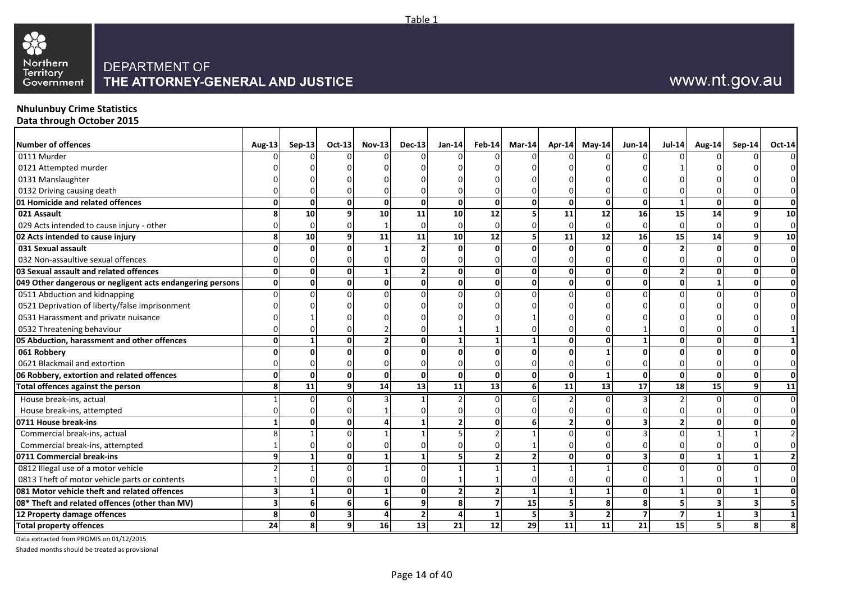

#### **Nhulunbuy Crime Statistics Data through October 2015**

| <b>Number of offences</b>                                 | Aug-13                  | $Sep-13$        | $Oct-13$     | $Nov-13$        | $Dec-13$     | $Jan-14$        | $Feb-14$                 | Mar-14 |    | Apr-14 May-14   | <b>Jun-14</b>   | <b>Jul-14</b>   | <b>Aug-14</b>   | $Sep-14$ | <b>Oct-14</b>           |
|-----------------------------------------------------------|-------------------------|-----------------|--------------|-----------------|--------------|-----------------|--------------------------|--------|----|-----------------|-----------------|-----------------|-----------------|----------|-------------------------|
| 0111 Murder                                               |                         |                 |              |                 |              |                 |                          |        |    |                 |                 |                 |                 |          | $\Omega$                |
| 0121 Attempted murder                                     |                         |                 |              |                 |              |                 |                          |        |    |                 |                 |                 |                 |          | $\overline{0}$          |
| 0131 Manslaughter                                         |                         |                 |              |                 |              |                 |                          |        |    |                 |                 |                 |                 |          | $\overline{0}$          |
| 0132 Driving causing death                                |                         |                 |              |                 |              |                 |                          |        |    |                 |                 |                 |                 |          | $\overline{0}$          |
| 01 Homicide and related offences                          | $\Omega$                |                 |              |                 |              | 0               | U                        |        |    | $\Omega$        | n               |                 |                 |          | 0                       |
| 021 Assault                                               |                         | 10              |              | 10              | 11           | 10              | 12                       |        | 11 | 12              | 16              | 15              | 14              |          | 10                      |
| 029 Acts intended to cause injury - other                 |                         | $\Omega$        |              |                 |              | $\Omega$        |                          |        |    | $\Omega$        |                 |                 |                 |          | $\overline{0}$          |
| 02 Acts intended to cause injury                          | 8                       | 10              |              | 11              | 11           | 10              | 12                       |        | 11 | 12              | 16              | 15              | 14              |          | <b>10</b>               |
| 031 Sexual assault                                        | ∩                       |                 |              |                 |              | $\Omega$        | <sub>n</sub>             |        |    | n               |                 |                 |                 |          | $\overline{\mathbf{0}}$ |
| 032 Non-assaultive sexual offences                        |                         |                 |              |                 |              |                 |                          |        |    |                 |                 |                 |                 |          | $\overline{0}$          |
| 03 Sexual assault and related offences                    | $\mathbf{0}$            | $\mathbf{0}$    | <sup>n</sup> |                 |              | 0               | Οl                       |        |    | $\mathbf 0$     | $\Omega$        |                 |                 |          | 0                       |
| 049 Other dangerous or negligent acts endangering persons | $\mathbf{0}$            | 0               | <sup>0</sup> |                 |              | 0               | ٥I                       | O      |    | $\mathbf{0}$    | $\mathbf{0}$    | 0               |                 |          | 0                       |
| 0511 Abduction and kidnapping                             | $\Omega$                |                 |              |                 |              | $\Omega$        |                          |        |    |                 |                 |                 |                 |          | $\overline{0}$          |
| 0521 Deprivation of liberty/false imprisonment            |                         |                 |              |                 |              |                 |                          |        |    |                 |                 |                 |                 |          | $\Omega$                |
| 0531 Harassment and private nuisance                      |                         |                 |              |                 |              |                 |                          |        |    |                 |                 |                 |                 |          |                         |
| 0532 Threatening behaviour                                |                         |                 |              |                 |              |                 |                          |        |    |                 |                 |                 |                 |          |                         |
| 05 Abduction, harassment and other offences               | $\mathbf{0}$            |                 | <sup>n</sup> |                 |              | $\mathbf{1}$    |                          |        |    | $\mathbf{0}$    |                 | ŋ               |                 |          |                         |
| 061 Robbery                                               |                         |                 |              |                 |              | $\Omega$        |                          |        |    |                 |                 |                 |                 |          | 0                       |
| 0621 Blackmail and extortion                              |                         |                 |              |                 |              |                 |                          |        |    |                 |                 |                 |                 |          | $\overline{0}$          |
| 06 Robbery, extortion and related offences                | 0                       | $\Omega$        |              | ΩI              | <sup>0</sup> | 0               | Οl                       | O      |    | 1               | $\mathbf{0}$    | $\Omega$        |                 |          | 0                       |
| Total offences against the person                         | 8                       | $\overline{11}$ |              | $\overline{14}$ | 13           | $\overline{11}$ | $\overline{13}$          | 6      | 11 | $\overline{13}$ | $\overline{17}$ | 18              | $\overline{15}$ |          | 11                      |
| House break-ins, actual                                   |                         |                 |              |                 |              |                 |                          |        |    | <sup>0</sup>    |                 |                 |                 |          | $\overline{0}$          |
| House break-ins, attempted                                |                         |                 |              |                 |              | U               |                          |        |    |                 |                 |                 |                 |          | $\overline{0}$          |
| 0711 House break-ins                                      |                         | 0               | <sup>0</sup> |                 |              | 2 <sup>1</sup>  | Οl                       |        |    | 0               |                 |                 |                 |          | 0                       |
| Commercial break-ins, actual                              |                         |                 |              |                 |              |                 |                          |        |    |                 |                 |                 |                 |          | $\overline{2}$          |
| Commercial break-ins, attempted                           |                         |                 |              |                 |              |                 |                          |        |    |                 |                 |                 |                 |          | $\overline{0}$          |
| 0711 Commercial break-ins                                 | 9                       |                 | <sup>0</sup> |                 |              | 5 <sub>1</sub>  |                          |        |    | 0               |                 | 0               |                 |          | 2 <sub>l</sub>          |
| 0812 Illegal use of a motor vehicle                       |                         |                 |              |                 |              |                 |                          |        |    |                 |                 |                 |                 |          | $\Omega$                |
| 0813 Theft of motor vehicle parts or contents             |                         |                 |              |                 |              |                 |                          |        |    |                 |                 |                 |                 |          | 0                       |
| 081 Motor vehicle theft and related offences              | $\overline{\mathbf{3}}$ |                 | <sup>0</sup> |                 |              | $\overline{2}$  | $\overline{\phantom{a}}$ |        |    | $\mathbf{1}$    | $\mathbf{0}$    |                 |                 |          | 0                       |
| 08* Theft and related offences (other than MV)            | $\overline{\mathbf{3}}$ | 6               |              |                 |              | 8               |                          | 15     |    | 8               | 8               |                 |                 |          |                         |
| 12 Property damage offences                               | 8                       | $\Omega$        |              |                 |              | 4               |                          | 5      |    | $\overline{2}$  | 7               | 7               |                 |          |                         |
| <b>Total property offences</b>                            | 24                      | 8               | 9            | 16              | 13           | $\overline{21}$ | $\overline{12}$          | 29     | 11 | $\overline{11}$ | $\overline{21}$ | $\overline{15}$ |                 |          | $\mathbf{8}$            |

Data extracted from PROMIS on 01/12/2015

Shaded months should be treated as provisional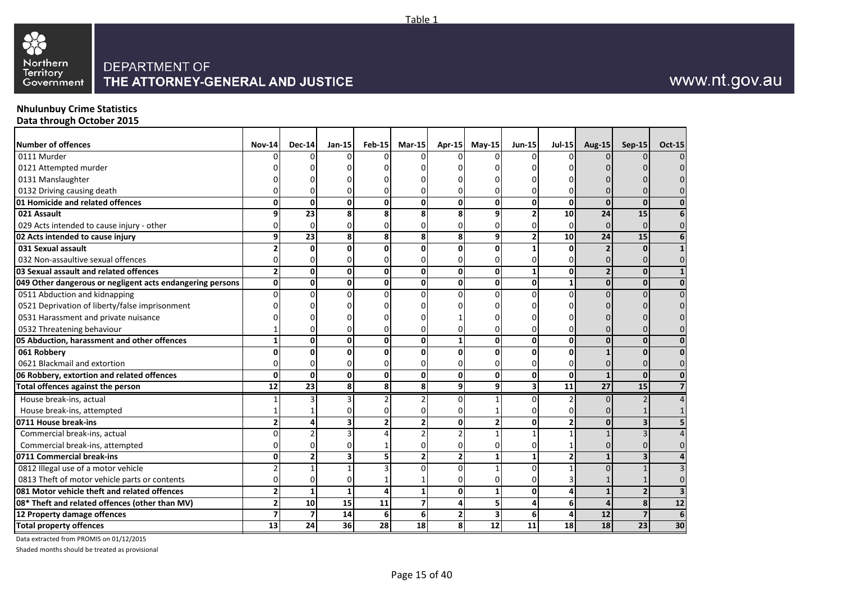

#### **Nhulunbuy Crime Statistics Data through October 2015**

| <b>Number of offences</b>                                 | <b>Nov-14</b> | <b>Dec-14</b> | Jan-15 | <b>Feb-15</b>   | $Mar-15$        | <b>Apr-15</b> | $May-15$ | <b>Jun-15</b> | <b>Jul-15</b>  | <b>Aug-15</b>   | Sep-15          | <b>Oct-15</b>  |
|-----------------------------------------------------------|---------------|---------------|--------|-----------------|-----------------|---------------|----------|---------------|----------------|-----------------|-----------------|----------------|
| 0111 Murder                                               |               |               |        |                 |                 |               |          |               |                |                 |                 |                |
| 0121 Attempted murder                                     |               |               |        |                 |                 |               |          |               |                |                 |                 |                |
| 0131 Manslaughter                                         |               |               |        |                 |                 |               |          |               |                |                 |                 |                |
| 0132 Driving causing death                                |               |               |        |                 |                 |               |          |               |                |                 |                 |                |
| 01 Homicide and related offences                          |               |               | 0      |                 |                 | 0             |          | 0             | 0              | 0               | $\mathbf{0}$    |                |
| 021 Assault                                               |               | 23            |        |                 |                 | 8             |          |               | 10             | 24              | 15              |                |
| 029 Acts intended to cause injury - other                 |               |               |        |                 |                 |               |          |               | 0              | 0               |                 |                |
| 02 Acts intended to cause injury                          | q             | 23            | 8      | 8               | 8               | 8             |          |               | 10             | 24              | 15              |                |
| 031 Sexual assault                                        |               |               |        |                 |                 | $\Omega$      |          |               | $\Omega$       |                 | $\Omega$        |                |
| 032 Non-assaultive sexual offences                        |               |               |        |                 |                 |               |          |               | n              |                 |                 |                |
| 03 Sexual assault and related offences                    |               |               | 0      |                 | 0               | $\Omega$      | ŋ        |               | $\mathbf 0$    | $\overline{2}$  | $\mathbf{0}$    |                |
| 049 Other dangerous or negligent acts endangering persons | 0             | ŋ             | 0      | 0               | 0               | 0             | ŋ        | 0             | $\mathbf{1}$   | 0               | $\mathbf{0}$    |                |
| 0511 Abduction and kidnapping                             |               |               |        |                 |                 |               |          | U             | $\Omega$       |                 |                 |                |
| 0521 Deprivation of liberty/false imprisonment            |               |               |        |                 |                 |               |          |               |                |                 |                 |                |
| 0531 Harassment and private nuisance                      |               |               |        |                 |                 |               |          |               |                |                 |                 |                |
| 0532 Threatening behaviour                                |               |               |        |                 |                 |               |          |               |                |                 |                 |                |
| 05 Abduction, harassment and other offences               |               | ŋ             | 0      |                 | 0               | 1             | ŋ        | 0             | $\mathbf 0$    | 0               | $\Omega$        |                |
| 061 Robbery                                               |               |               |        |                 |                 |               |          |               |                |                 |                 |                |
| 0621 Blackmail and extortion                              |               |               |        |                 |                 |               |          |               |                |                 |                 |                |
| 06 Robbery, extortion and related offences                | 0             | O             | 0      | O               | 0               | 0             | ŋ        | $\mathbf{0}$  | 0              |                 | $\mathbf{0}$    |                |
| Total offences against the person                         | 12            | 23            | 8      | 8               | 8               | 9             | q        | 3             | 11             | $\overline{27}$ | 15              |                |
| House break-ins, actual                                   |               |               |        |                 |                 |               |          | n             |                |                 |                 | 4              |
| House break-ins, attempted                                |               |               |        |                 |                 |               |          |               | 0              |                 |                 |                |
| 0711 House break-ins                                      |               |               |        |                 |                 | $\Omega$      |          | 0             | $\overline{2}$ |                 |                 |                |
| Commercial break-ins, actual                              |               |               |        |                 |                 |               |          |               |                |                 |                 |                |
| Commercial break-ins, attempted                           |               |               |        |                 |                 |               |          |               |                |                 |                 |                |
| 0711 Commercial break-ins                                 |               |               |        |                 |                 |               |          |               | $\overline{2}$ |                 |                 |                |
| 0812 Illegal use of a motor vehicle                       |               |               |        |                 |                 |               |          | n             |                |                 |                 |                |
| 0813 Theft of motor vehicle parts or contents             |               |               |        |                 |                 |               |          | n             |                |                 |                 | 0              |
| 081 Motor vehicle theft and related offences              |               |               |        |                 |                 | $\Omega$      |          | 0             | 4              |                 |                 | $\overline{3}$ |
| 08* Theft and related offences (other than MV)            |               | 10            | 15     | 11              |                 |               |          |               | 6              | 4               | 8               | 12             |
| 12 Property damage offences                               |               |               | 14     | 6               | 6               |               |          | 6             |                | 12              | 7               | 6              |
| <b>Total property offences</b>                            | 13            | 24            | 36     | $\overline{28}$ | $\overline{18}$ | 8             | 12       | 11            | 18             | 18              | $\overline{23}$ | 30             |

Data extracted from PROMIS on 01/12/2015

Shaded months should be treated as provisional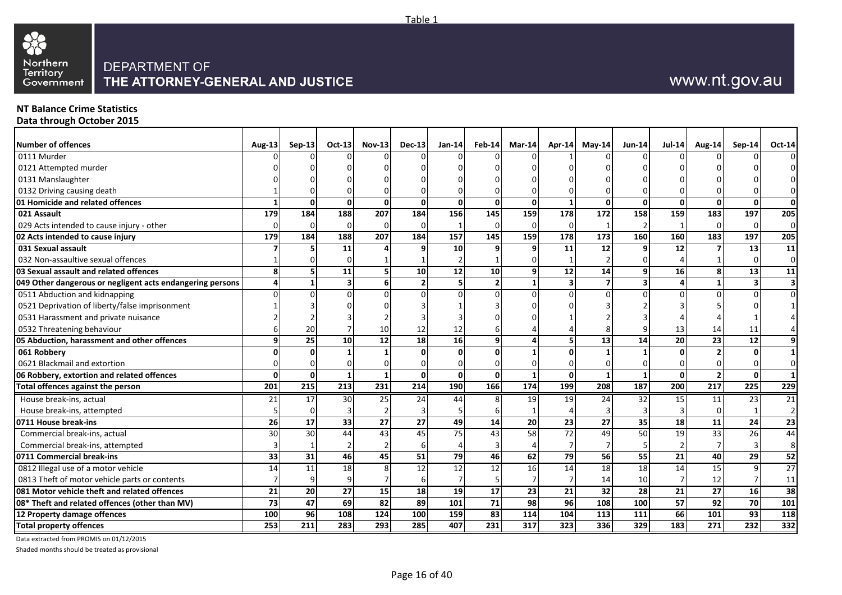

## **NT Balance Crime Statistics**

**Data through October 2015**

| Number of offences                                        | Aug-13 | $Sep-13$        | $Oct-13$     | <b>Nov-13</b>    | $Dec-13$         | Jan-14            |                 | Feb-14 Mar-14    | Apr-14           | May-14          | $Jun-14$        | <b>Jul-14</b> | Aug-14           | <b>Sep-14</b>    | Oct-14                  |
|-----------------------------------------------------------|--------|-----------------|--------------|------------------|------------------|-------------------|-----------------|------------------|------------------|-----------------|-----------------|---------------|------------------|------------------|-------------------------|
| 0111 Murder                                               |        |                 |              |                  |                  |                   |                 |                  |                  |                 |                 |               |                  |                  | $\Omega$                |
| 0121 Attempted murder                                     |        |                 |              |                  |                  |                   |                 |                  |                  |                 |                 |               |                  |                  | $\Omega$                |
| 0131 Manslaughter                                         |        |                 |              |                  |                  |                   |                 |                  |                  |                 |                 |               |                  |                  | $\Omega$                |
| 0132 Driving causing death                                |        |                 |              |                  |                  |                   |                 |                  |                  |                 |                 |               |                  |                  | $\overline{0}$          |
| 01 Homicide and related offences                          |        | $\Omega$        | $\Omega$     | $\mathbf{0}$     | $\Omega$         | $\mathbf{0}$      | $\Omega$        | $\mathbf{0}$     |                  | $\mathbf{0}$    | $\mathbf{0}$    | $\mathbf{0}$  | $\Omega$         | $\Omega$         | 0                       |
| 021 Assault                                               | 179    | 184             | 188          | 207              | 184              | 156               | 145             | 159              | $\overline{178}$ | 172             | 158             | 159           | 183              | 197              | 205                     |
| 029 Acts intended to cause injury - other                 |        | 0               | U            | $\Omega$         | $\Omega$         | 1                 | $\Omega$        | $\Omega$         | $\Omega$         | -1              | $\overline{2}$  |               | $\Omega$         | $\Omega$         | $\overline{0}$          |
| 02 Acts intended to cause injury                          | 179    | 184             | 188          | 207              | 184              | $\frac{157}{157}$ | 145             | 159              | 178              | $\frac{1}{173}$ | 160             | 160           | 183              | 197              | 205                     |
| 031 Sexual assault                                        |        |                 | 11           |                  |                  | 10                | q               |                  | 11               | 12              | 9               | 12            |                  | 13               | 11                      |
| 032 Non-assaultive sexual offences                        |        |                 |              |                  |                  |                   |                 |                  |                  |                 | $\Omega$        |               |                  |                  | $\overline{0}$          |
| 03 Sexual assault and related offences                    | 8      | 5 <sub>l</sub>  | 11           |                  | 10 <sup>1</sup>  | 12                | 10              | 9                | 12               | 14              | 9               | 16            |                  | 13               | 11                      |
| 049 Other dangerous or negligent acts endangering persons |        | $\mathbf{1}$    | 3            | 6                | $\overline{2}$   | 5                 | 2 <sup>1</sup>  | $\mathbf{1}$     | 3                | $\overline{7}$  | 3               | 4             |                  |                  | $\overline{\mathbf{3}}$ |
| 0511 Abduction and kidnapping                             |        |                 |              |                  |                  | $\Omega$          | n               | n                |                  | $\Omega$        | $\Omega$        |               |                  |                  | $\overline{0}$          |
| 0521 Deprivation of liberty/false imprisonment            |        |                 |              |                  |                  |                   |                 |                  |                  |                 |                 |               |                  |                  |                         |
| 0531 Harassment and private nuisance                      |        |                 |              |                  |                  |                   |                 |                  |                  |                 |                 |               |                  |                  |                         |
| 0532 Threatening behaviour                                |        | 20              |              |                  | 12               | 12                |                 |                  |                  |                 |                 | 13            | 14               | 11               |                         |
| 05 Abduction, harassment and other offences               | q      | $\overline{25}$ | 10           | $\overline{12}$  | 18               | 16                | 9               |                  |                  | $\overline{13}$ | 14              | 20            | 23               | 12               | 9                       |
| 061 Robbery                                               |        |                 |              |                  |                  | 0                 |                 |                  |                  |                 |                 |               |                  |                  | $\mathbf{1}$            |
| 0621 Blackmail and extortion                              |        |                 |              |                  |                  | O                 |                 |                  |                  | <sup>0</sup>    |                 |               |                  |                  | $\overline{0}$          |
| 06 Robbery, extortion and related offences                | 0      | $\mathbf{0}$    | $\mathbf{1}$ | 1                | $\mathbf{0}$     | $\mathbf{0}$      | $\Omega$        | $\mathbf{1}$     | $\mathbf{0}$     | $\mathbf{1}$    | $\mathbf{1}$    | $\mathbf{0}$  | $\overline{2}$   | $\Omega$         | $\mathbf{1}$            |
| Total offences against the person                         | 201    | 215             | 213          | 231              | $\overline{214}$ | <b>190</b>        | 166             | 174              | 199              | 208             | 187             | 200           | $\overline{217}$ | $\overline{225}$ | 229                     |
| House break-ins, actual                                   | 21     | 17              | 30           | 25               | 24               | 44                | 8               | 19               | 19               | 24              | 32              | 15            | 11               | 23               | 21                      |
| House break-ins, attempted                                |        | $\Omega$        |              |                  |                  | 5                 |                 |                  |                  | $\mathbf{3}$    | 3               |               | $\Omega$         |                  | 2 <sub>l</sub>          |
| 0711 House break-ins                                      | 26     | $\overline{17}$ | 33           | $\overline{27}$  | 27               | 49                | 14              | 20               | 23               | 27              | 35              | 18            | 11               | 24               | $\overline{23}$         |
| Commercial break-ins, actual                              | 30     | 30              | 44           | 43               | 45               | 75                | 43              | 58               | 72               | 49              | 50              | 19            | 33               | 26               | 44                      |
| Commercial break-ins, attempted                           |        |                 |              |                  | $6 \mid$         |                   |                 |                  |                  | 7               | 5               |               |                  |                  | 8                       |
| 0711 Commercial break-ins                                 | 33     | 31              | 46           | 45               | 51               | 79                | 46              | 62               | $\overline{79}$  | 56              | $\overline{55}$ | 21            | 40               | 29               | 52                      |
| 0812 Illegal use of a motor vehicle                       | 14     | 11              | 18           |                  | 12               | 12                | 12              | 16               | 14               | 18              | 18              | 14            | 15               |                  | 27                      |
| 0813 Theft of motor vehicle parts or contents             |        | 9               |              |                  |                  |                   |                 |                  |                  | 14              | 10              |               | 12               |                  | 11                      |
| 081 Motor vehicle theft and related offences              | 21     | 20              | 27           | 15 <sup>1</sup>  | 18 <sup>1</sup>  | 19                | 17              | 23               | 21               | 32              | 28              | 21            | 27               | 16               | 38                      |
| 08* Theft and related offences (other than MV)            | 73     | 47              | 69           | $\overline{82}$  | 89               | $\frac{101}{101}$ | $\overline{71}$ | $\overline{98}$  | 96               | 108             | 100             | 57            | $\overline{92}$  | 70               | 101                     |
| 12 Property damage offences                               | 100    | 96              | 108          | 124              | 100              | 159               | 83              | 114              | 104              | 113             | 111             | 66            | 101              | 93               | 118                     |
| <b>Total property offences</b>                            | 253    | 211             | 283          | $\overline{293}$ | 285              | 407               | 231             | $\overline{317}$ | 323              | 336             | 329             | 183           | $\overline{271}$ | 232              | 332                     |

Table 1

Data extracted from PROMIS on 01/12/2015

Shaded months should be treated as provisional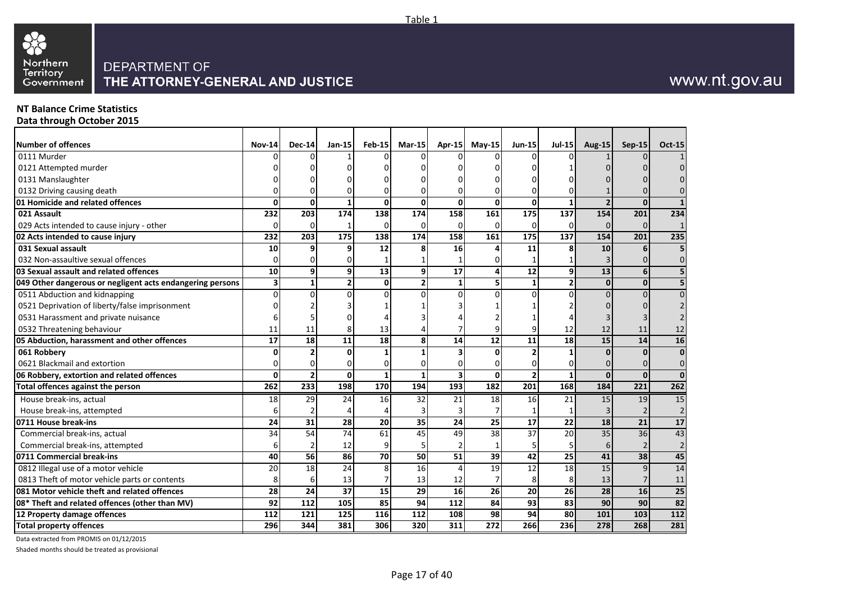

#### **NT Balance Crime Statistics Data through October 2015**

| <b>Number of offences</b>                                 | <b>Nov-14</b> | <b>Dec-14</b>  | $Jan-15$       | <b>Feb-15</b> | $Mar-15$ | Apr-15                  | $Mav-15$ | <b>Jun-15</b> | <b>Jul-15</b>   | <b>Aug-15</b>   | <b>Sep-15</b>    | <b>Oct-15</b>  |
|-----------------------------------------------------------|---------------|----------------|----------------|---------------|----------|-------------------------|----------|---------------|-----------------|-----------------|------------------|----------------|
| 0111 Murder                                               |               |                |                |               |          |                         |          |               |                 |                 |                  |                |
| 0121 Attempted murder                                     |               |                |                |               |          |                         |          |               |                 |                 |                  |                |
| 0131 Manslaughter                                         |               |                |                |               |          |                         |          |               |                 |                 |                  |                |
| 0132 Driving causing death                                |               |                |                |               |          |                         |          |               |                 |                 |                  |                |
| 01 Homicide and related offences                          | U             | O              |                | $\Omega$      | $\Omega$ | $\Omega$                | O        | <sup>0</sup>  |                 |                 | $\Omega$         |                |
| 021 Assault                                               | 232           | 203            | 174            | 138           | 174      | 158                     | 161      | 175           | 137             | 154             | 201              | 234            |
| 029 Acts intended to cause injury - other                 | O             | ŋ              |                | $\Omega$      | 0        | $\Omega$                | $\Omega$ | $\Omega$      | $\Omega$        | $\Omega$        | $\Omega$         |                |
| 02 Acts intended to cause injury                          | 232           | 203            | 175            | 138           | 174      | 158                     | 161      | 175           | 137             | 154             | 201              | 235            |
| 031 Sexual assault                                        | 10            | q              | q              | 12            | 8        | 16                      |          | 11            | 8               | 10              | 6                | 5              |
| 032 Non-assaultive sexual offences                        | O             |                | U              |               |          |                         |          |               |                 |                 |                  | $\Omega$       |
| 03 Sexual assault and related offences                    | 10            | 9              | 9              | 13            | 9        | 17                      |          | 12            | 9               | 13              | 6                | 5              |
| 049 Other dangerous or negligent acts endangering persons | 3             | 1              | $\overline{2}$ | $\mathbf{0}$  | 2        | $\mathbf{1}$            |          | 1             | $\overline{2}$  | 0               | $\mathbf{0}$     |                |
| 0511 Abduction and kidnapping                             | 0             |                | $\Omega$       |               |          |                         |          | U             | O               |                 |                  |                |
| 0521 Deprivation of liberty/false imprisonment            |               |                |                |               |          |                         |          |               |                 |                 |                  |                |
| 0531 Harassment and private nuisance                      |               |                |                |               |          |                         |          |               |                 |                 |                  |                |
| 0532 Threatening behaviour                                | 11            | 11             |                | 13            |          |                         |          |               | 12              | 12              | 11               | 12             |
| 05 Abduction, harassment and other offences               | 17            | 18             | 11             | 18            | 8        | 14                      | 12       | 11            | 18              | 15              | 14               | 16             |
| 061 Robbery                                               |               |                | $\Omega$       |               |          |                         |          |               |                 | <sup>0</sup>    | $\Omega$         | 0              |
| 0621 Blackmail and extortion                              |               |                | 0              |               |          |                         |          |               | 0               |                 |                  | 0              |
| 06 Robbery, extortion and related offences                | $\mathbf{0}$  | $\overline{2}$ | 0              | 1             | 1        | $\overline{\mathbf{3}}$ | U        |               | 1               | $\Omega$        | $\mathbf{0}$     | $\mathbf 0$    |
| Total offences against the person                         | 262           | 233            | 198            | 170           | 194      | 193                     | 182      | 201           | 168             | 184             | $\overline{221}$ | 262            |
| House break-ins, actual                                   | 18            | 29             | 24             | 16            | 32       | 21                      | 18       | 16            | 21              | 15              | 19               | 15             |
| House break-ins, attempted                                | 6             |                |                |               |          |                         |          |               |                 | 3               |                  | $\overline{2}$ |
| 0711 House break-ins                                      | 24            | 31             | 28             | 20            | 35       | 24                      | 25       | 17            | $\overline{22}$ | 18              | 21               | 17             |
| Commercial break-ins, actual                              | 34            | 54             | 74             | 61            | 45       | 49                      | 38       | 37            | 20              | $\overline{35}$ | $\overline{36}$  | 43             |
| Commercial break-ins, attempted                           |               |                | 12             |               |          |                         |          |               |                 | 6               |                  |                |
| 0711 Commercial break-ins                                 | 40            | 56             | 86             | 70            | 50       | 51                      | 39       | 42            | 25              | 41              | 38               | 45             |
| 0812 Illegal use of a motor vehicle                       | 20            | 18             | 24             |               | 16       |                         | 19       | 12            | 18              | 15              | 9                | 14             |
| 0813 Theft of motor vehicle parts or contents             | 8             | 6              | 13             |               | 13       | 12                      |          |               | 8               | 13              |                  | 11             |
| 081 Motor vehicle theft and related offences              | 28            | 24             | 37             | 15            | 29       | 16                      | 26       | 20            | 26              | 28              | 16               | 25             |
| 08* Theft and related offences (other than MV)            | 92            | 112            | 105            | 85            | 94       | 112                     | 84       | 93            | 83              | 90              | 90               | 82             |
| 12 Property damage offences                               | 112           | 121            | 125            | 116           | 112      | 108                     | 98       | 94            | 80              | 101             | 103              | 112            |
| <b>Total property offences</b>                            | 296           | 344            | 381            | 306           | 320      | 311                     | 272      | 266           | 236             | 278             | 268              | 281            |

Data extracted from PROMIS on 01/12/2015

Shaded months should be treated as provisional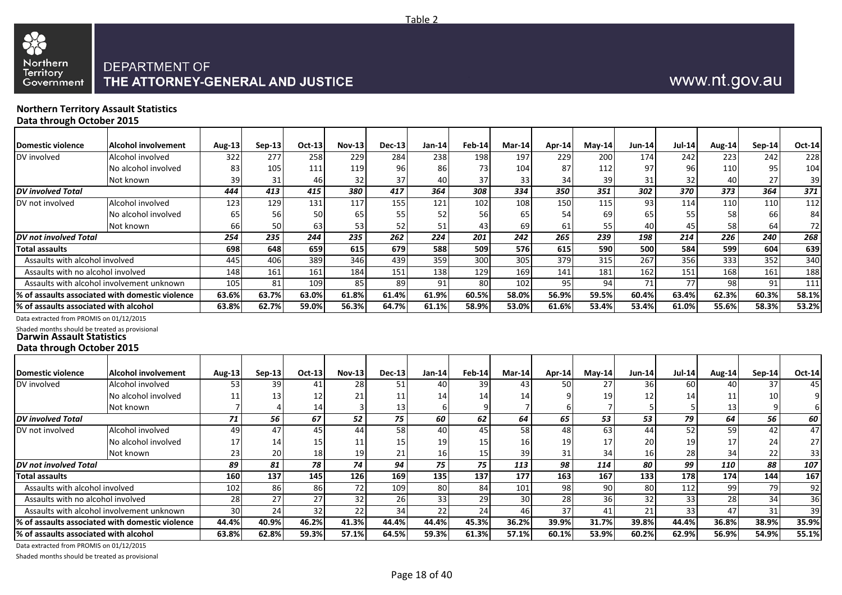

#### **Northern Territory Assault Statistics Data through October 2015**

| <b>Domestic violence</b>                                                           | <b>Alcohol involvement</b>                      | Aug-13                | $Sep-13$  | Oct-13 | <b>Nov-13</b>  | <b>Dec-13</b> | $Jan-14$ | $Feb-14$ | Mar-14 | Apr-14 | $May-14$ | <b>Jun-14</b> | <b>Jul-14</b> | <b>Aug-14</b> | $Sep-14$ | Oct-14 |
|------------------------------------------------------------------------------------|-------------------------------------------------|-----------------------|-----------|--------|----------------|---------------|----------|----------|--------|--------|----------|---------------|---------------|---------------|----------|--------|
|                                                                                    |                                                 |                       |           |        |                |               |          |          |        |        |          |               |               |               |          |        |
| DV involved                                                                        | Alcohol involved                                | 322                   | 277       | 258    | 229            | 284           | 238      | 198      | 197    | 229    | 200      | 174           | 242           | 223           | 242      | 228    |
|                                                                                    | No alcohol involved                             | 83                    | 105       | 111    | 119            | 96            | 86       | 73       | 104    | 87     | 112      | 97            | 96            | 110           | 95       | 104    |
|                                                                                    | Not known                                       | 39                    | 31        | 46     | 32             | 37            | 40       | 37       | 33     | 34     | 39       | 31            | 32            | 40            | 27       | 39     |
| DV involved Total                                                                  |                                                 | 444                   | 413       | 415    | 380            | 417           | 364      | 308      | 334    | 350    | 351      | 302           | 370           | 373           | 364      | 371    |
| DV not involved                                                                    | Alcohol involved                                | 123                   | 129       | 131    | 117            | 155           | 121      | 102      | 108    | 150    | 115      | 93            | 114           | 110           | 110      | 112    |
|                                                                                    | No alcohol involved                             | 65                    | 56        | 50     | 65             | 55            | 52       | 56       | 65     | 54     | 69       | 65            | 55            | 58            | 66       | 84     |
|                                                                                    | Not known                                       | 66                    | <b>50</b> | 63     | 53             | 52            | 51       | 43       | 69     | 61     | 55       | 40            | 45            | 58            | 64       | 72     |
| DV not involved Total                                                              |                                                 | 254                   | 235       | 244    | 235            | 262           | 224      | 201      | 242    | 265    | 239      | 198           | 214           | 226           | 240      | 268    |
| <b>Total assaults</b>                                                              |                                                 | 698                   | 648       | 659    | 615            | 679           | 588      | 509      | 576    | 615    | 590      | 500           | 584           | 599           | 604      | 639    |
| Assaults with alcohol involved                                                     |                                                 | 445                   | 406       | 389    | 346            | 439           | 359      | 300      | 305    | 379    | 315      | 267           | 356           | 333           | 352      | 340    |
| Assaults with no alcohol involved                                                  |                                                 | 148                   | 161       | 161    | 184            | 151           | 138      | 129      | 169    | 141    | 181      | 162           | 151           | 168           | 161      | 188    |
|                                                                                    | Assaults with alcohol involvement unknown       | 105                   | 81        | 109    | 85             | 89            | 91       | 80       | 102    | 95     | 94       | 71            | 77            | 98            | 91       | 111    |
|                                                                                    | % of assaults associated with domestic violence | 63.6%                 | 63.7%     | 63.0%  | 61.8%          | 61.4%         | 61.9%    | 60.5%    | 58.0%  | 56.9%  | 59.5%    | 60.4%         | 63.4%         | 62.3%         | 60.3%    | 58.1%  |
| % of assaults associated with alcohol                                              |                                                 | 63.8%                 | 62.7%     | 59.0%  | 56.3%          | 64.7%         | 61.1%    | 58.9%    | 53.0%  | 61.6%  | 53.4%    | 53.4%         | 61.0%         | 55.6%         | 58.3%    | 53.2%  |
| Data extracted from PROMIS on 01/12/2015                                           |                                                 |                       |           |        |                |               |          |          |        |        |          |               |               |               |          |        |
| Shaded months should be treated as provisional<br><b>Darwin Assault Statistics</b> |                                                 |                       |           |        |                |               |          |          |        |        |          |               |               |               |          |        |
| Data through October 2015                                                          |                                                 |                       |           |        |                |               |          |          |        |        |          |               |               |               |          |        |
|                                                                                    |                                                 |                       |           |        |                |               |          |          |        |        |          |               |               |               |          |        |
| <b>Domestic violence</b>                                                           | <b>Alcohol involvement</b>                      | Aug-13 $\blacksquare$ | Sep-13    | Oct-13 | <b>Nov-131</b> | $Dec-13$      | Jan-14   | Feb-14   | Mar-14 | Apr-14 | $Mav-14$ | <b>Jun-14</b> | $Jul-14$      | <b>Aug-14</b> | Sep-14   | Oct-14 |

Table 2

| <b>IDomestic violence</b>              | Alcohol involvement                             | Aug-13 | $Sen-13$        | $Oct-13I$       | $Nov-13$ | Dec-13 | Jan-14l    | Feb-14 | Mar-14          | Apr-14 | Mav-14 | <b>Jun-14</b>   | <b>Jul-14</b> | <b>Aug-14</b> | $Sen-14$ | Oct-14          |
|----------------------------------------|-------------------------------------------------|--------|-----------------|-----------------|----------|--------|------------|--------|-----------------|--------|--------|-----------------|---------------|---------------|----------|-----------------|
| DV involved                            | Alcohol involved                                | 53     | 39              | 41              | 28       | 51     | 40         | 39     | 43              | 50     | 27     | 36              | 60            | 40            | 37       | 45              |
|                                        | No alcohol involved                             |        | 13              | 12              |          |        | 14         |        |                 |        | 19     |                 | 14            |               | 10       |                 |
|                                        | Not known                                       |        |                 | 14              |          | 13     |            |        |                 |        |        |                 |               | 13            |          |                 |
| <b>IDV</b> involved Total              |                                                 | 71     | 56              | 67              | 52       | 75     | 60         | 62     | 64              | 65     | 53     | 53              | 79            | 64            | 56       | <b>60</b>       |
| DV not involved                        | Alcohol involved                                | 49     | 47              | 45 l            | 441      | 58     | 40         | 45     | 58              | 48     | 63     | 44              | 52            | 59            | 42       | 47              |
|                                        | No alcohol involved                             | 17     | 14              | 15 <sup>1</sup> |          | 15     | 19         |        | 16 I            |        | 17     | 20              | 19            | 17            | 24       | 27 <sup>1</sup> |
|                                        | Not known                                       | 23     | 20 <sub>l</sub> | 18              | 19       |        | 16I        |        | 39              |        | 34     | 16 <sub>1</sub> | 28            | 34            | 22       | 33              |
| <b>IDV</b> not involved Total          |                                                 | 89     | 81              | 78              | 74       | 94     | 75         | 75     | 113             | 98     | 114    | 80              | 99            | 110           | 88       | 107             |
| Total assaults                         |                                                 | 160    | 137             | 145             | 126      | 169    | <b>135</b> | 137    | 177             | 163    | 167    | 133             | 178           | 174           | 144      | 167             |
| Assaults with alcohol involved         |                                                 | 102    | 86              | 86              | 72       | 109    | 80I        | 84     | 101             | 98     | 90     | 80              | 112           | -99           | 79       | 92              |
| Assaults with no alcohol involved      |                                                 | 28     | 27              | 27              | 32       | 261    | 33         | 29     | 30 <sup>l</sup> | 281    | 361    | 32              | 33            | 28            | 34       | 36              |
|                                        | Assaults with alcohol involvement unknown       | 30     | 24              | 32              | 22       | 34     | 221        | 24     | 46              | 37     | 41     | 21              | 33            | 47            | 31       | 39              |
|                                        | % of assaults associated with domestic violence | 44.4%  | 40.9%           | 46.2%           | 41.3%    | 44.4%  | 44.4%      | 45.3%  | 36.2%           | 39.9%  | 31.7%  | 39.8%           | 44.4%         | 36.8%         | 38.9%    | 35.9%           |
| 1% of assaults associated with alcohol |                                                 | 63.8%  | 62.8%           | 59.3%           | 57.1%    | 64.5%  | 59.3%      | 61.3%  | 57.1%           | 60.1%  | 53.9%  | 60.2%           | 62.9%         | 56.9%         | 54.9%    | 55.1%           |

Data extracted from PROMIS on 01/12/2015

Shaded months should be treated as provisional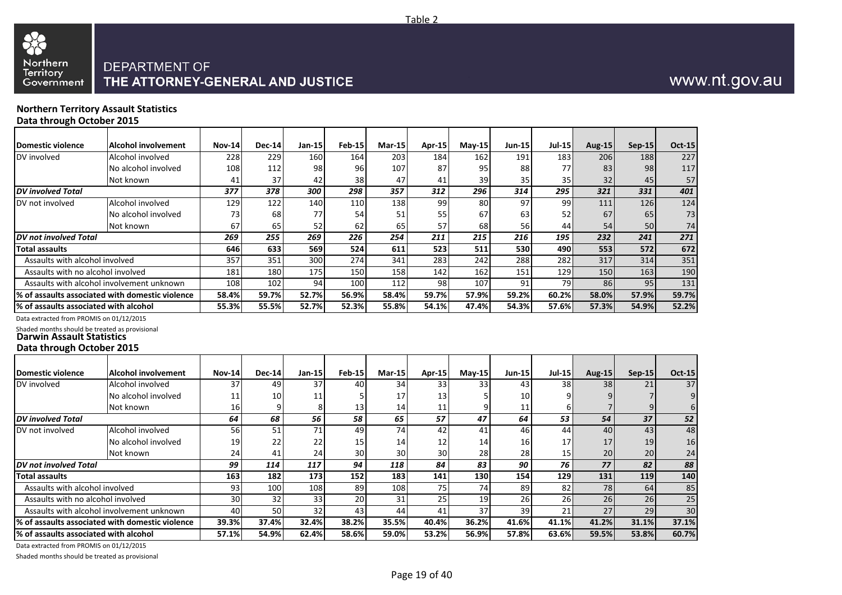

# THE ATTORNEY-GENERAL AND JUSTICE

#### **Northern Territory Assault Statistics Data through October 2015**

**Domestic violence Alcohol involvement** DV involved **Alcohol** involved No alcohol involved Not known *DV involved Total* DV not involved Alcohol involved No alcohol involved Not known *DV not involved Total* **Total assaults** Assaults with alcohol involved Assaults with no alcohol involved Assaults with alcohol involvement unknown **% of assaults associated with domestic violence % of assaults associated with alcohol** Data extracted from PROMIS on 01/12/2015 Shaded months should be treated as provisional **Darwin Assault Statistics Nov-14 Dec-14 Jan-15 Feb-15 Mar-15 Apr-15 May-15 Jun-15 Jul-15 Aug-15 Sep-15 Oct-15** 228 229 160 164 203 184 162 191 183 206 188 227 108 112 98 96 107 87 95 88 77 83 98 117 41 37 42 38 47 41 39 35 35 32 45 57 *377 378 300 298 357 312 296 314 295 321 331 401* 129 122 140 110 138 99 80 97 99 111 126 124 73| 68| 77| 54| 51| 55| 67| 63| 52| 67| 65| 73 67 65 52 62 65 57 68 56 44 54 50 74 *269 255 269 226 254 211 215 216 195 232 241 271* **646 633 569 524 611 523 511 530 490 553 572 672** 357 351 300 274 341 283 242 288 282 317 314 351 181| 180| 175| 150| 158| 142| 162| 151| 129| 150| 163| 190 108 102 94 100 112 98 107 91 79 86 95 131 **58.4% 59.7% 52.7% 56.9% 58.4% 59.7% 57.9% 59.2% 60.2% 58.0% 57.9% 59.7% 55.3% 55.5% 52.7% 52.3% 55.8% 54.1% 47.4% 54.3% 57.6% 57.3% 54.9% 52.2%**

#### **Data through October 2015**

| Domestic violence                      | Alcohol involvement                              | <b>Nov-14</b>   | <b>Dec-14</b> | Jan-15          | <b>Feb-15</b>   | $Mar-15$        | <b>Apr-15</b> | $May-15$   | <b>Jun-15</b> | <b>Jul-15</b>   | <b>Aug-15</b> | $Sep-15$   | <b>Oct-15</b> |
|----------------------------------------|--------------------------------------------------|-----------------|---------------|-----------------|-----------------|-----------------|---------------|------------|---------------|-----------------|---------------|------------|---------------|
| DV involved                            | Alcohol involved                                 | 37              | 49            | 37              | 40              | 34              | 33            | 33         | 43            | 38 <sup>l</sup> | 38            | 21         | 37            |
|                                        | No alcohol involved                              | 11              | 10            |                 |                 | 17              | 13            |            | 10            |                 |               |            |               |
|                                        | Not known                                        | 16              |               |                 | 13              | 14 <sub>l</sub> | 11            |            | 11            |                 |               |            |               |
| <b>DV</b> involved Total               |                                                  | 64              | 68            | 56              | 58              | 65              | 57            | 47         | 64            | 53              | 54            | 37         | 52            |
| DV not involved                        | Alcohol involved                                 | 56              | 51            | 71              | 49              | 74              | 42            | 41         | 46            | 44              | 40            | 43         | 48            |
|                                        | No alcohol involved                              | 19              | 22            | 22              | 15              | 14 <sub>1</sub> | 12            | 14         | <b>16</b>     | 17 <sup>1</sup> | 17            | 19         | 16            |
|                                        | Not known                                        | 24              | 41            | 24              | 30 <sub>1</sub> | 30              | 30            | 28         | 28            | 15 <sub>l</sub> | 20            | 20         | 24            |
| <b>DV</b> not involved Total           |                                                  | 99              | 114           | 117             | 94              | 118             | 84            | 83         | 90            | 76              | 77            | 82         | 88            |
| <b>Total assaults</b>                  |                                                  | <b>163</b>      | 182           | 173             | 152             | 183             | 141           | <b>130</b> | 154           | <b>129</b>      | 131           | <b>119</b> | 140           |
| Assaults with alcohol involved         |                                                  | 93              | 100           | 108             | 89              | 108             | 75            | 74         | 89            | 82              | 78            | 64         | 85            |
| Assaults with no alcohol involved      |                                                  | 30 <sup>1</sup> | 32            | 33 <sup>1</sup> | 20 <sup>1</sup> | 31              | 25            | 19         | 26            | <b>26</b>       | 26            | 26         | 25            |
|                                        | Assaults with alcohol involvement unknown        | 40              | 50            | 32 <sub>1</sub> | 43              | 44              | 41            | 37         | 39            | 21              | 27            | 29         | 30            |
|                                        | I% of assaults associated with domestic violence | 39.3%           | 37.4%         | 32.4%           | 38.2%           | 35.5%           | 40.4%         | 36.2%      | 41.6%         | 41.1%           | 41.2%         | 31.1%      | 37.1%         |
| l% of assaults associated with alcohol |                                                  | 57.1%           | 54.9%         | 62.4%           | 58.6%           | 59.0%           | 53.2%         | 56.9%      | 57.8%         | 63.6%           | 59.5%         | 53.8%      | 60.7%         |

Data extracted from PROMIS on 01/12/2015

Shaded months should be treated as provisional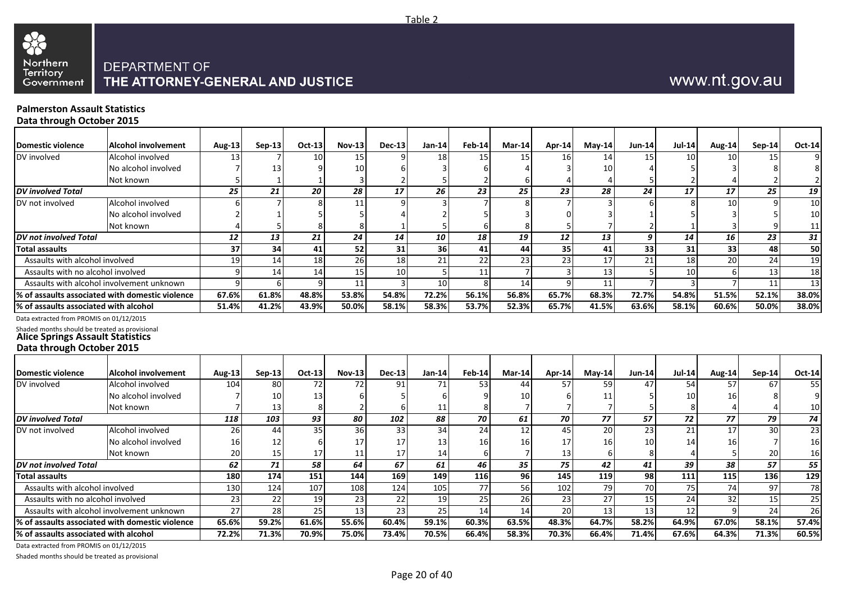

# www.nt.gov.au

#### **Palmerston Assault Statistics Data through October 2015**

| <b>Domestic violence</b>                                                                  | <b>Alcohol involvement</b>                      | <b>Aug-13</b>  | $Sen-13$       | $Oct-13$        | <b>Nov-13</b> | <b>Dec-13</b> | $Jan-14$ | Feb-14        | Mar-14 | Apr-14          | $May-14$        | $Jun-14$      | <b>Jul-14</b> | <b>Aug-14</b> | $Sep-14$ | <b>Oct-14</b>   |
|-------------------------------------------------------------------------------------------|-------------------------------------------------|----------------|----------------|-----------------|---------------|---------------|----------|---------------|--------|-----------------|-----------------|---------------|---------------|---------------|----------|-----------------|
| DV involved                                                                               | Alcohol involved                                | 13             |                | 10 <sup>1</sup> | 15            |               | 18       | 15            | 15     | 16 <sup>1</sup> | 14              | 15            | 10            | 10            | 15       |                 |
|                                                                                           | No alcohol involved                             |                |                |                 | 10            |               |          |               |        |                 | 10              |               |               |               |          |                 |
|                                                                                           | Not known                                       |                |                |                 |               |               |          |               |        |                 |                 |               |               |               |          | 2               |
| <b>DV</b> involved Total                                                                  |                                                 | 25             | 21             | 20              | 28            | 17            | 26       | 23            | 25     | 23              | 28              | 24            | 17            | 17            | 25       | 19              |
| DV not involved                                                                           | Alcohol involved                                |                |                | $\mathsf{R}$    | 11            |               |          |               |        |                 |                 |               |               | 10            | q        | 10              |
|                                                                                           | No alcohol involved                             |                |                |                 |               |               |          |               |        |                 |                 |               |               |               |          | 10              |
|                                                                                           | Not known                                       |                |                | 8               |               |               |          |               |        |                 |                 |               |               |               |          | 11              |
| DV not involved Total                                                                     |                                                 | 12             | 13             | 21              | 24            | 14            | 10       | 18            | 19     | 12              | 13              | 9             | 14            | 16            | 23       | 31              |
| <b>Total assaults</b>                                                                     |                                                 | 37             | 34             | 41              | 52            | 31            | 36       | 41            | 44     | 35              | 41              | 33            | 31            | 33            | 48       | 50              |
| Assaults with alcohol involved                                                            |                                                 | 19             | 14             | 18              | 26            | 18            | 21       | 22            | 23     | 23              | 17              | 21            | 18            | 20            | 24       | 19              |
| Assaults with no alcohol involved                                                         |                                                 | $\overline{9}$ | 14             | 14              | 15            | 10            |          | 11            |        |                 | 13              |               | 10            |               | 13       | 18              |
|                                                                                           | Assaults with alcohol involvement unknown       | $\mathbf{q}$   | 6 <sup>1</sup> | $\mathbf{q}$    | 11            |               | 10       |               | 14     |                 | 11              |               |               |               | 11       | 13              |
|                                                                                           | % of assaults associated with domestic violence | 67.6%          | 61.8%          | 48.8%           | 53.8%         | 54.8%         | 72.2%    | 56.1%         | 56.8%  | 65.7%           | 68.3%           | 72.7%         | 54.8%         | 51.5%         | 52.1%    | 38.0%           |
| % of assaults associated with alcohol                                                     |                                                 | 51.4%          | 41.2%          | 43.9%           | 50.0%         | 58.1%         | 58.3%    | 53.7%         | 52.3%  | 65.7%           | 41.5%           | 63.6%         | 58.1%         | 60.6%         | 50.0%    | 38.0%           |
| Data extracted from PROMIS on 01/12/2015                                                  |                                                 |                |                |                 |               |               |          |               |        |                 |                 |               |               |               |          |                 |
| Shaded months should be treated as provisional<br><b>Alice Springs Assault Statistics</b> |                                                 |                |                |                 |               |               |          |               |        |                 |                 |               |               |               |          |                 |
| Data through October 2015                                                                 |                                                 |                |                |                 |               |               |          |               |        |                 |                 |               |               |               |          |                 |
|                                                                                           |                                                 |                |                |                 |               |               |          |               |        |                 |                 |               |               |               |          |                 |
| <b>Domestic violence</b>                                                                  | <b>Alcohol involvement</b>                      | <b>Aug-13</b>  | $Sep-13$       | <b>Oct-13</b>   | <b>Nov-13</b> | <b>Dec-13</b> | Jan-14   | <b>Feb-14</b> | Mar-14 | Apr-14          | $Mav-14$        | <b>Jun-14</b> | <b>Jul-14</b> | <b>Aug-14</b> | Sep-14   | <b>Oct-14</b>   |
| DV involved                                                                               | Alcohol involved                                | 104            | 80             | 72              | 72            | 91            | 71       | 53            | 44     | 57              | 59              | 47            | 54            | 57            | 67       | 55              |
|                                                                                           | No alcohol involved                             |                | 10             | 13              |               |               |          |               | 10     |                 | 11              |               | 10            | 16            |          | 9               |
|                                                                                           | Not known                                       |                | 13             | 8               |               |               | 11       |               |        |                 |                 |               |               |               |          | 10              |
| <b>DV</b> involved Total                                                                  |                                                 | 118            | 103            | 93              | 80            | 102           | 88       | 70            | 61     | 70              | 77              | 57            | 72            | 77            | 79       | 74              |
| DV not involved                                                                           | Alcohol involved                                | 26             | 44             | 35              | 36            | 33            | 34       | 24            | 12     | 45              | 20              | 23            | 21            | 17            | 30       | $\overline{23}$ |
|                                                                                           | No alcohol involved                             | 16             | 12             |                 | 17            | 17            | 13       | 16            | 16     | 17              | 16 <sub>1</sub> | 10            | 14            |               |          | 16              |
|                                                                                           | Not known                                       | 20             | 15             | 17              | 11            | 17            | 14       |               |        | 13              | 6               | 8             |               |               | 20       | 16              |

Data extracted from PROMIS on 01/12/2015

Shaded months should be treated as provisional

Table 2

*DV not involved Total 62 71 58 64 67 61 46 35 75 42 41 39 38 57 55* **Total assaults 180 174 151 144 169 149 116 96 145 119 98 111 115 136 129** Assaults with alcohol involved 130 124 107 108 124 105 77 56 102 79 70 75 74 97 78<br>Assaults with no alcohol involved 23 22 19 23 22 19 25 26 23 27 15 24 32 15 25

Assaults with alcohol involvement unknown 27 28 25 13 23 25 14 14 20 13 13 12 9 24 26

% of assaults associated with alcohol | 72.2% | 71.3% | 70.9% | 75.0% | 73.4% | 70.5% | 66.4% | 70.3% | 66.4% | 71.4% | 67.6% | 64.3% | 71.3% | 60.5%

Assaults with no alcohol involved 23 22 19 23 22 22 19 25 26 23 27 15 24 32 15

% of assaults associated with domestic violence  $\vert$  65.6% 59.2% 61.6% 60.4% 60.4% 59.1% 60.3% 63.5% 48.3% 64.7% 58.2% 64.9% 64.9% 67.0% 58.1%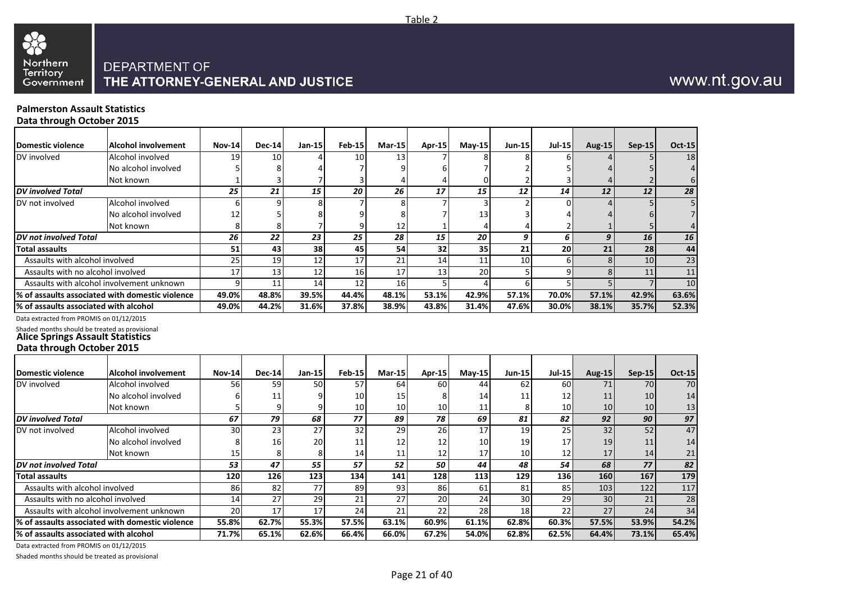

#### **Palmerston Assault Statistics Data through October 2015**

**Domestic violence Alcohol involvement** DV involved **Alcohol** involved No alcohol involved Not known *DV involved Total* DV not involved Alcohol involved No alcohol involved Not known *DV not involved Total* **Total assaults** Assaults with alcohol involved Assaults with no alcohol involved Assaults with alcohol involvement unknown **% of assaults associated with domestic violence % of assaults associated with alcohol Nov-14 Dec-14 Jan-15 Feb-15 Mar-15 Apr-15 May-15 Jun-15 Jul-15 Aug-15 Sep-15 Oct-15** 19 10 4 10 13 7 8 8 6 4 5 18 5 8 4 7 9 6 7 2 5 4 5 4 1 3 7 3 4 4 0 2 3 4 2 6 *25 21 15 20 26 17 15 12 14 12 12 28* 6 9 8 7 8 7 3 2 0 4 5 5 12 5 8 9 8 7 13 3 4 4 6 7 8 8 8 7 9 12 1 4 4 2 1 5 4 *26 22 23 25 28 15 20 9 6 9 16 16* **51 43 38 45 54 32 35 21 20 21 28 44** 25 19 12 17 21 14 11 10 6 8 10 23 17 13 12 16 17 13 20 5 9 8 11 11 9 11 14 12 16 5 4 6 5 5 7 10 **49.0% 48.8% 39.5% 44.4% 48.1% 53.1% 42.9% 57.1% 70.0% 57.1% 42.9% 63.6% 49.0% 44.2% 31.6% 37.8% 38.9% 43.8% 31.4% 47.6% 30.0% 38.1% 35.7% 52.3%**

Data extracted from PROMIS on 01/12/2015

Shaded months should be treated as provisional **Alice Springs Assault Statistics**

#### **Data through October 2015**

| <b>Domestic violence</b>              | Alcohol involvement                             | <b>Nov-14</b>   | <b>Dec-14</b> | $Jan-15$ | <b>Feb-15</b>   | Mar-15          | Apr-15 | $May-15$   | Jun-15          | $Jul-15$        | <b>Aug-15</b> | $Sep-15$        | <b>Oct-15</b> |
|---------------------------------------|-------------------------------------------------|-----------------|---------------|----------|-----------------|-----------------|--------|------------|-----------------|-----------------|---------------|-----------------|---------------|
| DV involved                           | Alcohol involved                                | 56 I            | 59            | 50       | 57              | 64              | 60     | 44         | 62              | 60 l            | 71            | 70              | 70            |
|                                       | No alcohol involved                             |                 | 11            |          | 10              | 15 <sup>1</sup> |        | 14         | 11              | 12              | 11            | 10              | 14            |
|                                       | Not known                                       |                 |               |          | 10 <sub>1</sub> | 10 <sup>1</sup> | 10     | 11         |                 | 10 <sup>1</sup> | <b>10</b>     | 10 <sup>1</sup> | 13            |
| <b>DV</b> involved Total              |                                                 | 67              | 79            | 68       | 77              | 89              | 78     | 69         | 81              | 82              | 92            | 90              | 97            |
| DV not involved                       | Alcohol involved                                | 30              | 23            | 27       | 32              | 29              | 26     | 17         | 19 I            | 25              | 32            | 52              | 47            |
|                                       | No alcohol involved                             |                 | 16            | 20       |                 | 12              | 12     | 10         | 19              | 17              | 19            | 11              | 14            |
|                                       | Not known                                       | 15              |               |          | 14              | 11              | 12     | 17         | 10 <sup>1</sup> | 12              | 17            | 14              | 21            |
| DV not involved Total                 |                                                 | 53              | 47            | 55       | 57              | 52              | 50     | 44         | 48              | 54              | 68            | 77              | 82            |
| <b>Total assaults</b>                 |                                                 | <b>120</b>      | 126           | 123      | 134             | 141             | 128    | <b>113</b> | 129             | 136 I           | 160           | 167             | 179           |
| Assaults with alcohol involved        |                                                 | 86              | 82            | 771      | 89              | 93              | 86     | 61         | 81              | 85              | 103           | 122             | 117           |
| Assaults with no alcohol involved     |                                                 | 14 <sup>1</sup> | 27            | 29       | 21              | 27              | 20     | 24         | 30 <sup>l</sup> | 29              | 30            | 21              | 28            |
|                                       | Assaults with alcohol involvement unknown       | 20              | 17            | 17       | 24              | 21              | 22     | 28         | 18              | 22              | 27            | 24              | 34            |
|                                       | % of assaults associated with domestic violence | 55.8%           | 62.7%         | 55.3%    | 57.5%           | 63.1%           | 60.9%  | 61.1%      | 62.8%           | 60.3%           | 57.5%         | 53.9%           | 54.2%         |
| % of assaults associated with alcohol |                                                 | 71.7%           | 65.1%         | 62.6%    | 66.4%           | 66.0%           | 67.2%  | 54.0%      | 62.8%           | 62.5%           | 64.4%         | 73.1%           | 65.4%         |

Data extracted from PROMIS on 01/12/2015

Shaded months should be treated as provisional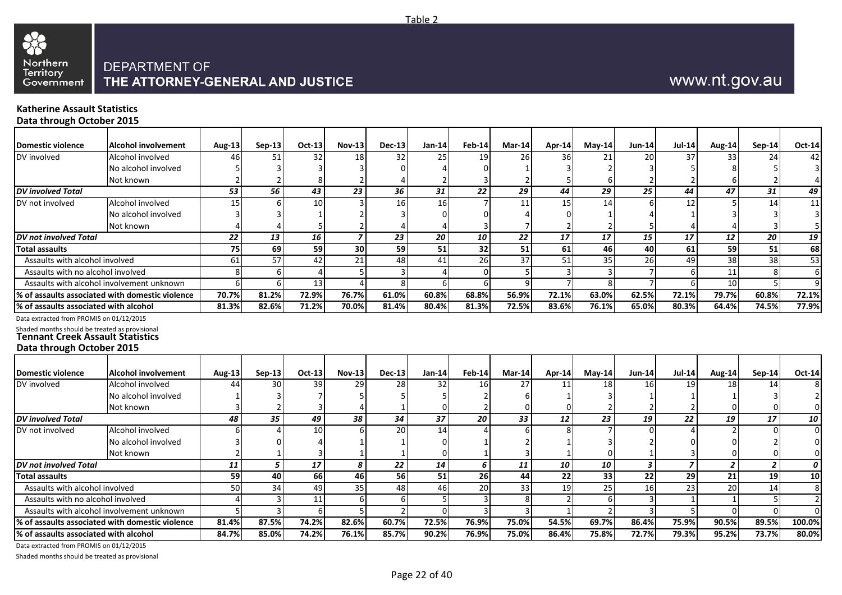

# www.nt.gov.au

#### **Katherine Assault Statistics Data through October 2015**

| <b>Domestic violence</b>                                                           | Alcohol involvement                             | <b>Aug-13</b> | Sep-13 | Oct-13          | <b>Nov-13</b> | $Dec-13$      | Jan-14   | <b>Feb-14</b> | $Mar-14$ | Apr-14 | $May-14$ | $Jun-14$ | <b>Jul-14</b>   | Aug-14          | Sep-14        | Oct-14          |
|------------------------------------------------------------------------------------|-------------------------------------------------|---------------|--------|-----------------|---------------|---------------|----------|---------------|----------|--------|----------|----------|-----------------|-----------------|---------------|-----------------|
| DV involved                                                                        | Alcohol involved                                | 46            | 51     | 32 <sub>l</sub> | 18            | 32            | 25       | 19            | 26 I     | 36 I   | 21       | 20       | 37              | 33              | 24            | 42              |
|                                                                                    | No alcohol involved                             |               |        |                 |               |               |          |               |          |        |          |          |                 |                 |               |                 |
|                                                                                    |                                                 |               |        |                 |               |               |          |               |          |        |          |          |                 |                 |               |                 |
|                                                                                    | Not known                                       |               |        |                 |               |               |          |               |          |        |          |          |                 |                 |               |                 |
| <b>DV</b> involved Total                                                           |                                                 | 53            | 56     | 43              | 23            | 36            | 31       | 22            | 29       | 44     | 29       | 25       | 44              | 47              | 31            | 49              |
| DV not involved                                                                    | Alcohol involved                                | 15            |        | 10              |               | 16            | 16       |               |          | 15     | 14       |          | 12              |                 | 14            | 11              |
|                                                                                    | No alcohol involved                             |               |        |                 |               |               |          |               |          |        |          |          |                 |                 |               |                 |
|                                                                                    | Not known                                       |               |        |                 |               |               |          |               |          |        |          |          |                 |                 |               |                 |
| DV not involved Total                                                              |                                                 | 22            | 13     | 16              |               | 23            | 20       | 10            | 22       | 17     | 17       | 15       | 17              | 12              | 20            | 19              |
| Total assaults                                                                     |                                                 | 75            | 69     | 59              | 30            | 59            | 51       | 32            | 51       | 61     | 46       | 40       | 61              | 59              | 51            | 68              |
| Assaults with alcohol involved                                                     |                                                 | 61            | 57     | 42              | 21            | 48            | 41       | 26            | 37       | 51     | 35       | 26       | 49              | 38              | 38            | $\overline{53}$ |
| Assaults with no alcohol involved                                                  |                                                 |               |        |                 |               |               |          |               |          |        |          |          |                 | 11              |               | 6               |
| Assaults with alcohol involvement unknown                                          |                                                 |               |        | 13              |               |               |          |               |          |        |          |          |                 | 10 <sup>1</sup> |               |                 |
|                                                                                    | % of assaults associated with domestic violence | 70.7%         | 81.2%  | 72.9%           | 76.7%         | 61.0%         | 60.8%    | 68.8%         | 56.9%    | 72.1%  | 63.0%    | 62.5%    | 72.1%           | 79.7%           | 60.8%         | 72.1%           |
| % of assaults associated with alcohol                                              |                                                 | 81.3%         | 82.6%  | 71.2%           | 70.0%         | 81.4%         | 80.4%    | 81.3%         | 72.5%    | 83.6%  | 76.1%    | 65.0%    | 80.3%           | 64.4%           | 74.5%         | 77.9%           |
| Data extracted from PROMIS on 01/12/2015                                           |                                                 |               |        |                 |               |               |          |               |          |        |          |          |                 |                 |               |                 |
| Shaded months should be treated as provisional<br>Tennant Creek Assault Statistics |                                                 |               |        |                 |               |               |          |               |          |        |          |          |                 |                 |               |                 |
| Data through October 2015                                                          |                                                 |               |        |                 |               |               |          |               |          |        |          |          |                 |                 |               |                 |
|                                                                                    |                                                 |               |        |                 |               |               |          |               |          |        |          |          |                 |                 |               |                 |
| <b>Domestic violence</b>                                                           | <b>Alcohol involvement</b>                      | <b>Aug-13</b> | Sep-13 | Oct-13          | <b>Nov-13</b> | <b>Dec-13</b> | $Jan-14$ | <b>Feb-14</b> | Mar-14   | Apr-14 | $May-14$ | $Jun-14$ | <b>Jul-14</b>   | Aug-14          | <b>Sep-14</b> | $Oct-14$        |
| $N$ / $inial$                                                                      | Alcohol involved                                | $\Lambda$     | 20     | 20              | 201           | 20            | 22       | $1 \subset$   | 27       | 11     | 10       | AC       | 10 <sub>1</sub> | 10              | 11            |                 |

| Domestic violence                     | Alcohol involvement                              | Aug-13 $\vert$ | $Sep-13$        | <b>Oct-13</b> | <b>Nov-13</b> | <b>Dec-13</b> | Jan-14          | Feb-14    | Mar-14          | Apr-14 | $Mav-14$ | <b>Jun-14</b> | $Jul-14$ | Aug-14 | Sep-14          | Oct-14          |
|---------------------------------------|--------------------------------------------------|----------------|-----------------|---------------|---------------|---------------|-----------------|-----------|-----------------|--------|----------|---------------|----------|--------|-----------------|-----------------|
| DV involved                           | Alcohol involved                                 | 44             | 30 <sup>1</sup> | 39            | 29            | 28            | 32 <sub>1</sub> | 16I       | 27              |        | 18       | 16            | 19       | 18     | 14              |                 |
|                                       | No alcohol involved                              |                |                 |               |               |               |                 |           |                 |        |          |               |          |        |                 |                 |
|                                       | Not known                                        |                |                 |               |               |               |                 |           |                 |        |          |               |          |        |                 |                 |
| <b>DV</b> involved Total              |                                                  | 48             | 35              | 49            | 38            | 34            | 37              | 20        | 33              | 12     | 23       | 19            | 22       | 19     | 17              | 10              |
| DV not involved                       | Alcohol involved                                 |                |                 | 10            |               | 20            | 14              |           |                 |        |          |               |          |        |                 |                 |
|                                       | No alcohol involved                              |                |                 |               |               |               |                 |           |                 |        |          |               |          |        |                 |                 |
|                                       | Not known                                        |                |                 |               |               |               |                 |           |                 |        |          |               |          |        |                 |                 |
| <b>DV</b> not involved Total          |                                                  | 11             |                 | 17            | 8             | 22            | 14              |           |                 | 10     | 10       |               |          |        |                 |                 |
| Total assaults                        |                                                  | 59             | 40              | <b>66</b>     | 461           | 56            | 51              | <b>26</b> | 44              | 22     | 33       | 22            | 29       | 21     | <b>19</b>       | 10 <sup>1</sup> |
| Assaults with alcohol involved        |                                                  | 50             | 34              | 49            | 35            | -48.          | 461             | 20        | 33 <sup>1</sup> |        | 251      | 16            | 23       | 20     | 14 <sub>1</sub> |                 |
| Assaults with no alcohol involved     |                                                  |                |                 |               | h             |               |                 |           |                 |        |          |               |          |        |                 |                 |
|                                       | Assaults with alcohol involvement unknown        |                |                 |               |               |               |                 |           |                 |        |          |               |          |        |                 |                 |
|                                       | l% of assaults associated with domestic violence | 81.4%          | 87.5%           | 74.2%         | 82.6%         | 60.7%         | 72.5%           | 76.9%     | 75.0%           | 54.5%  | 69.7%    | 86.4%         | 75.9%    | 90.5%  | 89.5%           | 100.0%          |
| % of assaults associated with alcohol |                                                  | 84.7%          | 85.0%           | 74.2%         | 76.1%         | 85.7%         | 90.2%           | 76.9%     | 75.0%           | 86.4%  | 75.8%    | 72.7%         | 79.3%    | 95.2%  | 73.7%           | 80.0%           |

Data extracted from PROMIS on 01/12/2015

Shaded months should be treated as provisional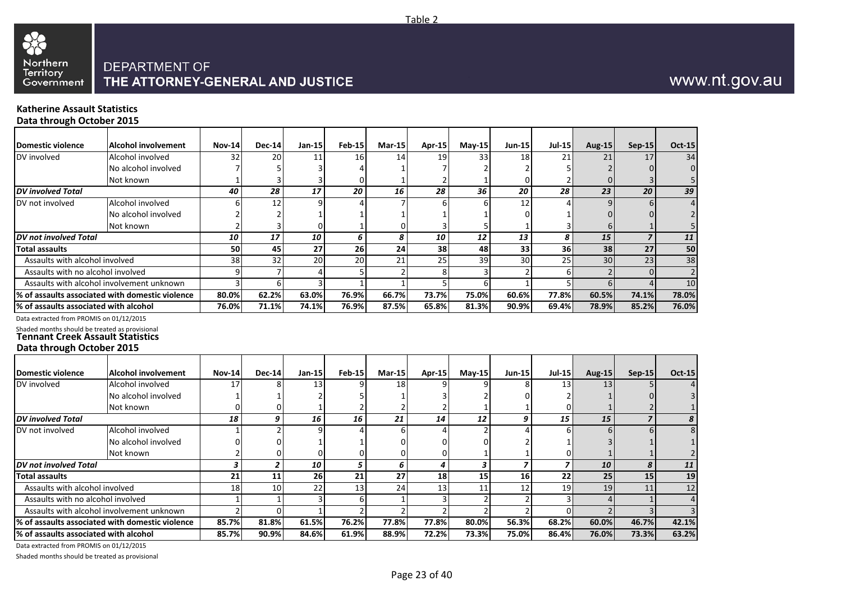

#### **Katherine Assault Statistics Data through October 2015**

**Domestic violence Alcohol involvement** DV involved **Alcohol** involved No alcohol involved Not known *DV involved Total* DV not involved Alcohol involved No alcohol involved Not known *DV not involved Total* **Total assaults** Assaults with alcohol involved Assaults with no alcohol involved Assaults with alcohol involvement unknown **% of assaults associated with domestic violence % of assaults associated with alcohol** Data extracted from PROMIS on 01/12/2015 Shaded months should be treated as provisional **Tennant Creek Assault Statistics Data through October 2015 Domestic violence Alcohol involvement** DV involved Alcohol involved No alcohol involved Not known *DV involved Total* DV not involved Alcohol involved No alcohol involved Not known **Nov-14 Dec-14 Jan-15 Feb-15 Mar-15 Apr-15 May-15 Jun-15 Jul-15 Aug-15 Sep-15 Oct-15** 32 20 11 16 14 19 33 18 21 21 17 34 7 5 5 3 4 1 7 2 2 5 2 0 0 1 3 3 0 1 2 1 0 2 0 3 5 *40 28 17 20 16 28 36 20 28 23 20 39* 6 12 9 4 7 6 6 12 4 9 6 4 2 2 2 1 1 1 1 1 1 0 1 0 0 2 3 0 1 0 3 5 1 3 6 1 5 *10 17 10 6 8 10 12 13 8 15 7 11* **50 45 27 26 24 38 48 33 36 38 27 50** 38 32 20 20 21 25 39 30 25 30 23 38 9 7 4 5 2 8 3 2 6 2 0 2 3 6 3 1 1 5 6 1 5 6 4 10 **80.0% 62.2% 63.0% 76.9% 66.7% 73.7% 75.0% 60.6% 77.8% 60.5% 74.1% 78.0% 76.0% 71.1% 74.1% 76.9% 87.5% 65.8% 81.3% 90.9% 69.4% 78.9% 85.2% 76.0% Nov-14 Dec-14 Jan-15 Feb-15 Mar-15 Apr-15 May-15 Jun-15 Jul-15 Aug-15 Sep-15 Oct-15** 17 8 13 9 18 9 9 8 13 13 5 4 1 1 2 5 1 3 2 0 2 1 0 3 0 0 0 1 2 2 2 1 1 0 1 2 1 *18 9 16 16 21 14 12 9 15 15 7 8* 1 2 9 4 6 4 2 4 6 6 6 6 0 0 0 0 2 1 3 1 1 2 0 0 0 0 0 1 1 0 1 1 2

*DV not involved Total* **Total assaults** Assaults with alcohol involved Assaults with no alcohol involved Assaults with alcohol involvement unknown **% of assaults associated with domestic violence % of assaults associated with alcohol** *3 2 10 5 6 4 3 7 7 10 8 11* **21 11 26 21 27 18 15 16 22 25 15 19** 18 10 22 13 24 13 11 12 19 19 11 12 1 1 3 6 1 3 2 2 3 4 1 4 2 0 1 2 2 2 2 2 0 2 3 3 **85.7% 81.8% 61.5% 76.2% 77.8% 77.8% 80.0% 56.3% 68.2% 60.0% 46.7% 42.1% 85.7% 90.9% 84.6% 61.9% 88.9% 72.2% 73.3% 75.0% 86.4% 76.0% 73.3% 63.2%**

Data extracted from PROMIS on 01/12/2015

Shaded months should be treated as provisional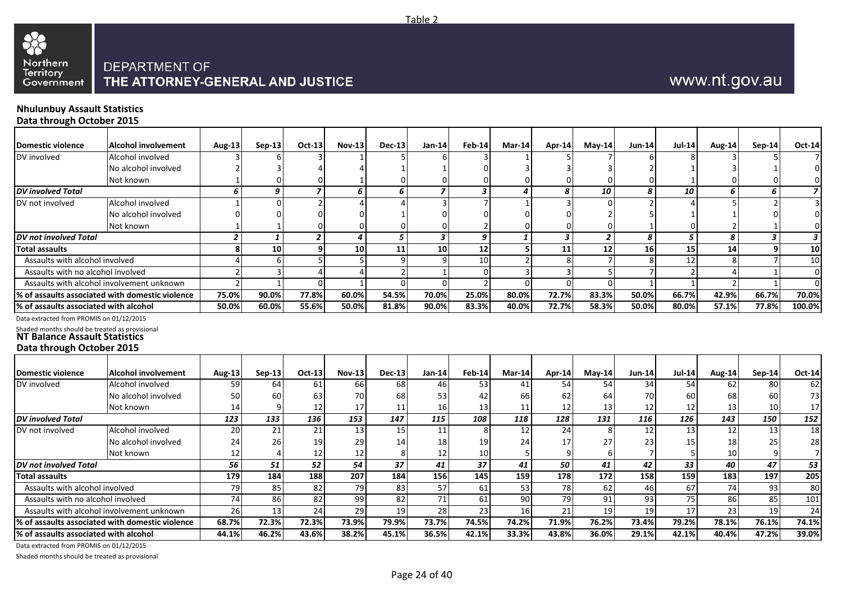

# www.nt.gov.au

#### **Nhulunbuy Assault Statistics Data through October 2015**

| <b>Domestic violence</b>                       | <b>Alcohol involvement</b>                      | Aug-13         | <b>Sep-13</b>   | Oct-13 | <b>Nov-13</b> | <b>Dec-13</b> | $Jan-14$                | $Feb-14$      | Mar-14 | Apr-14 | $May-14$ | <b>Jun-14</b> | <b>Jul-14</b> | Aug-14        | $Sep-14$ | <b>Oct-14</b>  |
|------------------------------------------------|-------------------------------------------------|----------------|-----------------|--------|---------------|---------------|-------------------------|---------------|--------|--------|----------|---------------|---------------|---------------|----------|----------------|
| DV involved                                    | Alcohol involved                                |                |                 |        |               |               |                         |               |        |        |          |               |               |               |          |                |
|                                                | No alcohol involved                             |                |                 |        |               |               |                         |               |        |        |          |               |               |               |          | 0              |
|                                                | Not known                                       |                |                 |        |               |               |                         |               |        |        |          |               |               |               |          | 0              |
| <b>DV</b> involved Total                       |                                                 | 6              | 9               | 7      |               | ĥ             |                         | 3             |        |        | 10       |               | 10            | 6             | 6        | $\overline{z}$ |
| DV not involved                                | Alcohol involved                                |                |                 |        |               |               |                         |               |        |        |          |               |               |               |          | 3              |
|                                                | No alcohol involved                             |                |                 |        |               |               |                         |               |        |        |          |               |               |               |          |                |
|                                                | Not known                                       |                |                 |        |               |               |                         |               |        |        |          |               |               |               |          |                |
| DV not involved Total                          |                                                 |                |                 | 2      |               |               | $\overline{\mathbf{3}}$ | 9             |        |        |          |               |               | 8             | 3        | 3              |
| <b>Total assaults</b>                          |                                                 | 8              | 10 <sup>1</sup> | 9      | 10            | 11            | 10                      | 12            |        | 11     | 12       | 16            | 15            | 14            | 9        | 10             |
| Assaults with alcohol involved                 |                                                 |                | 61              |        |               |               |                         | 10            |        |        |          |               | 12            |               |          | 10             |
| Assaults with no alcohol involved              |                                                 | $\mathfrak{p}$ |                 |        |               |               |                         |               |        |        |          |               |               |               |          | $\Omega$       |
|                                                | Assaults with alcohol involvement unknown       |                |                 |        |               |               |                         |               |        |        |          |               |               |               |          | $\Omega$       |
|                                                | % of assaults associated with domestic violence | 75.0%          | 90.0%           | 77.8%  | 60.0%         | 54.5%         | 70.0%                   | 25.0%         | 80.0%  | 72.7%  | 83.3%    | 50.0%         | 66.7%         | 42.9%         | 66.7%    | 70.0%          |
| % of assaults associated with alcohol          |                                                 | 50.0%          | 60.0%           | 55.6%  | 50.0%         | 81.8%         | 90.0%                   | 83.3%         | 40.0%  | 72.7%  | 58.3%    | 50.0%         | 80.0%         | 57.1%         | 77.8%    | 100.0%         |
| Data extracted from PROMIS on 01/12/2015       |                                                 |                |                 |        |               |               |                         |               |        |        |          |               |               |               |          |                |
| Shaded months should be treated as provisional |                                                 |                |                 |        |               |               |                         |               |        |        |          |               |               |               |          |                |
| <b>NT Balance Assault Statistics</b>           |                                                 |                |                 |        |               |               |                         |               |        |        |          |               |               |               |          |                |
| Data through October 2015                      |                                                 |                |                 |        |               |               |                         |               |        |        |          |               |               |               |          |                |
|                                                |                                                 |                |                 |        |               |               |                         |               |        |        |          |               |               |               |          |                |
| <b>Domestic violence</b>                       | <b>Alcohol involvement</b>                      | <b>Aug-13</b>  | $Sep-13$        | Oct-13 | <b>Nov-13</b> | $Dec-13$      | Jan-14                  | <b>Feb-14</b> | Mar-14 | Apr-14 | $May-14$ | $Jun-14$      | <b>Jul-14</b> | <b>Aug-14</b> | $Sep-14$ | <b>Oct-14</b>  |
| DV involved                                    | Alcohol involved                                | 59             | 64              | 61     | <b>66</b>     | 68            | 46                      | 53            | 41     | 54     | 54       | 34            | 54            | 62            | 80       | 62             |
|                                                | No alcohol involved                             | 50             | 60              | 63     | 70            | 68            | 53                      |               | 66     | 62     | 64       | 70            | 60            | 68            | 60       | 73             |
|                                                | Not known                                       | 14             | $\mathbf{Q}$    | 12     | 17            | 11            | 16                      | 13            | 11     | 12     | 13       | 12            | 12            | 13            | 10       | 17             |
| <b>DV</b> involved Total                       |                                                 | 123            | 133             | 136    | 153           | 147           | 115                     | 108           | 118    | 128    | 131      | 116           | 126           | 143           | 150      | 152            |

| <b>DV</b> involved Total                 |                                                 | 123   | 133   | 136             | 153   | 147   | 115             | 108   | 118   | 128   | 131   | 116   | 126             | 143   | 150   | 152   |
|------------------------------------------|-------------------------------------------------|-------|-------|-----------------|-------|-------|-----------------|-------|-------|-------|-------|-------|-----------------|-------|-------|-------|
| DV not involved                          | Alcohol involved                                | 20    | ∠⊥    | 21              |       |       |                 |       |       |       |       | ᅩ     | 13 <sup>l</sup> |       | 13    | 18    |
|                                          | No alcohol involved                             | 24    | 26    | 19 <sup>1</sup> | 29    | 14    | 18 <sup>l</sup> |       |       |       | 27    | 23    | 15 <sup>1</sup> | 18    | 25    | 28    |
|                                          | Not known                                       | ∸     |       | 12 <sup>1</sup> |       |       | 12 I            | 10    |       |       |       |       |                 | 10    |       |       |
| DV not involved Total                    |                                                 | 56    | 51    | 52              | 54    | 37    |                 |       | 41    | 50    | 41    | 42    | 33              | 40    | 47    | 53    |
| <b>Total assaults</b>                    |                                                 | 179   | 184   | 188 I           | 207   | 184   | 1561            | 145   | 159   | 178   | 172   | 158   | 159             | 183   | 197   | 205   |
| Assaults with alcohol involved           |                                                 |       | 85    | 82              |       | 83    |                 |       |       | 781   | 62    | 46    | <b>67</b>       | 74    | 93    | 80    |
| Assaults with no alcohol involved        |                                                 |       | 86    | 82              | 99    | 82    |                 |       |       | 791   | 9     | 93    | 75I             | 86    | 85    | 101   |
|                                          | Assaults with alcohol involvement unknown       | 26    |       | <b>241</b>      |       |       | <b>28</b>       |       |       |       | 10    | 19    |                 |       | 19    | 24    |
|                                          | % of assaults associated with domestic violence | 68.7% | 72.3% | 72.3%l          | 73.9% | 79.9% | 73.7%           | 74.5% | 74.2% | 71.9% | 76.2% | 73.4% | 79.2%           | 78.1% | 76.1% | 74.1% |
| % of assaults associated with alcohol    |                                                 | 44.1% | 46.2% | 43.6%           | 38.2% | 45.1% | 36.5%           | 42.1% | 33.3% | 43.8% | 36.0% | 29.1% | 42.1%           | 40.4% | 47.2% | 39.0% |
| Data ovtracted from BROMIS on 01/12/2015 |                                                 |       |       |                 |       |       |                 |       |       |       |       |       |                 |       |       |       |

Data extracted from PROMIS on 01/12/2015

Shaded months should be treated as provisional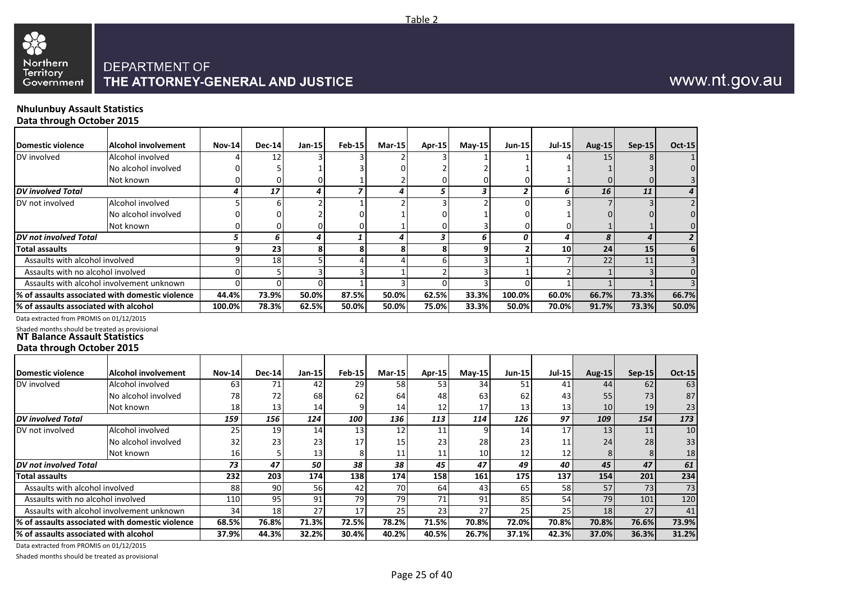

## **Nhulunbuy Assault Statistics**

**Data through October 2015**

| <b>Domestic violence</b>                                                                                            | <b>Alcohol involvement</b>                      | <b>Nov-14</b>       | <b>Dec-14</b> | Jan-15         | <b>Feb-15</b>  | <b>Mar-15</b>  | <b>Apr-15</b>       | $Mav-15$                | Jun-15         | <b>Jul-15</b>   | <b>Aug-15</b>       | $Sep-15$         | <b>Oct-15</b>   |
|---------------------------------------------------------------------------------------------------------------------|-------------------------------------------------|---------------------|---------------|----------------|----------------|----------------|---------------------|-------------------------|----------------|-----------------|---------------------|------------------|-----------------|
| DV involved                                                                                                         | Alcohol involved                                |                     | 12            |                |                |                |                     |                         |                |                 | 15                  |                  |                 |
|                                                                                                                     | No alcohol involved                             |                     | 5             |                |                |                |                     |                         |                |                 |                     |                  | 0               |
|                                                                                                                     | Not known                                       | 0                   | 0             | 0              | 1              |                |                     |                         |                |                 |                     |                  | $\overline{3}$  |
| <b>DV</b> involved Total                                                                                            |                                                 | 4                   | 17            | 4              | $\overline{z}$ | 4              | 5                   | 3                       | $\overline{2}$ | 6               | 16                  | 11               | 4               |
| DV not involved                                                                                                     | Alcohol involved                                | 5                   | 6             | $\overline{2}$ | $\mathbf{1}$   | $\mathcal{P}$  |                     |                         | $\Omega$       |                 |                     |                  | $\overline{2}$  |
|                                                                                                                     | No alcohol involved                             |                     | O             |                | $\Omega$       |                |                     |                         |                |                 |                     |                  | $\Omega$        |
|                                                                                                                     | Not known                                       | 0                   | 0             | <sup>0</sup>   | $\Omega$       |                |                     |                         |                |                 |                     |                  | $\Omega$        |
| <b>DV</b> not involved Total                                                                                        |                                                 | 5                   | 6             | 4              | $\mathbf{1}$   | 4              | 3                   | 6                       | 0              | 4               | 8                   | $\boldsymbol{4}$ | $\overline{2}$  |
| <b>Total assaults</b>                                                                                               |                                                 | 9                   | 23            | 8              | 8              | 8              | 8                   | 9                       | $\overline{2}$ | 10              | 24                  | 15               | $6\phantom{1}6$ |
| Assaults with alcohol involved                                                                                      |                                                 | 9                   | 18            | 5              | $\overline{a}$ | $\overline{4}$ | 6                   | $\mathbf{a}$            | $\mathbf{1}$   |                 | 22                  | 11               | $\overline{3}$  |
| Assaults with no alcohol involved                                                                                   |                                                 | $\Omega$            | 5             | 3              | 3              | $\mathbf{1}$   | 2                   | 3                       |                |                 |                     |                  | $\Omega$        |
|                                                                                                                     | Assaults with alcohol involvement unknown       | $\Omega$            | $\Omega$      | $\Omega$       | $\mathbf{1}$   | 3              | $\Omega$            | $\overline{\mathbf{3}}$ | $\Omega$       |                 |                     |                  | $\overline{3}$  |
|                                                                                                                     | % of assaults associated with domestic violence | 44.4%               | 73.9%         | 50.0%          | 87.5%          | 50.0%          | 62.5%               | 33.3%                   | 100.0%         | 60.0%           | 66.7%               | 73.3%            | 66.7%           |
| % of assaults associated with alcohol                                                                               |                                                 | 100.0%              | 78.3%         | 62.5%          | 50.0%          | 50.0%          | 75.0%               | 33.3%                   | 50.0%          | 70.0%           | 91.7%               | 73.3%            | 50.0%           |
| Data extracted from PROMIS on 01/12/2015                                                                            |                                                 |                     |               |                |                |                |                     |                         |                |                 |                     |                  |                 |
| Shaded months should be treated as provisional<br><b>NT Balance Assault Statistics</b><br>Data through October 2015 |                                                 |                     |               |                |                |                |                     |                         |                |                 |                     |                  |                 |
| <b>Domestic violence</b>                                                                                            | <b>Alcohol involvement</b>                      |                     | <b>Dec-14</b> |                | Feb-15         | Mar-15         |                     |                         |                |                 |                     |                  | <b>Oct-15</b>   |
| DV involved                                                                                                         | Alcohol involved                                | <b>Nov-14</b><br>63 | 71            | Jan-15<br>42   | 29             |                | <b>Apr-15</b><br>53 | $Mav-15$<br>34          | <b>Jun-15</b>  | <b>Jul-15</b>   | <b>Aug-15</b><br>44 | $Sep-15$<br>62   | 63              |
|                                                                                                                     | No alcohol involved                             | 78                  |               | 68             | 62             | 58             | 48                  | 63                      | 51<br>62       | 41              | 55                  |                  | 87              |
|                                                                                                                     |                                                 | 18                  | 72<br>13      | 14             | 9              | 64<br>14       | 12                  | 17                      | 13             | 43<br>13        | 10                  | 73<br>19         | 23              |
| <b>DV</b> involved Total                                                                                            | Not known                                       | 159                 | 156           | 124            | 100            | 136            | 113                 | 114                     | 126            | $\overline{97}$ | 109                 | 154              | 173             |
|                                                                                                                     | Alcohol involved                                | 25                  | 19            |                | 13             | 12             |                     | 9                       | 14             | 17              | 13                  |                  | 10              |
| DV not involved                                                                                                     | No alcohol involved                             |                     |               | 14             | 17             |                | 11                  |                         |                |                 |                     | 11               |                 |
|                                                                                                                     | Not known                                       | 32<br>16            | 23<br>5       | 23<br>13       | 8              | 15<br>11       | 23<br>11            | 28<br>10                | 23<br>12       | 11<br>12        | 24<br>8             | 28<br>8          | 33              |
| <b>DV</b> not involved Total                                                                                        |                                                 | $\overline{73}$     | 47            | 50             | 38             | 38             | 45                  | 47                      | 49             | 40              | 45                  | 47               | 18<br>61        |
|                                                                                                                     |                                                 |                     |               |                |                |                |                     |                         |                |                 |                     |                  |                 |
| <b>Total assaults</b>                                                                                               |                                                 | 232                 | 203           | 174            | 138            | 174            | 158                 | 161                     | 175            | 137             | 154                 | 201              | 234             |
| Assaults with alcohol involved                                                                                      |                                                 | 88                  | 90            | 56             | 42             | 70             | 64                  | 43                      | 65             | 58              | 57                  | 73               | 73              |
| Assaults with no alcohol involved                                                                                   |                                                 | 110                 | 95            | 91             | 79             | 79             | 71                  | 91                      | 85             | 54              | 79                  | 101              | 120             |
|                                                                                                                     | Assaults with alcohol involvement unknown       | 34                  | 18            | 27             | 17             | 25             | 23                  | 27                      | 25             | 25              | 18                  | 27               | 41              |
|                                                                                                                     | % of assaults associated with domestic violence | 68.5%               | 76.8%         | 71.3%          | 72.5%          | 78.2%          | 71.5%               | 70.8%                   | 72.0%          | 70.8%           | 70.8%               | 76.6%            | 73.9%           |
| % of assaults associated with alcohol                                                                               |                                                 | 37.9%               | 44.3%         | 32.2%          | 30.4%          | 40.2%          | 40.5%               | 26.7%                   | 37.1%          | 42.3%           | 37.0%               | 36.3%            | 31.2%           |

Data extracted from PROMIS on 01/12/2015

Shaded months should be treated as provisional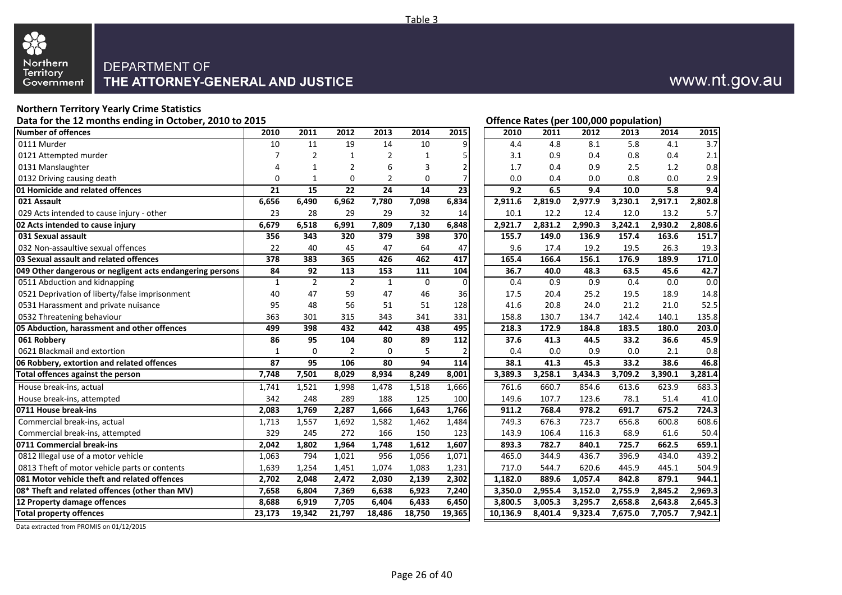

# www.nt.gov.au

#### **Northern Territory Yearly Crime Statistics** Data for the 12 months ending in October, 2010 to 2015 *Data for the U.S. Community Community Community Community Community Community Community Community Community Community Community Community Community Community Communi*

| Number of offences                                        | 2010         | 2011           | 2012           | 2013           | 2014           | 2015           | 2010     | 2011    | 2012    | 2013    | 2014    | 2015    |
|-----------------------------------------------------------|--------------|----------------|----------------|----------------|----------------|----------------|----------|---------|---------|---------|---------|---------|
| 0111 Murder                                               | 10           | 11             | 19             | 14             | 10             | 9              | 4.4      | 4.8     | 8.1     | 5.8     | 4.1     | 3.7     |
| 0121 Attempted murder                                     | 7            | $\overline{2}$ | 1              | $\overline{2}$ | 1              | 5              | 3.1      | 0.9     | 0.4     | 0.8     | 0.4     | 2.1     |
| 0131 Manslaughter                                         | 4            | 1              | $\overline{2}$ | 6              | $\overline{3}$ | $\mathbf 2$    | 1.7      | 0.4     | 0.9     | 2.5     | 1.2     | 0.8     |
| 0132 Driving causing death                                | $\mathbf 0$  | $\mathbf{1}$   | $\mathbf 0$    | $\overline{2}$ | $\mathbf 0$    | $\overline{7}$ | 0.0      | 0.4     | 0.0     | 0.8     | 0.0     | 2.9     |
| 01 Homicide and related offences                          | 21           | 15             | 22             | 24             | 14             | 23             | 9.2      | 6.5     | 9.4     | 10.0    | 5.8     | 9.4     |
| 021 Assault                                               | 6,656        | 6,490          | 6,962          | 7,780          | 7,098          | 6,834          | 2,911.6  | 2,819.0 | 2,977.9 | 3,230.1 | 2,917.1 | 2,802.8 |
| 029 Acts intended to cause injury - other                 | 23           | 28             | 29             | 29             | 32             | 14             | 10.1     | 12.2    | 12.4    | 12.0    | 13.2    | 5.7     |
| 02 Acts intended to cause injury                          | 6,679        | 6,518          | 6,991          | 7,809          | 7,130          | 6,848          | 2,921.7  | 2,831.2 | 2,990.3 | 3,242.1 | 2,930.2 | 2,808.6 |
| 031 Sexual assault                                        | 356          | 343            | 320            | 379            | 398            | 370            | 155.7    | 149.0   | 136.9   | 157.4   | 163.6   | 151.7   |
| 032 Non-assaultive sexual offences                        | 22           | 40             | 45             | 47             | 64             | 47             | 9.6      | 17.4    | 19.2    | 19.5    | 26.3    | 19.3    |
| 03 Sexual assault and related offences                    | 378          | 383            | 365            | 426            | 462            | 417            | 165.4    | 166.4   | 156.1   | 176.9   | 189.9   | 171.0   |
| 049 Other dangerous or negligent acts endangering persons | 84           | 92             | 113            | 153            | 111            | 104            | 36.7     | 40.0    | 48.3    | 63.5    | 45.6    | 42.7    |
| 0511 Abduction and kidnapping                             | 1            | $\overline{2}$ | $\overline{2}$ | $\mathbf{1}$   | $\mathbf 0$    | $\mathbf 0$    | 0.4      | 0.9     | 0.9     | 0.4     | 0.0     | 0.0     |
| 0521 Deprivation of liberty/false imprisonment            | 40           | 47             | 59             | 47             | 46             | 36             | 17.5     | 20.4    | 25.2    | 19.5    | 18.9    | 14.8    |
| 0531 Harassment and private nuisance                      | 95           | 48             | 56             | 51             | 51             | 128            | 41.6     | 20.8    | 24.0    | 21.2    | 21.0    | 52.5    |
| 0532 Threatening behaviour                                | 363          | 301            | 315            | 343            | 341            | 331            | 158.8    | 130.7   | 134.7   | 142.4   | 140.1   | 135.8   |
| 05 Abduction, harassment and other offences               | 499          | 398            | 432            | 442            | 438            | 495            | 218.3    | 172.9   | 184.8   | 183.5   | 180.0   | 203.0   |
| 061 Robberv                                               | 86           | 95             | 104            | 80             | 89             | 112            | 37.6     | 41.3    | 44.5    | 33.2    | 36.6    | 45.9    |
| 0621 Blackmail and extortion                              | $\mathbf{1}$ | $\mathbf{0}$   | $\overline{2}$ | $\mathbf 0$    | 5              | $\overline{2}$ | 0.4      | 0.0     | 0.9     | 0.0     | 2.1     | 0.8     |
| 06 Robbery, extortion and related offences                | 87           | 95             | 106            | 80             | 94             | 114            | 38.1     | 41.3    | 45.3    | 33.2    | 38.6    | 46.8    |
| Total offences against the person                         | 7,748        | 7,501          | 8,029          | 8,934          | 8,249          | 8,001          | 3,389.3  | 3,258.1 | 3,434.3 | 3,709.2 | 3,390.1 | 3,281.4 |
| House break-ins, actual                                   | 1,741        | 1,521          | 1,998          | 1,478          | 1,518          | 1,666          | 761.6    | 660.7   | 854.6   | 613.6   | 623.9   | 683.3   |
| House break-ins, attempted                                | 342          | 248            | 289            | 188            | 125            | 100            | 149.6    | 107.7   | 123.6   | 78.1    | 51.4    | 41.0    |
| 0711 House break-ins                                      | 2,083        | 1,769          | 2,287          | 1,666          | 1,643          | 1,766          | 911.2    | 768.4   | 978.2   | 691.7   | 675.2   | 724.3   |
| Commercial break-ins, actual                              | 1,713        | 1,557          | 1,692          | 1,582          | 1,462          | 1,484          | 749.3    | 676.3   | 723.7   | 656.8   | 600.8   | 608.6   |
| Commercial break-ins, attempted                           | 329          | 245            | 272            | 166            | 150            | 123            | 143.9    | 106.4   | 116.3   | 68.9    | 61.6    | 50.4    |
| 0711 Commercial break-ins                                 | 2,042        | 1,802          | 1,964          | 1,748          | 1,612          | 1,607          | 893.3    | 782.7   | 840.1   | 725.7   | 662.5   | 659.1   |
| 0812 Illegal use of a motor vehicle                       | 1,063        | 794            | 1,021          | 956            | 1,056          | 1,071          | 465.0    | 344.9   | 436.7   | 396.9   | 434.0   | 439.2   |
| 0813 Theft of motor vehicle parts or contents             | 1,639        | 1,254          | 1,451          | 1,074          | 1,083          | 1,231          | 717.0    | 544.7   | 620.6   | 445.9   | 445.1   | 504.9   |
| 081 Motor vehicle theft and related offences              | 2,702        | 2,048          | 2,472          | 2,030          | 2,139          | 2,302          | 1,182.0  | 889.6   | 1,057.4 | 842.8   | 879.1   | 944.1   |
| 08* Theft and related offences (other than MV)            | 7,658        | 6,804          | 7,369          | 6,638          | 6,923          | 7,240          | 3,350.0  | 2,955.4 | 3,152.0 | 2,755.9 | 2,845.2 | 2,969.3 |
| 12 Property damage offences                               | 8,688        | 6,919          | 7,705          | 6,404          | 6,433          | 6,450          | 3,800.5  | 3,005.3 | 3,295.7 | 2,658.8 | 2,643.8 | 2,645.3 |
| <b>Total property offences</b>                            | 23,173       | 19,342         | 21,797         | 18,486         | 18,750         | 19,365         | 10,136.9 | 8,401.4 | 9,323.4 | 7,675.0 | 7,705.7 | 7,942.1 |

Data extracted from PROMIS on 01/12/2015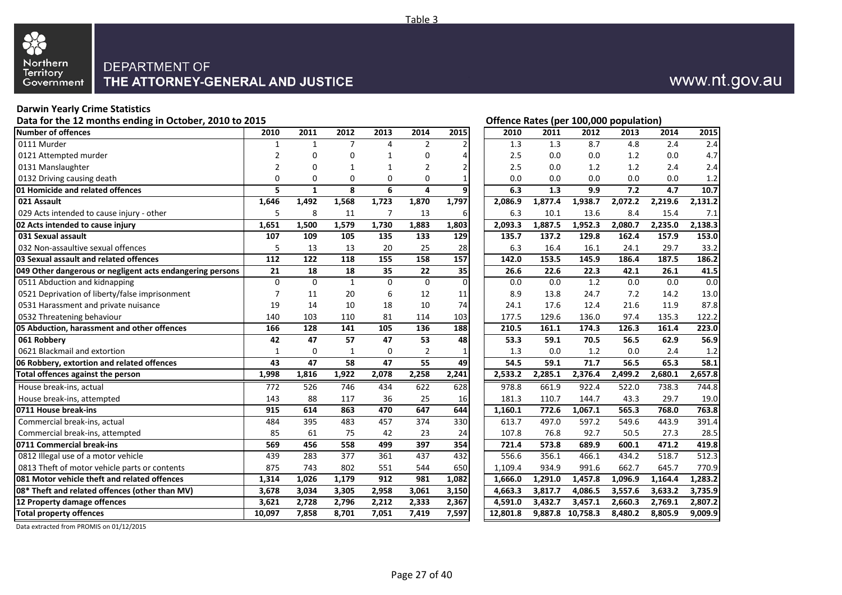

#### **Darwin Yearly Crime Statistics**

Data for the 12 months ending in October, 2010 to 2015 **Contact Contact Contact Contact Contact Contact Contact Contact Contact Contact Contact Contact Contact Contact Contact Contact Contact Contact Contact Contact Contac** 

| <b>Number of offences</b>                                 | 2010           | 2011         | 2012           | 2013         | 2014           | 2015           | 2010     | 2011                 | 2012     | 2013    | 2014    | 2015    |
|-----------------------------------------------------------|----------------|--------------|----------------|--------------|----------------|----------------|----------|----------------------|----------|---------|---------|---------|
| 0111 Murder                                               | $\mathbf{1}$   | 1            | $\overline{7}$ | 4            | $\overline{2}$ | $\overline{2}$ | 1.3      | 1.3                  | 8.7      | 4.8     | 2.4     | 2.4     |
| 0121 Attempted murder                                     | 2              | 0            | 0              | 1            | 0              | 4              | 2.5      | 0.0                  | 0.0      | 1.2     | 0.0     | 4.7     |
| 0131 Manslaughter                                         | $\overline{2}$ | $\Omega$     | 1              | $\mathbf{1}$ | $\overline{2}$ | $\mathbf 2$    | 2.5      | 0.0                  | 1.2      | 1.2     | 2.4     | 2.4     |
| 0132 Driving causing death                                | 0              | $\mathbf 0$  | $\mathbf 0$    | $\mathbf 0$  | $\pmb{0}$      | $\mathbf 1$    | 0.0      | 0.0                  | 0.0      | 0.0     | 0.0     | 1.2     |
| 01 Homicide and related offences                          | 5              | $\mathbf{1}$ | 8              | 6            | 4              | 9              | 6.3      | 1.3                  | 9.9      | 7.2     | 4.7     | 10.7    |
| 021 Assault                                               | 1,646          | 1,492        | 1,568          | 1,723        | 1,870          | 1,797          | 2,086.9  | 1,877.4              | 1,938.7  | 2,072.2 | 2,219.6 | 2,131.2 |
| 029 Acts intended to cause injury - other                 | 5              | 8            | 11             | 7            | 13             | 6              | 6.3      | 10.1                 | 13.6     | 8.4     | 15.4    | 7.1     |
| 02 Acts intended to cause injury                          | 1,651          | 1,500        | 1,579          | 1,730        | 1,883          | 1,803          | 2,093.3  | 1,887.5              | 1,952.3  | 2,080.7 | 2,235.0 | 2,138.3 |
| 031 Sexual assault                                        | 107            | 109          | 105            | 135          | 133            | 129            | 135.7    | 137.2                | 129.8    | 162.4   | 157.9   | 153.0   |
| 032 Non-assaultive sexual offences                        | 5              | 13           | 13             | 20           | 25             | 28             | 6.3      | 16.4                 | 16.1     | 24.1    | 29.7    | 33.2    |
| 03 Sexual assault and related offences                    | 112            | 122          | 118            | 155          | 158            | 157            | 142.0    | 153.5                | 145.9    | 186.4   | 187.5   | 186.2   |
| 049 Other dangerous or negligent acts endangering persons | 21             | 18           | 18             | 35           | 22             | 35             | 26.6     | 22.6                 | 22.3     | 42.1    | 26.1    | 41.5    |
| 0511 Abduction and kidnapping                             | $\mathbf 0$    | $\Omega$     | $\mathbf{1}$   | $\mathbf 0$  | $\mathbf 0$    | $\overline{0}$ | 0.0      | 0.0                  | 1.2      | 0.0     | 0.0     | 0.0     |
| 0521 Deprivation of liberty/false imprisonment            | $\overline{7}$ | 11           | 20             | 6            | 12             | 11             | 8.9      | 13.8                 | 24.7     | 7.2     | 14.2    | 13.0    |
| 0531 Harassment and private nuisance                      | 19             | 14           | 10             | 18           | 10             | 74             | 24.1     | 17.6                 | 12.4     | 21.6    | 11.9    | 87.8    |
| 0532 Threatening behaviour                                | 140            | 103          | 110            | 81           | 114            | 103            | 177.5    | 129.6                | 136.0    | 97.4    | 135.3   | 122.2   |
| 05 Abduction, harassment and other offences               | 166            | 128          | 141            | 105          | 136            | 188            | 210.5    | 161.1                | 174.3    | 126.3   | 161.4   | 223.0   |
| 061 Robbery                                               | 42             | 47           | 57             | 47           | 53             | 48             | 53.3     | 59.1                 | 70.5     | 56.5    | 62.9    | 56.9    |
| 0621 Blackmail and extortion                              | 1              | 0            | 1              | 0            | $\overline{2}$ | 1              | 1.3      | 0.0                  | 1.2      | 0.0     | 2.4     | 1.2     |
| 06 Robbery, extortion and related offences                | 43             | 47           | 58             | 47           | 55             | 49             | 54.5     | 59.1                 | 71.7     | 56.5    | 65.3    | 58.1    |
| Total offences against the person                         | 1,998          | 1,816        | 1,922          | 2,078        | 2,258          | 2,241          | 2,533.2  | $2,285.\overline{1}$ | 2,376.4  | 2,499.2 | 2,680.1 | 2,657.8 |
| House break-ins, actual                                   | 772            | 526          | 746            | 434          | 622            | 628            | 978.8    | 661.9                | 922.4    | 522.0   | 738.3   | 744.8   |
| House break-ins, attempted                                | 143            | 88           | 117            | 36           | 25             | 16             | 181.3    | 110.7                | 144.7    | 43.3    | 29.7    | 19.0    |
| 0711 House break-ins                                      | 915            | 614          | 863            | 470          | 647            | 644            | 1,160.1  | 772.6                | 1,067.1  | 565.3   | 768.0   | 763.8   |
| Commercial break-ins, actual                              | 484            | 395          | 483            | 457          | 374            | 330            | 613.7    | 497.0                | 597.2    | 549.6   | 443.9   | 391.4   |
| Commercial break-ins, attempted                           | 85             | 61           | 75             | 42           | 23             | 24             | 107.8    | 76.8                 | 92.7     | 50.5    | 27.3    | 28.5    |
| 0711 Commercial break-ins                                 | 569            | 456          | 558            | 499          | 397            | 354            | 721.4    | 573.8                | 689.9    | 600.1   | 471.2   | 419.8   |
| 0812 Illegal use of a motor vehicle                       | 439            | 283          | 377            | 361          | 437            | 432            | 556.6    | 356.1                | 466.1    | 434.2   | 518.7   | 512.3   |
| 0813 Theft of motor vehicle parts or contents             | 875            | 743          | 802            | 551          | 544            | 650            | 1,109.4  | 934.9                | 991.6    | 662.7   | 645.7   | 770.9   |
| 081 Motor vehicle theft and related offences              | 1,314          | 1,026        | 1,179          | 912          | 981            | 1,082          | 1.666.0  | 1,291.0              | 1,457.8  | 1,096.9 | 1,164.4 | 1,283.2 |
| 08* Theft and related offences (other than MV)            | 3,678          | 3,034        | 3,305          | 2,958        | 3,061          | 3,150          | 4,663.3  | 3,817.7              | 4,086.5  | 3,557.6 | 3,633.2 | 3,735.9 |
| 12 Property damage offences                               | 3,621          | 2,728        | 2,796          | 2,212        | 2,333          | 2,367          | 4.591.0  | 3.432.7              | 3,457.1  | 2,660.3 | 2,769.1 | 2,807.2 |
| <b>Total property offences</b>                            | 10,097         | 7,858        | 8,701          | 7,051        | 7,419          | 7,597          | 12,801.8 | 9,887.8              | 10,758.3 | 8,480.2 | 8,805.9 | 9,009.9 |

Data extracted from PROMIS on 01/12/2015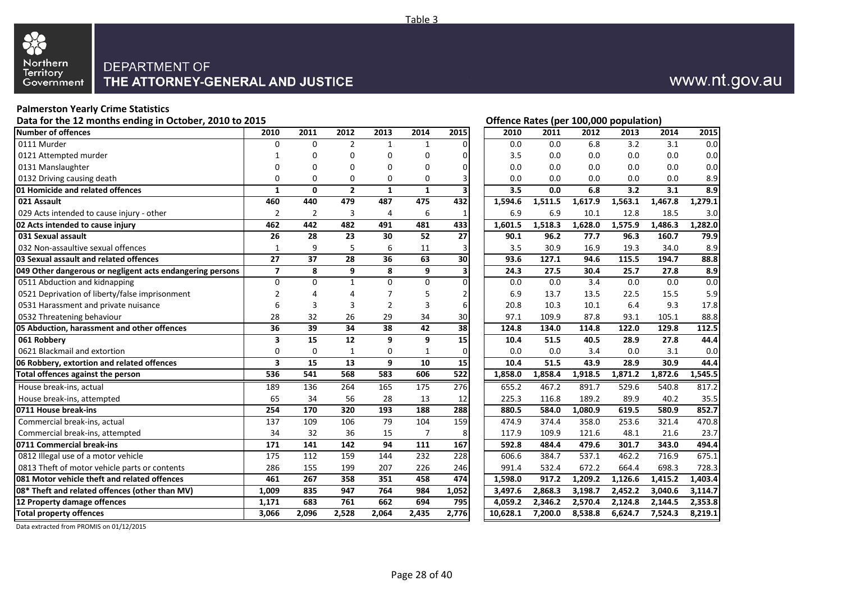

# www.nt.gov.au

**Offence Rates (per 100,000 population)** 

#### **Palmerston Yearly Crime Statistics**

| Data for the 12 months ending in October, 2010 to 2015 |  |  |
|--------------------------------------------------------|--|--|
|--------------------------------------------------------|--|--|

| Number of offences                                        | 2010                    | 2011        | 2012           | 2013           | 2014             | 2015             | 2010     | 2011    | 2012    | 2013    | 2014    | 2015    |
|-----------------------------------------------------------|-------------------------|-------------|----------------|----------------|------------------|------------------|----------|---------|---------|---------|---------|---------|
| 0111 Murder                                               | $\Omega$                | $\Omega$    | $\overline{2}$ | $\mathbf{1}$   | $\mathbf{1}$     |                  | 0.0      | 0.0     | 6.8     | 3.2     | 3.1     | 0.0     |
| 0121 Attempted murder                                     |                         | 0           | 0              | 0              | 0                | 0                | 3.5      | 0.0     | 0.0     | 0.0     | 0.0     | 0.0     |
| 0131 Manslaughter                                         | 0                       | $\Omega$    | $\Omega$       | $\Omega$       | $\Omega$         | $\Omega$         | 0.0      | 0.0     | 0.0     | 0.0     | 0.0     | 0.0     |
| 0132 Driving causing death                                | 0                       | 0           | 0              | 0              | 0                |                  | 0.0      | 0.0     | 0.0     | 0.0     | 0.0     | 8.9     |
| 01 Homicide and related offences                          | $\mathbf{1}$            | 0           | $\overline{2}$ | $\mathbf{1}$   | $\mathbf{1}$     |                  | 3.5      | 0.0     | 6.8     | 3.2     | 3.1     | 8.9     |
| 021 Assault                                               | 460                     | 440         | 479            | 487            | 475              | 432              | 1,594.6  | 1,511.5 | 1,617.9 | 1,563.1 | 1,467.8 | 1,279.1 |
| 029 Acts intended to cause injury - other                 | $\overline{2}$          | 2           | 3              | 4              | 6                |                  | 6.9      | 6.9     | 10.1    | 12.8    | 18.5    | 3.0     |
| 02 Acts intended to cause injury                          | 462                     | 442         | 482            | 491            | 481              | 433              | 1.601.5  | 1,518.3 | 1,628.0 | 1,575.9 | 1,486.3 | 1,282.0 |
| 031 Sexual assault                                        | 26                      | 28          | 23             | 30             | 52               | 27               | 90.1     | 96.2    | 77.7    | 96.3    | 160.7   | 79.9    |
| 032 Non-assaultive sexual offences                        | $\mathbf{1}$            | 9           | 5              | 6              | 11               | 3                | 3.5      | 30.9    | 16.9    | 19.3    | 34.0    | 8.9     |
| 03 Sexual assault and related offences                    | 27                      | 37          | 28             | 36             | 63               | 30               | 93.6     | 127.1   | 94.6    | 115.5   | 194.7   | 88.8    |
| 049 Other dangerous or negligent acts endangering persons | $\overline{7}$          | 8           | 9              | 8              | 9                |                  | 24.3     | 27.5    | 30.4    | 25.7    | 27.8    | 8.9     |
| 0511 Abduction and kidnapping                             | $\mathbf 0$             | $\mathbf 0$ | $\mathbf{1}$   | $\mathbf 0$    | 0                | 0                | 0.0      | 0.0     | 3.4     | 0.0     | 0.0     | 0.0     |
| 0521 Deprivation of liberty/false imprisonment            | $\overline{2}$          | 4           | 4              | 7              | 5                | 2                | 6.9      | 13.7    | 13.5    | 22.5    | 15.5    | 5.9     |
| 0531 Harassment and private nuisance                      | 6                       | 3           | 3              | $\overline{2}$ | 3                | 6                | 20.8     | 10.3    | 10.1    | 6.4     | 9.3     | 17.8    |
| 0532 Threatening behaviour                                | 28                      | 32          | 26             | 29             | 34               | 30               | 97.1     | 109.9   | 87.8    | 93.1    | 105.1   | 88.8    |
| 05 Abduction, harassment and other offences               | 36                      | 39          | 34             | 38             | 42               | 38               | 124.8    | 134.0   | 114.8   | 122.0   | 129.8   | 112.5   |
| 061 Robbery                                               | 3                       | 15          | 12             | 9              | 9                | 15               | 10.4     | 51.5    | 40.5    | 28.9    | 27.8    | 44.4    |
| 0621 Blackmail and extortion                              | $\mathbf 0$             | 0           | 1              | 0              | 1                | 0                | 0.0      | 0.0     | 3.4     | 0.0     | 3.1     | 0.0     |
| 06 Robbery, extortion and related offences                | $\overline{\mathbf{3}}$ | 15          | 13             | 9              | 10               | 15               | 10.4     | 51.5    | 43.9    | 28.9    | 30.9    | 44.4    |
| Total offences against the person                         | 536                     | 541         | 568            | 583            | 606              | $\overline{522}$ | 1,858.0  | 1,858.4 | 1,918.5 | 1,871.2 | 1,872.6 | 1,545.5 |
| House break-ins, actual                                   | 189                     | 136         | 264            | 165            | $\overline{175}$ | 276              | 655.2    | 467.2   | 891.7   | 529.6   | 540.8   | 817.2   |
| House break-ins, attempted                                | 65                      | 34          | 56             | 28             | 13               | 12               | 225.3    | 116.8   | 189.2   | 89.9    | 40.2    | 35.5    |
| 0711 House break-ins                                      | 254                     | 170         | 320            | 193            | 188              | 288              | 880.5    | 584.0   | 1,080.9 | 619.5   | 580.9   | 852.7   |
| Commercial break-ins, actual                              | 137                     | 109         | 106            | 79             | 104              | 159              | 474.9    | 374.4   | 358.0   | 253.6   | 321.4   | 470.8   |
| Commercial break-ins, attempted                           | 34                      | 32          | 36             | 15             | 7                | 8                | 117.9    | 109.9   | 121.6   | 48.1    | 21.6    | 23.7    |
| 0711 Commercial break-ins                                 | 171                     | 141         | 142            | 94             | 111              | 167              | 592.8    | 484.4   | 479.6   | 301.7   | 343.0   | 494.4   |
| 0812 Illegal use of a motor vehicle                       | 175                     | 112         | 159            | 144            | 232              | 228              | 606.6    | 384.7   | 537.1   | 462.2   | 716.9   | 675.1   |
| 0813 Theft of motor vehicle parts or contents             | 286                     | 155         | 199            | 207            | 226              | 246              | 991.4    | 532.4   | 672.2   | 664.4   | 698.3   | 728.3   |
| 081 Motor vehicle theft and related offences              | 461                     | 267         | 358            | 351            | 458              | 474              | 1,598.0  | 917.2   | 1,209.2 | 1,126.6 | 1,415.2 | 1,403.4 |
| 08* Theft and related offences (other than MV)            | 1,009                   | 835         | 947            | 764            | 984              | 1,052            | 3,497.6  | 2,868.3 | 3,198.7 | 2,452.2 | 3,040.6 | 3,114.7 |
| 12 Property damage offences                               | 1,171                   | 683         | 761            | 662            | 694              | 795              | 4,059.2  | 2,346.2 | 2,570.4 | 2,124.8 | 2,144.5 | 2,353.8 |
| <b>Total property offences</b>                            | 3.066                   | 2.096       | 2.528          | 2.064          | 2.435            | 2.776            | 10.628.1 | 7,200.0 | 8,538.8 | 6,624.7 | 7,524.3 | 8,219.1 |

Data extracted from PROMIS on 01/12/2015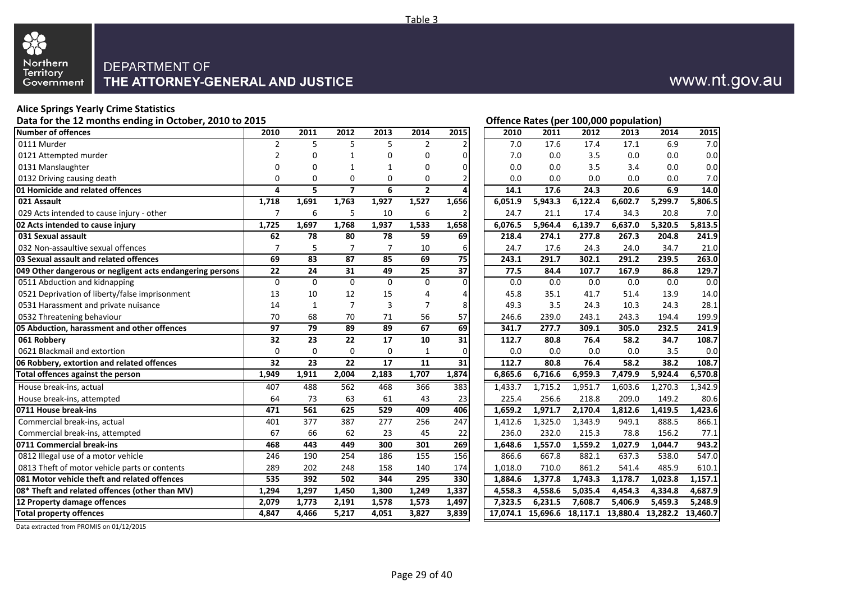

# www.nt.gov.au

#### **Alice Springs Yearly Crime Statistics**

Data for the 12 months ending in October, 2010 to 2015 **Data for the U.S. Contract Contract Contract Contract Contract Contract Contract Contract Contract Contract Contract Contract Contract Contract Contract Contract Cont** 

| Number of offences                                        | 2010           | 2011         | 2012           | 2013           | 2014           | 2015             | 2010     | 2011    | 2012                                | 2013    | 2014    | 2015     |
|-----------------------------------------------------------|----------------|--------------|----------------|----------------|----------------|------------------|----------|---------|-------------------------------------|---------|---------|----------|
| 0111 Murder                                               | $\overline{2}$ | 5            | 5              | 5              | $\overline{2}$ | $\overline{2}$   | 7.0      | 17.6    | 17.4                                | 17.1    | 6.9     | 7.0      |
| 0121 Attempted murder                                     | $\overline{2}$ | 0            | 1              | 0              | 0              | $\mathbf 0$      | 7.0      | 0.0     | 3.5                                 | 0.0     | 0.0     | 0.0      |
| 0131 Manslaughter                                         | $\Omega$       | $\Omega$     | $\mathbf{1}$   | $\mathbf{1}$   | $\mathbf 0$    | $\Omega$         | 0.0      | 0.0     | 3.5                                 | 3.4     | 0.0     | 0.0      |
| 0132 Driving causing death                                | $\mathbf 0$    | $\mathbf 0$  | $\mathbf 0$    | $\mathbf 0$    | 0              | 2                | 0.0      | 0.0     | 0.0                                 | 0.0     | 0.0     | 7.0      |
| 01 Homicide and related offences                          | 4              | 5            | $\overline{7}$ | 6              | $\overline{2}$ | 4                | 14.1     | 17.6    | 24.3                                | 20.6    | 6.9     | 14.0     |
| 021 Assault                                               | 1,718          | 1,691        | 1,763          | 1,927          | 1,527          | 1,656            | 6,051.9  | 5,943.3 | 6,122.4                             | 6,602.7 | 5,299.7 | 5,806.5  |
| 029 Acts intended to cause injury - other                 | $\overline{7}$ | 6            | 5              | 10             | 6              | $\overline{2}$   | 24.7     | 21.1    | 17.4                                | 34.3    | 20.8    | 7.0      |
| 02 Acts intended to cause injury                          | 1,725          | 1,697        | 1,768          | 1,937          | 1,533          | 1,658            | 6,076.5  | 5,964.4 | 6,139.7                             | 6,637.0 | 5,320.5 | 5,813.5  |
| 031 Sexual assault                                        | 62             | 78           | 80             | 78             | 59             | 69               | 218.4    | 274.1   | 277.8                               | 267.3   | 204.8   | 241.9    |
| 032 Non-assaultive sexual offences                        | $\overline{7}$ | 5            | $\overline{7}$ | $\overline{7}$ | 10             | 6                | 24.7     | 17.6    | 24.3                                | 24.0    | 34.7    | 21.0     |
| 03 Sexual assault and related offences                    | 69             | 83           | 87             | 85             | 69             | 75               | 243.1    | 291.7   | 302.1                               | 291.2   | 239.5   | 263.0    |
| 049 Other dangerous or negligent acts endangering persons | 22             | 24           | 31             | 49             | 25             | $\overline{37}$  | 77.5     | 84.4    | 107.7                               | 167.9   | 86.8    | 129.7    |
| 0511 Abduction and kidnapping                             | $\mathbf{0}$   | $\mathbf 0$  | $\mathbf 0$    | $\mathbf 0$    | 0              | $\mathbf 0$      | 0.0      | 0.0     | 0.0                                 | 0.0     | 0.0     | 0.0      |
| 0521 Deprivation of liberty/false imprisonment            | 13             | 10           | 12             | 15             | 4              | 4                | 45.8     | 35.1    | 41.7                                | 51.4    | 13.9    | 14.0     |
| 0531 Harassment and private nuisance                      | 14             | $\mathbf{1}$ | $\overline{7}$ | 3              | $\overline{7}$ | 8                | 49.3     | 3.5     | 24.3                                | 10.3    | 24.3    | 28.1     |
| 0532 Threatening behaviour                                | 70             | 68           | 70             | 71             | 56             | 57               | 246.6    | 239.0   | 243.1                               | 243.3   | 194.4   | 199.9    |
| 05 Abduction, harassment and other offences               | 97             | 79           | 89             | 89             | 67             | 69               | 341.7    | 277.7   | 309.1                               | 305.0   | 232.5   | 241.9    |
| 061 Robbery                                               | 32             | 23           | 22             | 17             | 10             | 31               | 112.7    | 80.8    | 76.4                                | 58.2    | 34.7    | 108.7    |
| 0621 Blackmail and extortion                              | $\mathbf{0}$   | $\mathbf 0$  | $\mathbf 0$    | $\mathbf 0$    | 1              | $\mathbf 0$      | 0.0      | 0.0     | 0.0                                 | 0.0     | 3.5     | 0.0      |
| 06 Robbery, extortion and related offences                | 32             | 23           | 22             | 17             | 11             | 31               | 112.7    | 80.8    | 76.4                                | 58.2    | 38.2    | 108.7    |
| Total offences against the person                         | 1,949          | 1,911        | 2,004          | 2,183          | 1,707          | 1,874            | 6.865.6  | 6,716.6 | 6,959.3                             | 7,479.9 | 5,924.4 | 6,570.8  |
| House break-ins, actual                                   | 407            | 488          | 562            | 468            | 366            | 383              | 1,433.7  | 1,715.2 | 1,951.7                             | 1,603.6 | 1,270.3 | 1,342.9  |
| House break-ins, attempted                                | 64             | 73           | 63             | 61             | 43             | 23               | 225.4    | 256.6   | 218.8                               | 209.0   | 149.2   | 80.6     |
| 0711 House break-ins                                      | 471            | 561          | 625            | 529            | 409            | 406              | 1,659.2  | 1,971.7 | 2,170.4                             | 1,812.6 | 1,419.5 | 1,423.6  |
| Commercial break-ins, actual                              | 401            | 377          | 387            | 277            | 256            | $\overline{247}$ | 1,412.6  | 1,325.0 | 1,343.9                             | 949.1   | 888.5   | 866.1    |
| Commercial break-ins, attempted                           | 67             | 66           | 62             | 23             | 45             | 22               | 236.0    | 232.0   | 215.3                               | 78.8    | 156.2   | 77.1     |
| 0711 Commercial break-ins                                 | 468            | 443          | 449            | 300            | 301            | 269              | 1,648.6  | 1,557.0 | 1,559.2                             | 1,027.9 | 1,044.7 | 943.2    |
| 0812 Illegal use of a motor vehicle                       | 246            | 190          | 254            | 186            | 155            | 156              | 866.6    | 667.8   | 882.1                               | 637.3   | 538.0   | 547.0    |
| 0813 Theft of motor vehicle parts or contents             | 289            | 202          | 248            | 158            | 140            | 174              | 1,018.0  | 710.0   | 861.2                               | 541.4   | 485.9   | 610.1    |
| 081 Motor vehicle theft and related offences              | 535            | 392          | 502            | 344            | 295            | 330              | 1,884.6  | 1,377.8 | 1,743.3                             | 1,178.7 | 1,023.8 | 1,157.1  |
| 08* Theft and related offences (other than MV)            | 1,294          | 1,297        | 1,450          | 1,300          | 1,249          | 1,337            | 4,558.3  | 4,558.6 | 5,035.4                             | 4,454.3 | 4,334.8 | 4,687.9  |
| 12 Property damage offences                               | 2,079          | 1,773        | 2,191          | 1,578          | 1,573          | 1,497            | 7,323.5  | 6,231.5 | 7,608.7                             | 5,406.9 | 5,459.3 | 5,248.9  |
| <b>Total property offences</b>                            | 4,847          | 4,466        | 5,217          | 4,051          | 3,827          | 3,839            | 17,074.1 |         | 15,696.6 18,117.1 13,880.4 13,282.2 |         |         | 13,460.7 |

Data extracted from PROMIS on 01/12/2015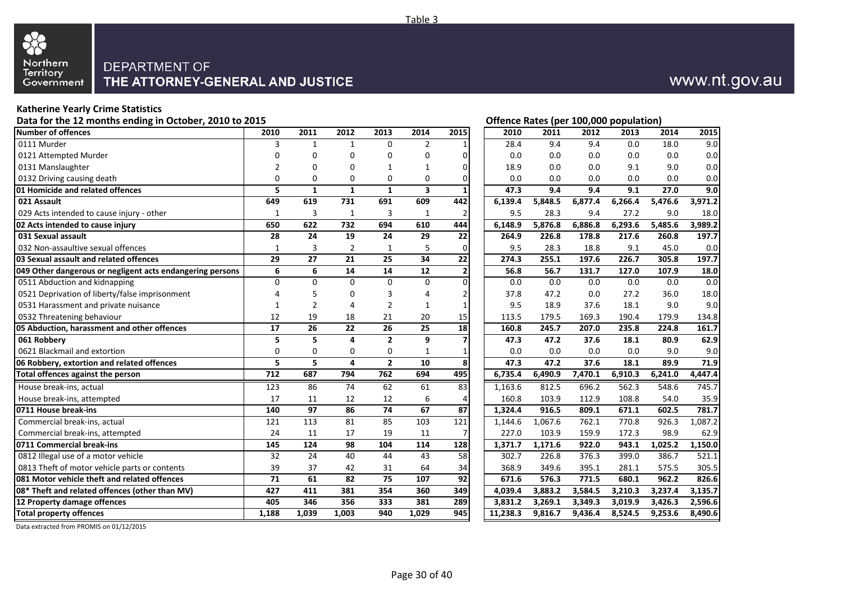

#### **Katherine Yearly Crime Statistics**

#### Data for the 12 months ending in October, 2010 to 2015 **Data for the U.S. Community Community** Community Community Community Community Community Community Community Community Community Community Community Community Communi

| Number of offences                                        | 2010             | 2011            | 2012            | 2013           | 2014                    | 2015                    | 2010     | 2011    | 2012    | 2013    | 2014    | 2015    |
|-----------------------------------------------------------|------------------|-----------------|-----------------|----------------|-------------------------|-------------------------|----------|---------|---------|---------|---------|---------|
| 0111 Murder                                               | 3                | $\mathbf{1}$    | $\mathbf{1}$    | $\Omega$       | $\overline{2}$          |                         | 28.4     | 9.4     | 9.4     | 0.0     | 18.0    | 9.0     |
| 0121 Attempted Murder                                     | $\mathbf 0$      | $\mathbf 0$     | $\mathbf 0$     | 0              | 0                       | 0                       | 0.0      | 0.0     | 0.0     | 0.0     | 0.0     | 0.0     |
| 0131 Manslaughter                                         | $\overline{2}$   | $\mathbf 0$     | $\Omega$        | 1              | $\mathbf{1}$            | 0                       | 18.9     | 0.0     | 0.0     | 9.1     | 9.0     | 0.0     |
| 0132 Driving causing death                                | $\mathbf 0$      | 0               | 0               | 0              | $\mathbf 0$             | 0                       | 0.0      | 0.0     | 0.0     | 0.0     | 0.0     | 0.0     |
| <b>01 Homicide and related offences</b>                   | 5                | $\mathbf{1}$    | $\mathbf{1}$    | $\mathbf{1}$   | $\overline{\mathbf{3}}$ | 1                       | 47.3     | 9.4     | 9.4     | 9.1     | 27.0    | 9.0     |
| 021 Assault                                               | 649              | 619             | 731             | 691            | 609                     | 442                     | 6,139.4  | 5,848.5 | 6,877.4 | 6,266.4 | 5,476.6 | 3,971.2 |
| 029 Acts intended to cause injury - other                 | $\mathbf{1}$     | 3               | 1               | 3              | 1                       | 2                       | 9.5      | 28.3    | 9.4     | 27.2    | 9.0     | 18.0    |
| 02 Acts intended to cause injury                          | 650              | 622             | 732             | 694            | 610                     | 444                     | 6,148.9  | 5,876.8 | 6,886.8 | 6,293.6 | 5,485.6 | 3,989.2 |
| 031 Sexual assault                                        | 28               | 24              | 19              | 24             | 29                      | 22                      | 264.9    | 226.8   | 178.8   | 217.6   | 260.8   | 197.7   |
| 032 Non-assaultive sexual offences                        | $\mathbf{1}$     | 3               | $\overline{2}$  | 1              | 5                       | 0                       | 9.5      | 28.3    | 18.8    | 9.1     | 45.0    | 0.0     |
| 03 Sexual assault and related offences                    | 29               | $\overline{27}$ | 21              | 25             | 34                      | $\overline{22}$         | 274.3    | 255.1   | 197.6   | 226.7   | 305.8   | 197.7   |
| 049 Other dangerous or negligent acts endangering persons | 6                | 6               | 14              | 14             | 12                      | 2                       | 56.8     | 56.7    | 131.7   | 127.0   | 107.9   | 18.0    |
| 0511 Abduction and kidnapping                             | $\mathbf 0$      | $\mathbf 0$     | $\mathbf 0$     | $\mathbf 0$    | 0                       | $\Omega$                | 0.0      | 0.0     | 0.0     | 0.0     | 0.0     | 0.0     |
| 0521 Deprivation of liberty/false imprisonment            | $\overline{4}$   | 5               | 0               | 3              | 4                       | 2                       | 37.8     | 47.2    | 0.0     | 27.2    | 36.0    | 18.0    |
| 0531 Harassment and private nuisance                      | $\mathbf{1}$     | $\overline{2}$  | $\Delta$        | $\overline{2}$ | 1                       | $\mathbf{1}$            | 9.5      | 18.9    | 37.6    | 18.1    | 9.0     | 9.0     |
| 0532 Threatening behaviour                                | 12               | 19              | 18              | 21             | 20                      | 15                      | 113.5    | 179.5   | 169.3   | 190.4   | 179.9   | 134.8   |
| 05 Abduction, harassment and other offences               | 17               | 26              | 22              | 26             | 25                      | 18                      | 160.8    | 245.7   | 207.0   | 235.8   | 224.8   | 161.7   |
| 061 Robbery                                               | 5                | 5               | 4               | $\overline{2}$ | 9                       | 7                       | 47.3     | 47.2    | 37.6    | 18.1    | 80.9    | 62.9    |
| 0621 Blackmail and extortion                              | $\mathbf 0$      | $\mathbf 0$     | $\mathbf 0$     | 0              | 1                       | 1                       | 0.0      | 0.0     | 0.0     | 0.0     | 9.0     | 9.0     |
| 06 Robbery, extortion and related offences                | 5                | 5               | 4               | $\overline{2}$ | 10                      | $\overline{\mathbf{8}}$ | 47.3     | 47.2    | 37.6    | 18.1    | 89.9    | 71.9    |
| Total offences against the person                         | $\overline{712}$ | 687             | 794             | 762            | 694                     | 495                     | 6,735.4  | 6,490.9 | 7,470.1 | 6,910.3 | 6,241.0 | 4,447.4 |
| House break-ins, actual                                   | $\overline{123}$ | 86              | 74              | 62             | 61                      | 83                      | 1,163.6  | 812.5   | 696.2   | 562.3   | 548.6   | 745.7   |
| House break-ins, attempted                                | 17               | 11              | 12              | 12             | 6                       | 4                       | 160.8    | 103.9   | 112.9   | 108.8   | 54.0    | 35.9    |
| 0711 House break-ins                                      | 140              | 97              | 86              | 74             | 67                      | 87                      | 1,324.4  | 916.5   | 809.1   | 671.1   | 602.5   | 781.7   |
| Commercial break-ins, actual                              | 121              | $\frac{113}{2}$ | 81              | 85             | 103                     | $\overline{121}$        | 1,144.6  | 1,067.6 | 762.1   | 770.8   | 926.3   | 1,087.2 |
| Commercial break-ins, attempted                           | 24               | 11              | 17              | 19             | 11                      | 7                       | 227.0    | 103.9   | 159.9   | 172.3   | 98.9    | 62.9    |
| 0711 Commercial break-ins                                 | 145              | 124             | 98              | 104            | 114                     | 128                     | 1,371.7  | 1,171.6 | 922.0   | 943.1   | 1.025.2 | 1,150.0 |
| 0812 Illegal use of a motor vehicle                       | 32               | 24              | 40              | 44             | 43                      | 58                      | 302.7    | 226.8   | 376.3   | 399.0   | 386.7   | 521.1   |
| 0813 Theft of motor vehicle parts or contents             | 39               | 37              | 42              | 31             | 64                      | 34                      | 368.9    | 349.6   | 395.1   | 281.1   | 575.5   | 305.5   |
| 081 Motor vehicle theft and related offences              | $\overline{71}$  | 61              | $\overline{82}$ | 75             | 107                     | 92                      | 671.6    | 576.3   | 771.5   | 680.1   | 962.2   | 826.6   |
| 08* Theft and related offences (other than MV)            | 427              | 411             | 381             | 354            | 360                     | 349                     | 4,039.4  | 3,883.2 | 3,584.5 | 3,210.3 | 3,237.4 | 3,135.7 |
| 12 Property damage offences                               | 405              | 346             | 356             | 333            | 381                     | 289                     | 3.831.2  | 3.269.1 | 3,349.3 | 3,019.9 | 3,426.3 | 2,596.6 |
| <b>Total property offences</b>                            | 1,188            | 1,039           | 1,003           | 940            | 1,029                   | 945                     | 11,238.3 | 9,816.7 | 9,436.4 | 8,524.5 | 9,253.6 | 8,490.6 |

Data extracted from PROMIS on 01/12/2015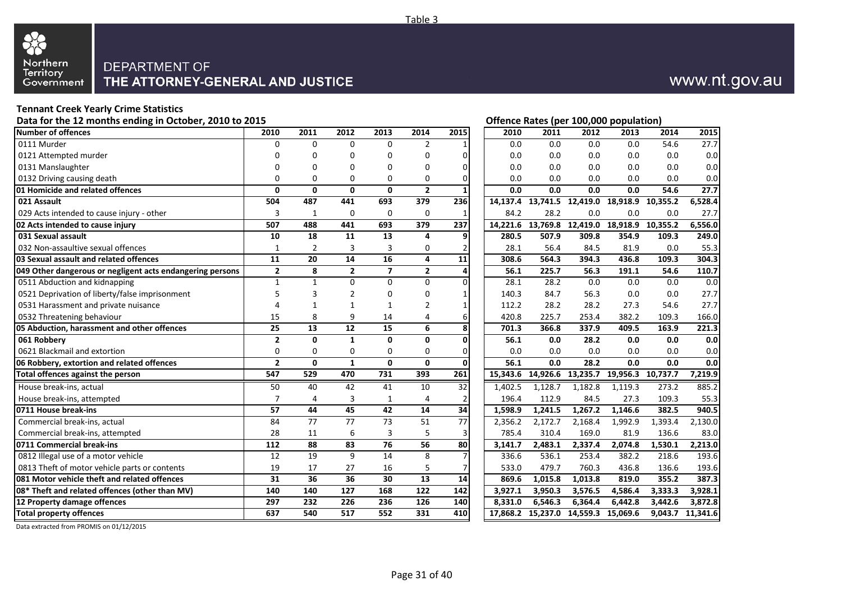

## www.nt.gov.au

## **Tennant Creek Yearly Crime Statistics**

|                                                           |                 |                 |                 |                 |                 |                 |          | . .                                 |         |                            |          |                  |
|-----------------------------------------------------------|-----------------|-----------------|-----------------|-----------------|-----------------|-----------------|----------|-------------------------------------|---------|----------------------------|----------|------------------|
| <b>Number of offences</b>                                 | 2010            | 2011            | 2012            | 2013            | 2014            | 2015            | 2010     | 2011                                | 2012    | 2013                       | 2014     | 2015             |
| 0111 Murder                                               | $\mathbf 0$     | $\Omega$        | $\Omega$        | $\Omega$        | $\overline{2}$  |                 | 0.0      | 0.0                                 | 0.0     | 0.0                        | 54.6     | 27.7             |
| 0121 Attempted murder                                     | 0               | 0               | $\Omega$        | 0               | $\mathbf 0$     | $\mathbf{0}$    | 0.0      | 0.0                                 | 0.0     | 0.0                        | 0.0      | 0.0              |
| 0131 Manslaughter                                         | $\mathbf 0$     | $\mathbf{0}$    | $\mathbf 0$     | $\overline{0}$  | $\mathbf 0$     | $\mathbf{0}$    | 0.0      | 0.0                                 | 0.0     | 0.0                        | 0.0      | 0.0              |
| 0132 Driving causing death                                | $\mathbf 0$     | $\Omega$        | 0               | 0               | 0               | $\Omega$        | 0.0      | 0.0                                 | 0.0     | 0.0                        | 0.0      | 0.0              |
| 01 Homicide and related offences                          | $\mathbf{0}$    | $\mathbf 0$     | 0               | $\mathbf{0}$    | $\overline{2}$  | $\mathbf{1}$    | 0.0      | 0.0                                 | 0.0     | 0.0                        | 54.6     | 27.7             |
| 021 Assault                                               | 504             | 487             | 441             | 693             | 379             | 236             | 14.137.4 | 13,741.5                            |         | 12,419.0 18,918.9 10,355.2 |          | 6,528.4          |
| 029 Acts intended to cause injury - other                 | 3               | $\mathbf{1}$    | 0               | $\mathbf 0$     | 0               | $\mathbf{1}$    | 84.2     | 28.2                                | 0.0     | 0.0                        | 0.0      | 27.7             |
| 02 Acts intended to cause injury                          | 507             | 488             | 441             | 693             | 379             | 237             | 14,221.6 | 13,769.8                            |         | 12,419.0 18,918.9          | 10,355.2 | 6,556.0          |
| 031 Sexual assault                                        | 10              | 18              | 11              | 13              | 4               | $\overline{9}$  | 280.5    | 507.9                               | 309.8   | 354.9                      | 109.3    | 249.0            |
| 032 Non-assaultive sexual offences                        | $\mathbf{1}$    | $\overline{2}$  | 3               | 3               | 0               | 2               | 28.1     | 56.4                                | 84.5    | 81.9                       | 0.0      | 55.3             |
| 03 Sexual assault and related offences                    | 11              | $\overline{20}$ | 14              | $\overline{16}$ | 4               | 11              | 308.6    | 564.3                               | 394.3   | 436.8                      | 109.3    | 304.3            |
| 049 Other dangerous or negligent acts endangering persons | $\overline{2}$  | 8               | $\mathbf{2}$    | $\overline{ }$  | $\mathbf{2}$    | $\overline{4}$  | 56.1     | 225.7                               | 56.3    | 191.1                      | 54.6     | 110.7            |
| 0511 Abduction and kidnapping                             | $\mathbf{1}$    | $\mathbf{1}$    | $\Omega$        | $\overline{0}$  | $\Omega$        | $\Omega$        | 28.1     | 28.2                                | 0.0     | 0.0                        | 0.0      | 0.0              |
| 0521 Deprivation of liberty/false imprisonment            | 5               | $\overline{3}$  | $\overline{2}$  | 0               | 0               | $\mathbf{1}$    | 140.3    | 84.7                                | 56.3    | 0.0                        | 0.0      | 27.7             |
| 0531 Harassment and private nuisance                      | 4               | $\mathbf{1}$    | $\mathbf{1}$    | 1               | $\overline{2}$  | $\mathbf{1}$    | 112.2    | 28.2                                | 28.2    | 27.3                       | 54.6     | 27.7             |
| 0532 Threatening behaviour                                | 15              | 8               | 9               | 14              | 4               | 6               | 420.8    | 225.7                               | 253.4   | 382.2                      | 109.3    | 166.0            |
| 05 Abduction, harassment and other offences               | 25              | 13              | 12              | 15              | 6               | 8               | 701.3    | 366.8                               | 337.9   | 409.5                      | 163.9    | 221.3            |
| 061 Robbery                                               | $\overline{2}$  | $\mathbf{0}$    | $\mathbf{1}$    | $\mathbf{0}$    | 0               | $\Omega$        | 56.1     | 0.0                                 | 28.2    | 0.0                        | 0.0      | 0.0              |
| 0621 Blackmail and extortion                              | $\mathbf 0$     | $\mathbf 0$     | 0               | $\mathbf 0$     | 0               | $\overline{0}$  | 0.0      | 0.0                                 | 0.0     | 0.0                        | 0.0      | 0.0              |
| 06 Robbery, extortion and related offences                | $\overline{2}$  | $\mathbf{0}$    | $\mathbf{1}$    | $\mathbf{0}$    | $\mathbf{0}$    | $\mathbf 0$     | 56.1     | 0.0                                 | 28.2    | 0.0                        | 0.0      | 0.0              |
| Total offences against the person                         | 547             | 529             | 470             | 731             | 393             | 261             | 15,343.6 | 14,926.6                            |         | 13,235.7 19,956.3 10,737.7 |          | 7,219.9          |
| House break-ins, actual                                   | $\overline{50}$ | 40              | $\overline{42}$ | $\overline{41}$ | $\overline{10}$ | 32              | 1.402.5  | 1.128.7                             | 1.182.8 | 1.119.3                    | 273.2    | 885.2            |
| House break-ins, attempted                                | $\overline{7}$  | 4               | 3               | 1               | 4               | 2               | 196.4    | 112.9                               | 84.5    | 27.3                       | 109.3    | 55.3             |
| 0711 House break-ins                                      | 57              | 44              | 45              | 42              | 14              | 34              | 1,598.9  | 1,241.5                             | 1,267.2 | 1,146.6                    | 382.5    | 940.5            |
| Commercial break-ins, actual                              | 84              | $\overline{77}$ | $\overline{77}$ | $\overline{73}$ | 51              | $\overline{77}$ | 2,356.2  | 2,172.7                             | 2,168.4 | 1,992.9                    | 1,393.4  | 2,130.0          |
| Commercial break-ins, attempted                           | 28              | 11              | 6               | 3               | 5               | 3               | 785.4    | 310.4                               | 169.0   | 81.9                       | 136.6    | 83.0             |
| 0711 Commercial break-ins                                 | 112             | 88              | 83              | 76              | $\overline{56}$ | 80              | 3,141.7  | 2,483.1                             | 2,337.4 | 2,074.8                    | 1,530.1  | 2,213.0          |
| 0812 Illegal use of a motor vehicle                       | 12              | 19              | 9               | 14              | 8               | 7               | 336.6    | 536.1                               | 253.4   | 382.2                      | 218.6    | 193.6            |
| 0813 Theft of motor vehicle parts or contents             | 19              | 17              | 27              | 16              | 5               | 7               | 533.0    | 479.7                               | 760.3   | 436.8                      | 136.6    | 193.6            |
| 081 Motor vehicle theft and related offences              | 31              | 36              | 36              | 30              | $\overline{13}$ | 14              | 869.6    | 1,015.8                             | 1,013.8 | 819.0                      | 355.2    | 387.3            |
| 08* Theft and related offences (other than MV)            | 140             | 140             | 127             | 168             | 122             | $\frac{142}{1}$ | 3,927.1  | 3,950.3                             | 3,576.5 | 4,586.4                    | 3,333.3  | 3,928.1          |
| 12 Property damage offences                               | 297             | 232             | 226             | 236             | 126             | 140             | 8.331.0  | 6,546.3                             | 6,364.4 | 6,442.8                    | 3,442.6  | 3,872.8          |
| <b>Total property offences</b>                            | 637             | 540             | 517             | 552             | 331             | 410             |          | 17,868.2 15,237.0 14,559.3 15,069.6 |         |                            |          | 9,043.7 11,341.6 |
|                                                           |                 |                 |                 |                 |                 |                 |          |                                     |         |                            |          |                  |

#### Data for the 12 months ending in October, 2010 to 2015 **Data for the 12 months ending in October, 2010 to 2015**

Data extracted from PROMIS on 01/12/2015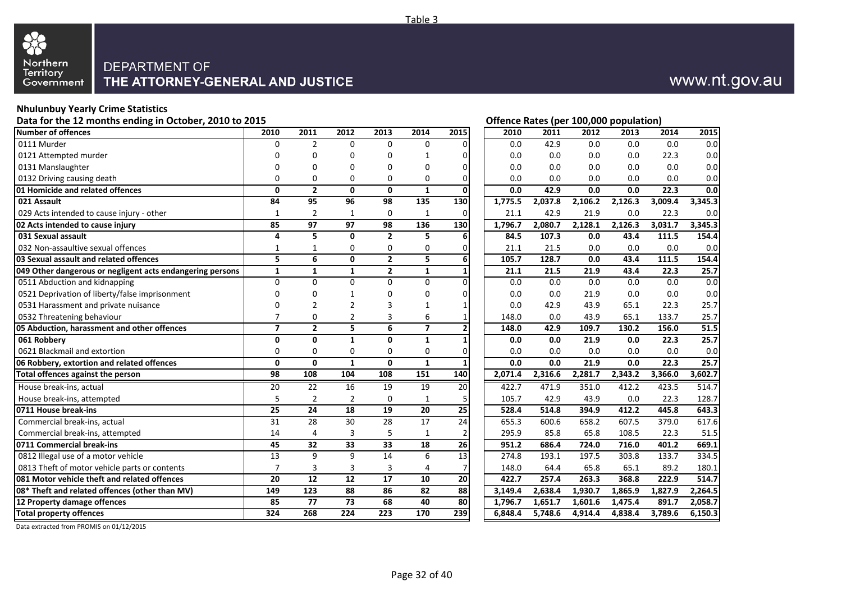

# www.nt.gov.au

**Offence Rates (per 100,000 population)** 

### **Nhulunbuy Yearly Crime Statistics**

| Number of offences                                        | 2010           | 2011           | 2012                    | 2013            | 2014            | 2015                    | 2010    | 2011    | 2012    | 2013    | 2014    | 2015    |
|-----------------------------------------------------------|----------------|----------------|-------------------------|-----------------|-----------------|-------------------------|---------|---------|---------|---------|---------|---------|
| 0111 Murder                                               | $\Omega$       | $\overline{2}$ | $\Omega$                | $\Omega$        | $\Omega$        | $\Omega$                | 0.0     | 42.9    | 0.0     | 0.0     | 0.0     | 0.0     |
| 0121 Attempted murder                                     | $\Omega$       | 0              | $\mathbf 0$             | $\mathbf{0}$    | 1               | $\overline{0}$          | 0.0     | 0.0     | 0.0     | 0.0     | 22.3    | 0.0     |
| 0131 Manslaughter                                         | 0              | 0              | $\Omega$                | $\Omega$        | $\Omega$        | $\overline{0}$          | 0.0     | 0.0     | 0.0     | 0.0     | 0.0     | 0.0     |
| 0132 Driving causing death                                | $\mathbf 0$    | $\mathbf 0$    | $\mathbf 0$             | 0               | 0               | 0                       | 0.0     | 0.0     | 0.0     | 0.0     | 0.0     | 0.0     |
| 01 Homicide and related offences                          | $\mathbf{0}$   | $\overline{2}$ | $\mathbf{0}$            | $\mathbf{0}$    | $\mathbf{1}$    | $\overline{\mathbf{0}}$ | 0.0     | 42.9    | 0.0     | 0.0     | 22.3    | 0.0     |
| 021 Assault                                               | 84             | 95             | 96                      | 98              | 135             | 130                     | 1,775.5 | 2,037.8 | 2,106.2 | 2,126.3 | 3,009.4 | 3,345.3 |
| 029 Acts intended to cause injury - other                 | $\mathbf{1}$   | $\overline{2}$ | 1                       | $\mathbf 0$     | 1               | $\mathbf 0$             | 21.1    | 42.9    | 21.9    | 0.0     | 22.3    | 0.0     |
| 02 Acts intended to cause injury                          | 85             | 97             | 97                      | 98              | 136             | 130                     | 1,796.7 | 2,080.7 | 2,128.1 | 2,126.3 | 3,031.7 | 3,345.3 |
| 031 Sexual assault                                        | 4              | 5              | 0                       | $\overline{2}$  | 5               | 6                       | 84.5    | 107.3   | 0.0     | 43.4    | 111.5   | 154.4   |
| 032 Non-assaultive sexual offences                        | 1              | 1              | 0                       | $\pmb{0}$       | 0               | $\boldsymbol{0}$        | 21.1    | 21.5    | 0.0     | 0.0     | 0.0     | 0.0     |
| 03 Sexual assault and related offences                    | 5              | 6              | $\mathbf{0}$            | $\overline{2}$  | 5               | $\overline{6}$          | 105.7   | 128.7   | 0.0     | 43.4    | 111.5   | 154.4   |
| 049 Other dangerous or negligent acts endangering persons | $\mathbf{1}$   | $\mathbf{1}$   | $\mathbf{1}$            | $\mathbf{2}$    | $\mathbf{1}$    | $\mathbf 1$             | 21.1    | 21.5    | 21.9    | 43.4    | 22.3    | 25.7    |
| 0511 Abduction and kidnapping                             | $\Omega$       | $\mathbf 0$    | $\mathbf 0$             | $\mathbf 0$     | $\mathbf 0$     | $\mathbf 0$             | 0.0     | 0.0     | 0.0     | 0.0     | 0.0     | 0.0     |
| 0521 Deprivation of liberty/false imprisonment            | 0              | 0              | 1                       | $\mathbf 0$     | $\mathbf 0$     | 0                       | 0.0     | 0.0     | 21.9    | 0.0     | 0.0     | 0.0     |
| 0531 Harassment and private nuisance                      | $\Omega$       | $\overline{2}$ | $\overline{2}$          | 3               | $\mathbf{1}$    | $\mathbf 1$             | 0.0     | 42.9    | 43.9    | 65.1    | 22.3    | 25.7    |
| 0532 Threatening behaviour                                | $\overline{7}$ | $\mathbf 0$    | $\overline{2}$          | $\overline{3}$  | 6               | $\mathbf 1$             | 148.0   | 0.0     | 43.9    | 65.1    | 133.7   | 25.7    |
| 05 Abduction, harassment and other offences               | $\overline{7}$ | $\mathbf{2}$   | $\overline{\mathbf{5}}$ | $\overline{6}$  | $\overline{7}$  | $\overline{\mathbf{2}}$ | 148.0   | 42.9    | 109.7   | 130.2   | 156.0   | 51.5    |
| 061 Robberv                                               | $\mathbf 0$    | $\mathbf 0$    | $\mathbf{1}$            | $\mathbf 0$     | $\mathbf{1}$    | $\overline{\mathbf{1}}$ | 0.0     | 0.0     | 21.9    | 0.0     | 22.3    | 25.7    |
| 0621 Blackmail and extortion                              | $\mathbf 0$    | $\mathbf 0$    | 0                       | 0               | 0               | 0                       | 0.0     | 0.0     | 0.0     | 0.0     | 0.0     | 0.0     |
| 06 Robbery, extortion and related offences                | $\mathbf{0}$   | $\mathbf{0}$   | $\mathbf{1}$            | $\mathbf{0}$    | $\mathbf{1}$    | $\mathbf{1}$            | 0.0     | 0.0     | 21.9    | 0.0     | 22.3    | 25.7    |
| Total offences against the person                         | 98             | 108            | 104                     | 108             | 151             | 140                     | 2,071.4 | 2,316.6 | 2,281.7 | 2,343.2 | 3,366.0 | 3,602.7 |
| House break-ins, actual                                   | 20             | 22             | 16                      | 19              | 19              | 20                      | 422.7   | 471.9   | 351.0   | 412.2   | 423.5   | 514.7   |
| House break-ins, attempted                                | 5              | $\overline{2}$ | $\overline{2}$          | $\mathbf 0$     | 1               | 5                       | 105.7   | 42.9    | 43.9    | 0.0     | 22.3    | 128.7   |
| 0711 House break-ins                                      | 25             | 24             | 18                      | 19              | 20              | 25                      | 528.4   | 514.8   | 394.9   | 412.2   | 445.8   | 643.3   |
| Commercial break-ins, actual                              | 31             | 28             | 30                      | 28              | $\overline{17}$ | 24                      | 655.3   | 600.6   | 658.2   | 607.5   | 379.0   | 617.6   |
| Commercial break-ins, attempted                           | 14             | 4              | 3                       | 5               | 1               | $\overline{2}$          | 295.9   | 85.8    | 65.8    | 108.5   | 22.3    | 51.5    |
| 0711 Commercial break-ins                                 | 45             | 32             | 33                      | 33              | 18              | 26                      | 951.2   | 686.4   | 724.0   | 716.0   | 401.2   | 669.1   |
| 0812 Illegal use of a motor vehicle                       | 13             | 9              | 9                       | 14              | 6               | $\overline{13}$         | 274.8   | 193.1   | 197.5   | 303.8   | 133.7   | 334.5   |
| 0813 Theft of motor vehicle parts or contents             | $\overline{7}$ | 3              | $\overline{3}$          | $\overline{3}$  | $\overline{4}$  | 7                       | 148.0   | 64.4    | 65.8    | 65.1    | 89.2    | 180.1   |
| 081 Motor vehicle theft and related offences              | 20             | 12             | 12                      | $\overline{17}$ | 10              | 20                      | 422.7   | 257.4   | 263.3   | 368.8   | 222.9   | 514.7   |
| 08* Theft and related offences (other than MV)            | 149            | 123            | 88                      | 86              | 82              | $\overline{88}$         | 3,149.4 | 2,638.4 | 1,930.7 | 1,865.9 | 1,827.9 | 2,264.5 |
| 12 Property damage offences                               | 85             | 77             | 73                      | 68              | 40              | 80                      | 1,796.7 | 1,651.7 | 1,601.6 | 1,475.4 | 891.7   | 2,058.7 |
| <b>Total property offences</b>                            | 324            | 268            | $\overline{224}$        | 223             | 170             | 239                     | 6.848.4 | 5,748.6 | 4,914.4 | 4,838.4 | 3,789.6 | 6,150.3 |

Data extracted from PROMIS on 01/12/2015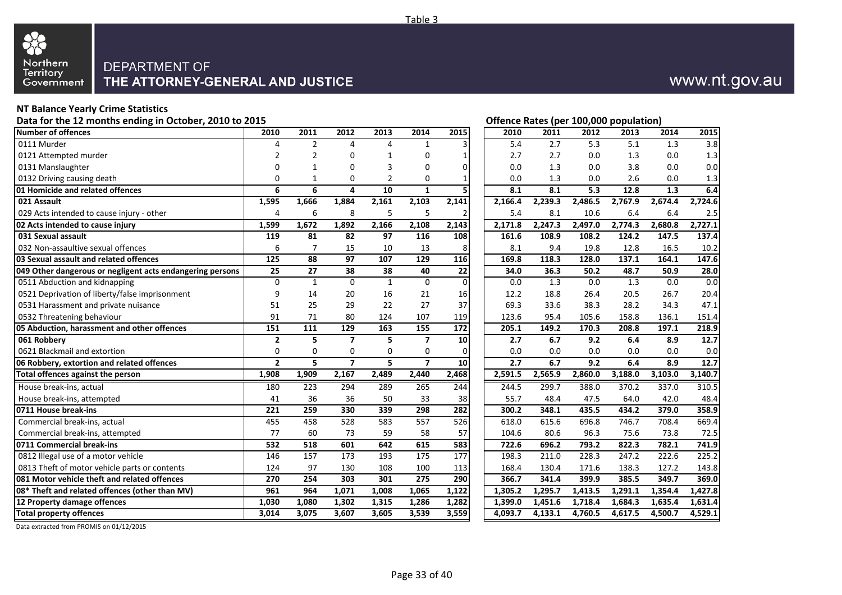

# www.nt.gov.au

#### **NT Balance Yearly Crime Statistics**

Data for the 12 months ending in October, 2010 to 2015 **Contact Contact Contact Contact Contact Contact Contact Contact Contact Contact Contact Contact Contact Contact Contact Contact Contact Contact Contact Contact Contac** 

| Number of offences                                        | 2010           | 2011           | 2012           | 2013           | 2014           | 2015           | 2010    | 2011    | 2012    | 2013    | 2014               | 2015    |
|-----------------------------------------------------------|----------------|----------------|----------------|----------------|----------------|----------------|---------|---------|---------|---------|--------------------|---------|
| 0111 Murder                                               | 4              | $\overline{2}$ | 4              | 4              | 1              |                | 5.4     | 2.7     | 5.3     | 5.1     | 1.3                | 3.8     |
| 0121 Attempted murder                                     | $\overline{2}$ | $\overline{2}$ | $\Omega$       | 1              | $\mathbf 0$    | $\mathbf{1}$   | 2.7     | 2.7     | 0.0     | 1.3     | 0.0                | 1.3     |
| 0131 Manslaughter                                         | $\Omega$       | $\mathbf{1}$   | $\Omega$       | 3              | $\mathbf 0$    | $\overline{0}$ | 0.0     | 1.3     | 0.0     | 3.8     | 0.0                | 0.0     |
| 0132 Driving causing death                                | $\Omega$       | 1              | $\Omega$       | $\overline{2}$ | $\Omega$       | 1              | 0.0     | 1.3     | 0.0     | 2.6     | 0.0                | 1.3     |
| 01 Homicide and related offences                          | 6              | 6              | 4              | 10             | $\mathbf{1}$   | 5              | 8.1     | 8.1     | 5.3     | 12.8    | 1.3                | 6.4     |
| 021 Assault                                               | 1,595          | 1,666          | 1,884          | 2,161          | 2,103          | 2,141          | 2,166.4 | 2,239.3 | 2,486.5 | 2,767.9 | 2,674.4            | 2,724.6 |
| 029 Acts intended to cause injury - other                 | 4              | 6              | 8              | 5              | 5              | 2              | 5.4     | 8.1     | 10.6    | 6.4     | 6.4                | 2.5     |
| 02 Acts intended to cause injury                          | 1,599          | 1,672          | 1,892          | 2,166          | 2,108          | 2,143          | 2,171.8 | 2,247.3 | 2,497.0 | 2,774.3 | 2,680.8            | 2,727.1 |
| 031 Sexual assault                                        | 119            | 81             | 82             | 97             | 116            | 108            | 161.6   | 108.9   | 108.2   | 124.2   | 147.5              | 137.4   |
| 032 Non-assaultive sexual offences                        | 6              | $\overline{7}$ | 15             | 10             | 13             | 8              | 8.1     | 9.4     | 19.8    | 12.8    | 16.5               | 10.2    |
| 03 Sexual assault and related offences                    | 125            | 88             | 97             | 107            | 129            | 116            | 169.8   | 118.3   | 128.0   | 137.1   | 164.1              | 147.6   |
| 049 Other dangerous or negligent acts endangering persons | 25             | 27             | 38             | 38             | 40             | 22             | 34.0    | 36.3    | 50.2    | 48.7    | 50.9               | 28.0    |
| 0511 Abduction and kidnapping                             | $\Omega$       | $\mathbf{1}$   | $\Omega$       | $\mathbf{1}$   | 0              | $\Omega$       | 0.0     | 1.3     | 0.0     | 1.3     | 0.0                | 0.0     |
| 0521 Deprivation of liberty/false imprisonment            | 9              | 14             | 20             | 16             | 21             | 16             | 12.2    | 18.8    | 26.4    | 20.5    | 26.7               | 20.4    |
| 0531 Harassment and private nuisance                      | 51             | 25             | 29             | 22             | 27             | 37             | 69.3    | 33.6    | 38.3    | 28.2    | 34.3               | 47.1    |
| 0532 Threatening behaviour                                | 91             | 71             | 80             | 124            | 107            | 119            | 123.6   | 95.4    | 105.6   | 158.8   | 136.1              | 151.4   |
| 05 Abduction, harassment and other offences               | 151            | 111            | 129            | 163            | 155            | 172            | 205.1   | 149.2   | 170.3   | 208.8   | 197.1              | 218.9   |
| 061 Robbery                                               | $\overline{2}$ | 5              | $\overline{ }$ | 5              | $\overline{7}$ | 10             | 2.7     | 6.7     | 9.2     | 6.4     | 8.9                | 12.7    |
| 0621 Blackmail and extortion                              | 0              | $\mathbf 0$    | 0              | $\Omega$       | 0              | $\Omega$       | 0.0     | 0.0     | 0.0     | 0.0     | 0.0                | 0.0     |
| 06 Robbery, extortion and related offences                | $\overline{2}$ | 5              | $\overline{7}$ | 5.             | $\overline{ }$ | 10             | 2.7     | 6.7     | 9.2     | 6.4     | 8.9                | 12.7    |
| Total offences against the person                         | 1,908          | 1,909          | 2,167          | 2,489          | 2,440          | 2,468          | 2,591.5 | 2,565.9 | 2,860.0 | 3,188.0 | 3,103.0            | 3,140.7 |
| House break-ins, actual                                   | 180            | 223            | 294            | 289            | 265            | 244            | 244.5   | 299.7   | 388.0   | 370.2   | 337.0              | 310.5   |
| House break-ins, attempted                                | 41             | 36             | 36             | 50             | 33             | 38             | 55.7    | 48.4    | 47.5    | 64.0    | 42.0               | 48.4    |
| 0711 House break-ins                                      | 221            | 259            | 330            | 339            | 298            | 282            | 300.2   | 348.1   | 435.5   | 434.2   | 379.0              | 358.9   |
| Commercial break-ins, actual                              | 455            | 458            | 528            | 583            | 557            | 526            | 618.0   | 615.6   | 696.8   | 746.7   | 708.4              | 669.4   |
| Commercial break-ins, attempted                           | 77             | 60             | 73             | 59             | 58             | 57             | 104.6   | 80.6    | 96.3    | 75.6    | 73.8               | 72.5    |
| 0711 Commercial break-ins                                 | 532            | 518            | 601            | 642            | 615            | 583            | 722.6   | 696.2   | 793.2   | 822.3   | 782.1              | 741.9   |
| 0812 Illegal use of a motor vehicle                       | 146            | 157            | 173            | 193            | 175            | 177            | 198.3   | 211.0   | 228.3   | 247.2   | 222.6              | 225.2   |
| 0813 Theft of motor vehicle parts or contents             | 124            | 97             | 130            | 108            | 100            | 113            | 168.4   | 130.4   | 171.6   | 138.3   | 127.2              | 143.8   |
| 081 Motor vehicle theft and related offences              | 270            | 254            | 303            | 301            | 275            | 290            | 366.7   | 341.4   | 399.9   | 385.5   | 349.7              | 369.0   |
| 08* Theft and related offences (other than MV)            | 961            | 964            | 1,071          | 1,008          | 1,065          | 1,122          | 1,305.2 | 1,295.7 | 1,413.5 | 1,291.1 | 1,354.4            | 1,427.8 |
| 12 Property damage offences                               |                |                |                |                |                |                |         |         |         |         |                    |         |
|                                                           | 1,030          | 1,080          | 1,302          | 1,315          | 1,286          | 1,282          | 1,399.0 | 1,451.6 | 1,718.4 | 1,684.3 | 1,635.4<br>4,500.7 | 1,631.4 |

Data extracted from PROMIS on 01/12/2015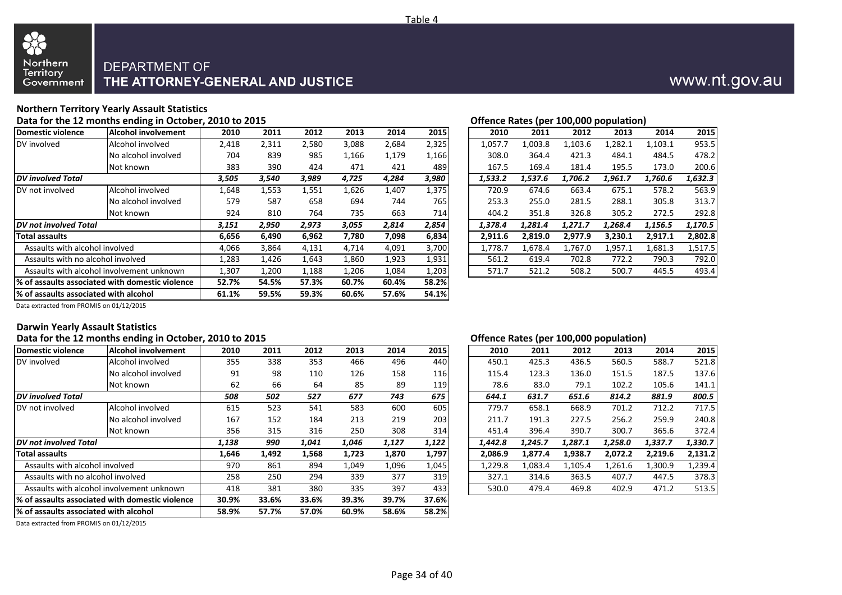

### **Northern Territory Yearly Assault Statistics**

#### Data for the 12 months ending in October, 2010 to 2015 **Data for the U.S. Contract Contract Contract Contract Contract Contract Contract Contract Contract Contract Contract Contract Contract Contract Contract Contract Cont**

| Domestic violence                      | <b>Alcohol involvement</b>                      | 2010  | 2011  | 2012  | 2013  | 2014  | 2015  | 2010    | 2011    | 2012    | 2013    | 2014    | 2015    |
|----------------------------------------|-------------------------------------------------|-------|-------|-------|-------|-------|-------|---------|---------|---------|---------|---------|---------|
| DV involved                            | Alcohol involved                                | 2,418 | 2,311 | 2,580 | 3,088 | 2,684 | 2,325 | 1,057.7 | 1,003.8 | 1,103.6 | 1,282.1 | 1,103.1 | 953.5   |
|                                        | No alcohol involved                             | 704   | 839   | 985   | 1,166 | 1,179 | 1,166 | 308.0   | 364.4   | 421.3   | 484.1   | 484.5   | 478.2   |
|                                        | Not known                                       | 383   | 390   | 424   | 471   | 421   | 489   | 167.5   | 169.4   | 181.4   | 195.5   | 173.0   | 200.6   |
| <b>DV</b> involved Total               |                                                 | 3,505 | 3,540 | 3,989 | 4,725 | 4,284 | 3,980 | 1,533.2 | 1,537.6 | 1,706.2 | 1,961.7 | 1,760.6 | 1,632.3 |
| DV not involved                        | Alcohol involved                                | 1,648 | 1,553 | 1,551 | 1,626 | 1,407 | 1,375 | 720.9   | 674.6   | 663.4   | 675.1   | 578.2   | 563.9   |
|                                        | No alcohol involved                             | 579   | 587   | 658   | 694   | 744   | 765   | 253.3   | 255.0   | 281.5   | 288.1   | 305.8   | 313.7   |
|                                        | Not known                                       | 924   | 810   | 764   | 735   | 663   | 714   | 404.2   | 351.8   | 326.8   | 305.2   | 272.5   | 292.8   |
| DV not involved Total                  |                                                 | 3,151 | 2,950 | 2,973 | 3,055 | 2,814 | 2,854 | 1,378.4 | 1.281.4 | 1.271.7 | 1.268.4 | 1,156.5 | 1,170.5 |
| <b>Total assaults</b>                  |                                                 | 6,656 | 6,490 | 6,962 | 7,780 | 7,098 | 6,834 | 2,911.6 | 2,819.0 | 2,977.9 | 3,230.1 | 2,917.1 | 2,802.8 |
| Assaults with alcohol involved         |                                                 | 4,066 | 3,864 | 4,131 | 4,714 | 4,091 | 3,700 | 1,778.7 | 1,678.4 | 1,767.0 | 1,957.1 | 1,681.3 | 1,517.5 |
| Assaults with no alcohol involved      |                                                 | 1,283 | 1,426 | 1,643 | 1,860 | 1,923 | 1,931 | 561.2   | 619.4   | 702.8   | 772.2   | 790.3   | 792.0   |
|                                        | Assaults with alcohol involvement unknown       | 1,307 | l,200 | 1,188 | 1,206 | 1,084 | 1,203 | 571.7   | 521.2   | 508.2   | 500.7   | 445.5   | 493.4   |
|                                        | % of assaults associated with domestic violence | 52.7% | 54.5% | 57.3% | 60.7% | 60.4% | 58.2% |         |         |         |         |         |         |
| l% of assaults associated with alcohol |                                                 | 61.1% | 59.5% | 59.3% | 60.6% | 57.6% | 54.1% |         |         |         |         |         |         |

| 2010    | 2011    | 2012    | 2013    | 2014    | 2015    |
|---------|---------|---------|---------|---------|---------|
| 1,057.7 | 1,003.8 | 1,103.6 | 1,282.1 | 1,103.1 | 953.5   |
| 308.0   | 364.4   | 421.3   | 484.1   | 484.5   | 478.2   |
| 167.5   | 169.4   | 181.4   | 195.5   | 173.0   | 200.6   |
| 1,533.2 | 1,537.6 | 1,706.2 | 1,961.7 | 1,760.6 | 1,632.3 |
| 720.9   | 674.6   | 663.4   | 675.1   | 578.2   | 563.9   |
| 253.3   | 255.0   | 281.5   | 288.1   | 305.8   | 313.7   |
| 404.2   | 351.8   | 326.8   | 305.2   | 272.5   | 292.8   |
| 1,378.4 | 1,281.4 | 1,271.7 | 1,268.4 | 1,156.5 | 1,170.5 |
| 2,911.6 | 2,819.0 | 2,977.9 | 3,230.1 | 2,917.1 | 2,802.8 |
| 1,778.7 | 1,678.4 | 1,767.0 | 1,957.1 | 1,681.3 | 1,517.5 |
| 561.2   | 619.4   | 702.8   | 772.2   | 790.3   | 792.0   |
| 571.7   | 521.2   | 508.2   | 500.7   | 445.5   | 493.4   |

Data extracted from PROMIS on 01/12/2015

88

#### **Darwin Yearly Assault Statistics**

#### Data for the 12 months ending in October, 2010 to 2015 **Data for the 12 months ending in October, 2010 to 2015**

| Domestic violence                      | <b>Alcohol involvement</b>                      | 2010  | 2011  | 2012  | 2013  | 2014  | 2015       | 2010    | 2011    | 2012    | 2013    | 2014    | 2015    |
|----------------------------------------|-------------------------------------------------|-------|-------|-------|-------|-------|------------|---------|---------|---------|---------|---------|---------|
| DV involved                            | Alcohol involved                                | 355   | 338   | 353   | 466   | 496   | 440        | 450.1   | 425.3   | 436.5   | 560.5   | 588.7   | 521.8   |
|                                        | No alcohol involved                             | 91    | 98    | 110   | 126   | 158   | <b>116</b> | 115.4   | 123.3   | 136.0   | 151.5   | 187.5   | 137.6   |
|                                        | Not known                                       | 62    | 66    | 64    | 85    | 89    | 119        | 78.6    | 83.0    | 79.1    | 102.2   | 105.6   | 141.1   |
| <b>DV</b> involved Total               |                                                 | 508   | 502   | 527   | 677   | 743   | 675        | 644.1   | 631.7   | 651.6   | 814.2   | 881.9   | 800.5   |
| DV not involved                        | Alcohol involved                                | 615   | 523   | 541   | 583   | 600   | 605        | 779.7   | 658.1   | 668.9   | 701.2   | 712.2   | 717.5   |
|                                        | No alcohol involved                             | 167   | 152   | 184   | 213   | 219   | 203        | 211.7   | 191.3   | 227.5   | 256.2   | 259.9   | 240.8   |
|                                        | Not known                                       | 356   | 315   | 316   | 250   | 308   | 314        | 451.4   | 396.4   | 390.7   | 300.7   | 365.6   | 372.4   |
| <b>DV</b> not involved Total           |                                                 | 1,138 | 990   | 1,041 | 1,046 | 1,127 | 1,122      | 1,442.8 | 1,245.7 | 1,287.1 | 1,258.0 | 1,337.7 | 1,330.7 |
| <b>Total assaults</b>                  |                                                 | 1,646 | 1,492 | 1,568 | 1,723 | 1,870 | 1,797      | 2,086.9 | 1,877.4 | 1,938.7 | 2,072.2 | 2,219.6 | 2,131.2 |
| Assaults with alcohol involved         |                                                 | 970   | 861   | 894   | 1,049 | 1,096 | 1,045      | 1,229.8 | 1,083.4 | 1,105.4 | 1,261.6 | 1,300.9 | 1,239.4 |
| Assaults with no alcohol involved      |                                                 | 258   | 250   | 294   | 339   | 377   | 319        | 327.1   | 314.6   | 363.5   | 407.7   | 447.5   | 378.3   |
|                                        | Assaults with alcohol involvement unknown       | 418   | 381   | 380   | 335   | 397   | 433        | 530.0   | 479.4   | 469.8   | 402.9   | 471.2   | 513.5   |
|                                        | % of assaults associated with domestic violence | 30.9% | 33.6% | 33.6% | 39.3% | 39.7% | 37.6%      |         |         |         |         |         |         |
| l% of assaults associated with alcohol |                                                 | 58.9% | 57.7% | 57.0% | 60.9% | 58.6% | 58.2%      |         |         |         |         |         |         |

| 2010    | 2011    | 2012    | 2013    | 2014    | 2015    |
|---------|---------|---------|---------|---------|---------|
| 450.1   | 425.3   | 436.5   | 560.5   | 588.7   | 521.8   |
| 115.4   | 123.3   | 136.0   | 151.5   | 187.5   | 137.6   |
| 78.6    | 83.0    | 79.1    | 102.2   | 105.6   | 141.1   |
| 644.1   | 631.7   | 651.6   | 814.2   | 881.9   | 800.5   |
| 779.7   | 658.1   | 668.9   | 701.2   | 712.2   | 717.5   |
| 211.7   | 191.3   | 227.5   | 256.2   | 259.9   | 240.8   |
| 451.4   | 396.4   | 390.7   | 300.7   | 365.6   | 372.4   |
| 1.442.8 | 1,245.7 | 1,287.1 | 1,258.0 | 1,337.7 | 1,330.7 |
| 2.086.9 | 1,877.4 | 1,938.7 | 2,072.2 | 2,219.6 | 2.131.2 |
| 1,229.8 | 1,083.4 | 1,105.4 | 1,261.6 | 1,300.9 | 1,239.4 |
| 327.1   | 314.6   | 363.5   | 407.7   | 447.5   | 378.3   |
| 530.0   | 479.4   | 469.8   | 402.9   | 471.2   | 513.5   |

Data extracted from PROMIS on 01/12/2015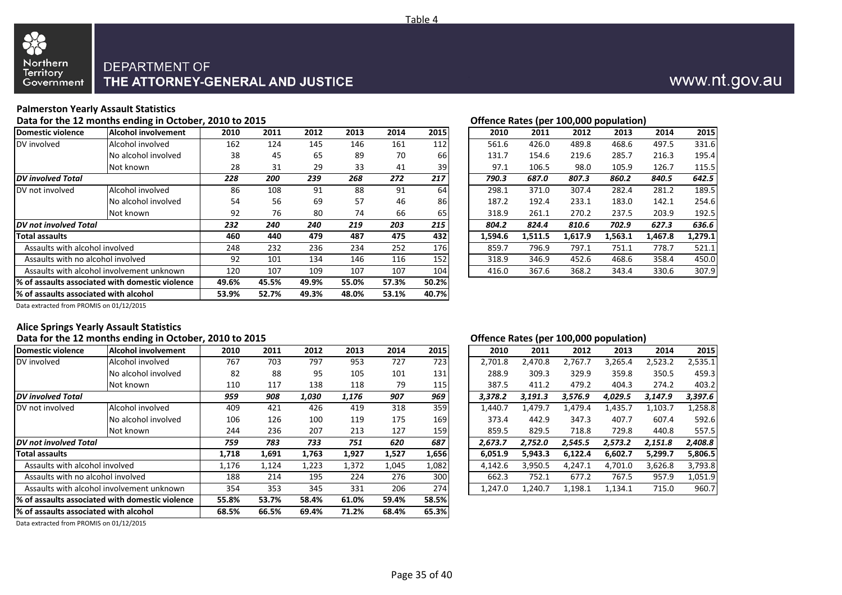

#### **Palmerston Yearly Assault Statistics**

#### Data for the 12 months ending in October, 2010 to 2015 **Data for the 12 months ending in October**, 2010 to 2015

| Domestic violence                     | <b>Alcohol involvement</b>                       | 2010  | 2011  | 2012  | 2013  | 2014  | 2015  | 2010    | 2011    | 2012    | 2013    | 2014    | 2015    |
|---------------------------------------|--------------------------------------------------|-------|-------|-------|-------|-------|-------|---------|---------|---------|---------|---------|---------|
| DV involved                           | Alcohol involved                                 | 162   | 124   | 145   | 146   | 161   | 112   | 561.6   | 426.0   | 489.8   | 468.6   | 497.5   | 331.6   |
|                                       | No alcohol involved                              | 38    | 45    | 65    | 89    | 70    | 66    | 131.7   | 154.6   | 219.6   | 285.7   | 216.3   | 195.4   |
|                                       | Not known                                        | 28    | 31    | 29    | 33    | 41    | 39    | 97.1    | 106.5   | 98.0    | 105.9   | 126.7   | 115.5   |
| <b>DV</b> involved Total              |                                                  | 228   | 200   | 239   | 268   | 272   | 217   | 790.3   | 687.0   | 807.3   | 860.2   | 840.5   | 642.5   |
| DV not involved                       | Alcohol involved                                 | 86    | 108   | 91    | 88    | 91    | 64    | 298.1   | 371.0   | 307.4   | 282.4   | 281.2   | 189.5   |
|                                       | No alcohol involved                              | 54    | 56    | 69    | 57    | 46    | 86    | 187.2   | 192.4   | 233.1   | 183.0   | 142.1   | 254.6   |
|                                       | Not known                                        | 92    | 76    | 80    | 74    | 66    | 65    | 318.9   | 261.1   | 270.2   | 237.5   | 203.9   | 192.5   |
| <b>IDV</b> not involved Total         |                                                  | 232   | 240   | 240   | 219   | 203   | 215   | 804.2   | 824.4   | 810.6   | 702.9   | 627.3   | 636.6   |
| Total assaults                        |                                                  | 460   | 440   | 479   | 487   | 475   | 432   | 1,594.6 | 1,511.5 | 1,617.9 | 1,563.1 | 1,467.8 | 1,279.1 |
| Assaults with alcohol involved        |                                                  | 248   | 232   | 236   | 234   | 252   | 176   | 859.7   | 796.9   | 797.1   | 751.1   | 778.7   | 521.1   |
| Assaults with no alcohol involved     |                                                  | 92    | 101   | 134   | 146   | 116   | 152   | 318.9   | 346.9   | 452.6   | 468.6   | 358.4   | 450.0   |
|                                       | Assaults with alcohol involvement unknown        | 120   | 107   | 109   | 107   | 107   | 104   | 416.0   | 367.6   | 368.2   | 343.4   | 330.6   | 307.9   |
|                                       | 1% of assaults associated with domestic violence | 49.6% | 45.5% | 49.9% | 55.0% | 57.3% | 50.2% |         |         |         |         |         |         |
| % of assaults associated with alcohol |                                                  | 53.9% | 52.7% | 49.3% | 48.0% | 53.1% | 40.7% |         |         |         |         |         |         |
|                                       |                                                  |       |       |       |       |       |       |         |         |         |         |         |         |

| 2010    | 2011    | 2012    | 2013    | 2014    | 2015    |
|---------|---------|---------|---------|---------|---------|
| 561.6   | 426.0   | 489.8   | 468.6   | 497.5   | 331.6   |
| 131.7   | 154.6   | 219.6   | 285.7   | 216.3   | 195.4   |
| 97.1    | 106.5   | 98.0    | 105.9   | 126.7   | 115.5   |
| 790.3   | 687.0   | 807.3   | 860.2   | 840.5   | 642.5   |
| 298.1   | 371.0   | 307.4   | 282.4   | 281.2   | 189.5   |
| 187.2   | 192.4   | 233.1   | 183.0   | 142.1   | 254.6   |
| 318.9   | 261.1   | 270.2   | 237.5   | 203.9   | 192.5   |
| 804.2   | 824.4   | 810.6   | 702.9   | 627.3   | 636.6   |
| 1.594.6 | 1.511.5 | 1.617.9 | 1.563.1 | 1,467.8 | 1,279.1 |
| 859.7   | 796.9   | 797.1   | 751.1   | 778.7   | 521.1   |
| 318.9   | 346.9   | 452.6   | 468.6   | 358.4   | 450.0   |
| 416.0   | 367.6   | 368.2   | 343.4   | 330.6   | 307.9   |

Data extracted from PROMIS on 01/12/2015

#### **Alice Springs Yearly Assault Statistics Data for the 12 months ending in October, 2010 to 2015 Offence Rates (per 100,000 population)**

|                                       |                                                  |       |       |       |       |       |       | onchec nates (per 100)000 population) |         |         |         |         |         |
|---------------------------------------|--------------------------------------------------|-------|-------|-------|-------|-------|-------|---------------------------------------|---------|---------|---------|---------|---------|
| Domestic violence                     | Alcohol involvement                              | 2010  | 2011  | 2012  | 2013  | 2014  | 2015  | 2010                                  | 2011    | 2012    | 2013    | 2014    | 2015    |
| DV involved                           | Alcohol involved                                 | 767   | 703   | 797   | 953   | 727   | 723   | 2,701.8                               | 2,470.8 | 2,767.7 | 3,265.4 | 2,523.2 | 2,535.1 |
|                                       | No alcohol involved                              | 82    | 88    | 95    | 105   | 101   | 131   | 288.9                                 | 309.3   | 329.9   | 359.8   | 350.5   | 459.3   |
|                                       | Not known                                        | 110   | 117   | 138   | 118   | 79    | 115   | 387.5                                 | 411.2   | 479.2   | 404.3   | 274.2   | 403.2   |
| <b>DV</b> involved Total              |                                                  | 959   | 908   | 1,030 | 1,176 | 907   | 969   | 3,378.2                               | 3,191.3 | 3,576.9 | 4,029.5 | 3,147.9 | 3,397.6 |
| DV not involved                       | Alcohol involved                                 | 409   | 421   | 426   | 419   | 318   | 359   | 1,440.7                               | 1,479.7 | 1,479.4 | 1,435.7 | 1,103.7 | 1,258.8 |
|                                       | No alcohol involved                              | 106   | 126   | 100   | 119   | 175   | 169   | 373.4                                 | 442.9   | 347.3   | 407.7   | 607.4   | 592.6   |
|                                       | Not known                                        | 244   | 236   | 207   | 213   | 127   | 159   | 859.5                                 | 829.5   | 718.8   | 729.8   | 440.8   | 557.5   |
| <b>IDV</b> not involved Total         |                                                  | 759   | 783   | 733   | 751   | 620   | 687   | 2,673.7                               | 2,752.0 | 2,545.5 | 2,573.2 | 2,151.8 | 2,408.8 |
| <b>Total assaults</b>                 |                                                  | 1,718 | 1,691 | 1,763 | 1,927 | 1,527 | 1,656 | 6,051.9                               | 5,943.3 | 6,122.4 | 6,602.7 | 5,299.7 | 5,806.5 |
| Assaults with alcohol involved        |                                                  | 1,176 | 1,124 | 1,223 | 1,372 | 1,045 | 1,082 | 4,142.6                               | 3,950.5 | 4,247.1 | 4,701.0 | 3,626.8 | 3,793.8 |
| Assaults with no alcohol involved     |                                                  | 188   | 214   | 195   | 224   | 276   | 300   | 662.3                                 | 752.1   | 677.2   | 767.5   | 957.9   | 1,051.9 |
|                                       | Assaults with alcohol involvement unknown        | 354   | 353   | 345   | 331   | 206   | 274   | 1,247.0                               | 1,240.7 | 1,198.1 | 1,134.1 | 715.0   | 960.7   |
|                                       | 1% of assaults associated with domestic violence | 55.8% | 53.7% | 58.4% | 61.0% | 59.4% | 58.5% |                                       |         |         |         |         |         |
| % of assaults associated with alcohol |                                                  | 68.5% | 66.5% | 69.4% | 71.2% | 68.4% | 65.3% |                                       |         |         |         |         |         |
|                                       |                                                  |       |       |       |       |       |       |                                       |         |         |         |         |         |

|         | 2010  | 2011    | 2012    | 2013    | 2014    | 2015    |
|---------|-------|---------|---------|---------|---------|---------|
| 2,701.8 |       | 2,470.8 | 2,767.7 | 3,265.4 | 2,523.2 | 2,535.1 |
|         | 288.9 | 309.3   | 329.9   | 359.8   | 350.5   | 459.3   |
|         | 387.5 | 411.2   | 479.2   | 404.3   | 274.2   | 403.2   |
| 3,378.2 |       | 3,191.3 | 3,576.9 | 4,029.5 | 3,147.9 | 3,397.6 |
| 1,440.7 |       | 1,479.7 | 1,479.4 | 1,435.7 | 1,103.7 | 1,258.8 |
|         | 373.4 | 442.9   | 347.3   | 407.7   | 607.4   | 592.6   |
| 859.5   |       | 829.5   | 718.8   | 729.8   | 440.8   | 557.5   |
| 2,673.7 |       | 2,752.0 | 2,545.5 | 2,573.2 | 2,151.8 | 2,408.8 |
| 6,051.9 |       | 5,943.3 | 6,122.4 | 6,602.7 | 5,299.7 | 5,806.5 |
| 4,142.6 |       | 3,950.5 | 4,247.1 | 4,701.0 | 3,626.8 | 3,793.8 |
| 662.3   |       | 752.1   | 677.2   | 767.5   | 957.9   | 1,051.9 |
| 1,247.0 |       | 1,240.7 | 1,198.1 | 1,134.1 | 715.0   | 960.7   |

Data extracted from PROMIS on 01/12/2015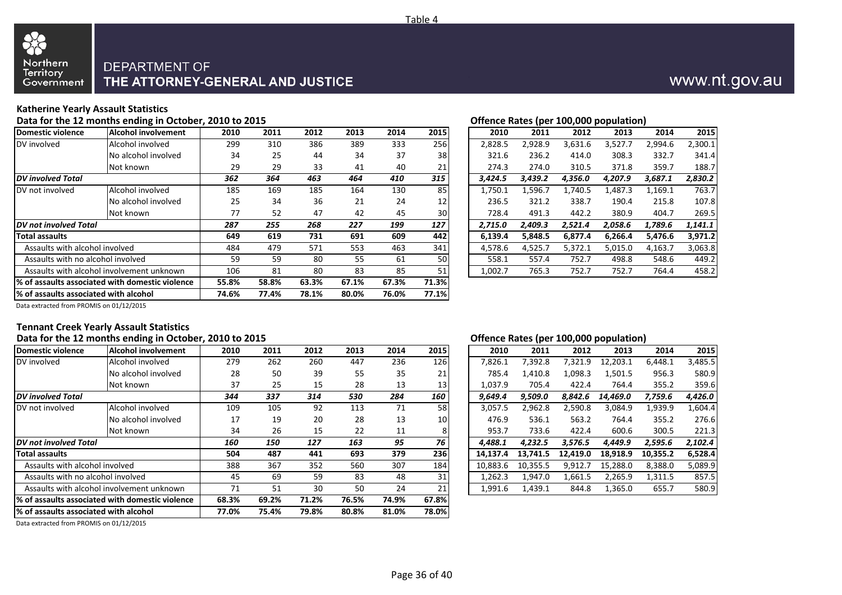

#### **Katherine Yearly Assault Statistics**

#### Data for the 12 months ending in October, 2010 to 2015 **Data for the U.S. Contract Contract Contract Contract Contract Contract Contract Contract Contract Contract Contract Contract Contract Contract Contract Contract Cont**

| Domestic violence                     | <b>Alcohol involvement</b>                       | 2010  | 2011  | 2012  | 2013  | 2014  | 2015  | 2010    | 2011    | 2012    | 2013    | 2014    | 2015    |
|---------------------------------------|--------------------------------------------------|-------|-------|-------|-------|-------|-------|---------|---------|---------|---------|---------|---------|
| DV involved                           | Alcohol involved                                 | 299   | 310   | 386   | 389   | 333   | 256   | 2,828.5 | 2,928.9 | 3,631.6 | 3,527.7 | 2,994.6 | 2,300.1 |
|                                       | No alcohol involved                              | 34    | 25    | 44    | 34    | 37    | 38    | 321.6   | 236.2   | 414.0   | 308.3   | 332.7   | 341.4   |
|                                       | Not known                                        | 29    | 29    | 33    | 41    | 40    | 21    | 274.3   | 274.0   | 310.5   | 371.8   | 359.7   | 188.7   |
| <b>DV</b> involved Total              |                                                  | 362   | 364   | 463   | 464   | 410   | 315   | 3,424.5 | 3,439.2 | 4,356.0 | 4,207.9 | 3,687.1 | 2,830.2 |
| DV not involved                       | Alcohol involved                                 | 185   | 169   | 185   | 164   | 130   | 85    | 1,750.1 | .,596.7 | 1,740.5 | 1,487.3 | 1,169.1 | 763.7   |
|                                       | No alcohol involved                              | 25    | 34    | 36    | 21    | 24    | 12    | 236.5   | 321.2   | 338.7   | 190.4   | 215.8   | 107.8   |
|                                       | Not known                                        | 77    | 52    | 47    | 42    | 45    | 30    | 728.4   | 491.3   | 442.2   | 380.9   | 404.7   | 269.5   |
| <b>IDV</b> not involved Total         |                                                  | 287   | 255   | 268   | 227   | 199   | 127   | 2,715.0 | 2.409.3 | 2,521.4 | 2.058.6 | 1,789.6 | 1,141.1 |
| Total assaults                        |                                                  | 649   | 619   | 731   | 691   | 609   | 442   | 6,139.4 | 5,848.5 | 6,877.4 | 6,266.4 | 5,476.6 | 3,971.2 |
| Assaults with alcohol involved        |                                                  | 484   | 479   | 571   | 553   | 463   | 341   | 4,578.6 | 4,525.7 | 5,372.1 | 5,015.0 | 4,163.7 | 3,063.8 |
| Assaults with no alcohol involved     |                                                  | 59    | 59    | 80    | 55    | 61    | 50    | 558.1   | 557.4   | 752.7   | 498.8   | 548.6   | 449.2   |
|                                       | Assaults with alcohol involvement unknown        | 106   | 81    | 80    | 83    | 85    | 51    | 1,002.7 | 765.3   | 752.7   | 752.7   | 764.4   | 458.2   |
|                                       | 1% of assaults associated with domestic violence | 55.8% | 58.8% | 63.3% | 67.1% | 67.3% | 71.3% |         |         |         |         |         |         |
| % of assaults associated with alcohol |                                                  | 74.6% | 77.4% | 78.1% | 80.0% | 76.0% | 77.1% |         |         |         |         |         |         |
|                                       |                                                  |       |       |       |       |       |       |         |         |         |         |         |         |

|         | $\mathbf{r}$ |         |         |         |         |
|---------|--------------|---------|---------|---------|---------|
| 2010    | 2011         | 2012    | 2013    | 2014    | 2015    |
| 2,828.5 | 2,928.9      | 3,631.6 | 3,527.7 | 2,994.6 | 2,300.1 |
| 321.6   | 236.2        | 414.0   | 308.3   | 332.7   | 341.4   |
| 274.3   | 274.0        | 310.5   | 371.8   | 359.7   | 188.7   |
| 3,424.5 | 3,439.2      | 4,356.0 | 4,207.9 | 3,687.1 | 2,830.2 |
| 1,750.1 | 1,596.7      | 1,740.5 | 1,487.3 | 1,169.1 | 763.7   |
| 236.5   | 321.2        | 338.7   | 190.4   | 215.8   | 107.8   |
| 728.4   | 491.3        | 442.2   | 380.9   | 404.7   | 269.5   |
| 2,715.0 | 2,409.3      | 2,521.4 | 2,058.6 | 1,789.6 | 1,141.1 |
| 6,139.4 | 5,848.5      | 6,877.4 | 6,266.4 | 5,476.6 | 3,971.2 |
| 4,578.6 | 4,525.7      | 5,372.1 | 5,015.0 | 4,163.7 | 3,063.8 |
| 558.1   | 557.4        | 752.7   | 498.8   | 548.6   | 449.2   |
| 1.002.7 | 765.3        | 752.7   | 752.7   | 764.4   | 458.2   |

Data extracted from PROMIS on 01/12/2015

#### **Tennant Creek Yearly Assault Statistics Data for the 12 months ending in October, 2010 to 2015 Offence Rates (per 100,000 population)**

|                                       | ------- --- --------                            |       |       |       |       |       |           |          | $\mathbf{r}$ |          | <u>--,--- p-p-m----,</u> |          |         |
|---------------------------------------|-------------------------------------------------|-------|-------|-------|-------|-------|-----------|----------|--------------|----------|--------------------------|----------|---------|
| Domestic violence                     | <b>Alcohol involvement</b>                      | 2010  | 2011  | 2012  | 2013  | 2014  | 2015      | 2010     | 2011         | 2012     | 2013                     | 2014     | 2015    |
| DV involved                           | Alcohol involved                                | 279   | 262   | 260   | 447   | 236   | 126       | 7,826.1  | 7,392.8      | 7,321.9  | 12,203.1                 | 6,448.1  | 3,485.5 |
|                                       | No alcohol involved                             | 28    | 50    | 39    | 55    | 35    | 21        | 785.4    | L,410.8      | 1,098.3  | 1,501.5                  | 956.3    | 580.9   |
|                                       | Not known                                       | 37    | 25    | 15    | 28    | 13    | 13        | 1,037.9  | 705.4        | 422.4    | 764.4                    | 355.2    | 359.6   |
| <b>DV</b> involved Total              |                                                 | 344   | 337   | 314   | 530   | 284   | 160       | 9,649.4  | 9,509.0      | 8,842.6  | 14,469.0                 | 7,759.6  | 4,426.0 |
| DV not involved                       | Alcohol involved                                | 109   | 105   | 92    | 113   | 71    | 58        | 3,057.5  | 2,962.8      | 2,590.8  | 3,084.9                  | 1,939.9  | 1.604.4 |
|                                       | No alcohol involved                             | 17    | 19    | 20    | 28    | 13    | <b>10</b> | 476.9    | 536.1        | 563.2    | 764.4                    | 355.2    | 276.6   |
|                                       | Not known                                       | 34    | 26    | 15    | 22    | 11    | 8         | 953.7    | 733.6        | 422.4    | 600.6                    | 300.5    | 221.3   |
| <b>IDV</b> not involved Total         |                                                 | 160   | 150   | 127   | 163   | 95    | 76        | 4,488.1  | 4.232.5      | 3,576.5  | 4.449.9                  | 2,595.6  | 2,102.4 |
| Total assaults                        |                                                 | 504   | 487   | 441   | 693   | 379   | 236       | 14,137.4 | 13.741.5     | 12,419.0 | 18,918.9                 | 10,355.2 | 6,528.4 |
| Assaults with alcohol involved        |                                                 | 388   | 367   | 352   | 560   | 307   | 184       | 10,883.6 | 10.355.5     | 9,912.7  | 15,288.0                 | 8,388.0  | 5,089.9 |
| Assaults with no alcohol involved     |                                                 | 45    | 69    | 59    | 83    | 48    | 31        | 1,262.3  | 1,947.0      | 1,661.5  | 2,265.9                  | 1,311.5  | 857.5   |
|                                       | Assaults with alcohol involvement unknown       | 71    | 51    | 30    | 50    | 24    | 21        | 1,991.6  | 1,439.1      | 844.8    | 1,365.0                  | 655.7    | 580.9   |
|                                       | % of assaults associated with domestic violence | 68.3% | 69.2% | 71.2% | 76.5% | 74.9% | 67.8%     |          |              |          |                          |          |         |
| % of assaults associated with alcohol |                                                 | 77.0% | 75.4% | 79.8% | 80.8% | 81.0% | 78.0%     |          |              |          |                          |          |         |
|                                       |                                                 |       |       |       |       |       |           |          |              |          |                          |          |         |

| 2010     | 2011     | 2012     | 2013     | 2014     | 2015    |
|----------|----------|----------|----------|----------|---------|
| 7,826.1  | 7,392.8  | 7,321.9  | 12,203.1 | 6,448.1  | 3,485.5 |
| 785.4    | 1,410.8  | 1,098.3  | 1,501.5  | 956.3    | 580.9   |
| 1,037.9  | 705.4    | 422.4    | 764.4    | 355.2    | 359.6   |
| 9,649.4  | 9,509.0  | 8,842.6  | 14,469.0 | 7,759.6  | 4,426.0 |
| 3,057.5  | 2,962.8  | 2,590.8  | 3,084.9  | 1,939.9  | 1,604.4 |
| 476.9    | 536.1    | 563.2    | 764.4    | 355.2    | 276.6   |
| 953.7    | 733.6    | 422.4    | 600.6    | 300.5    | 221.3   |
| 4,488.1  | 4,232.5  | 3,576.5  | 4,449.9  | 2,595.6  | 2,102.4 |
| 14,137.4 | 13,741.5 | 12,419.0 | 18,918.9 | 10,355.2 | 6,528.4 |
| 10,883.6 | 10,355.5 | 9,912.7  | 15,288.0 | 8,388.0  | 5,089.9 |
| 1,262.3  | 1,947.0  | 1,661.5  | 2,265.9  | 1,311.5  | 857.5   |
| 1.991.6  | 1.439.1  | 844.8    | 1.365.0  | 655.7    | 580.9   |

Data extracted from PROMIS on 01/12/2015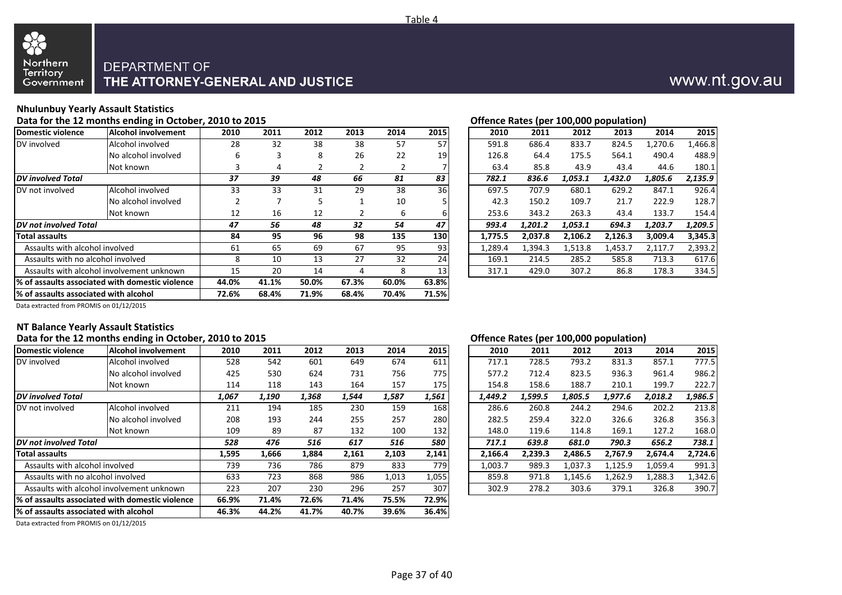



#### **Nhulunbuy Yearly Assault Statistics**

88

#### Data for the 12 months ending in October, 2010 to 2015 **Data for the U.S. Community Community** Community Community Community Community Community Community Community Community Community Community Community Community Communi

| Domestic violence                               | Alcohol involvement | 2010  | 2011  | 2012  | 2013  | 2014  | 2015            | 2010    | 2011    | 2012    | 2013    | 2014    | 2015    |
|-------------------------------------------------|---------------------|-------|-------|-------|-------|-------|-----------------|---------|---------|---------|---------|---------|---------|
| DV involved                                     | Alcohol involved    | 28    | 32    | 38    | 38    | 57    | 57              | 591.8   | 686.4   | 833.7   | 824.5   | 1,270.6 | .466.8  |
|                                                 | No alcohol involved | 6     | 3     | 8     | 26    | 22    | 19              | 126.8   | 64.4    | 175.5   | 564.1   | 490.4   | 488.9   |
|                                                 | Not known           |       | 4     |       |       |       |                 | 63.4    | 85.8    | 43.9    | 43.4    | 44.6    | 180.1   |
| <b>DV</b> involved Total                        |                     | 37    | 39    | 48    | 66    | 81    | 83              | 782.1   | 836.6   | 1,053.1 | 1,432.0 | 1,805.6 | 2,135.9 |
| DV not involved                                 | Alcohol involved    | 33    | 33    | 31    | 29    | 38    | 36              | 697.5   | 707.9   | 680.1   | 629.2   | 847.1   | 926.4   |
|                                                 | No alcohol involved |       |       | 5     |       | 10    |                 | 42.3    | 150.2   | 109.7   | 21.7    | 222.9   | 128.7   |
|                                                 | Not known           | 12    | 16    | 12    |       | 6     | ы               | 253.6   | 343.2   | 263.3   | 43.4    | 133.7   | 154.4   |
| DV not involved Total                           |                     | 47    | 56    | 48    | 32    | 54    | 47              | 993.4   | 1,201.2 | 1,053.1 | 694.3   | 1,203.7 | 1,209.5 |
| Total assaults                                  |                     | 84    | 95    | 96    | 98    | 135   | 130             | 1,775.5 | 2,037.8 | 2,106.2 | 2,126.3 | 3,009.4 | 3,345.3 |
| Assaults with alcohol involved                  |                     | 61    | 65    | 69    | 67    | 95    | 93              | 1,289.4 | 1,394.3 | 1,513.8 | 1,453.7 | 2,117.7 | 2,393.2 |
| Assaults with no alcohol involved               |                     | 8     | 10    | 13    | 27    | 32    | 24              | 169.1   | 214.5   | 285.2   | 585.8   | 713.3   | 617.6   |
| Assaults with alcohol involvement unknown       |                     | 15    | 20    | 14    |       | 8     | 13 <sub>l</sub> | 317.1   | 429.0   | 307.2   | 86.8    | 178.3   | 334.5   |
| % of assaults associated with domestic violence |                     | 44.0% | 41.1% | 50.0% | 67.3% | 60.0% | 63.8%           |         |         |         |         |         |         |
| % of assaults associated with alcohol           |                     | 72.6% | 68.4% | 71.9% | 68.4% | 70.4% | 71.5%           |         |         |         |         |         |         |

| 2010    | 2011    | 2012    | 2013    | 2014    | 2015    |
|---------|---------|---------|---------|---------|---------|
| 591.8   | 686.4   | 833.7   | 824.5   | 1,270.6 | 1,466.8 |
| 126.8   | 64.4    | 175.5   | 564.1   | 490.4   | 488.9   |
| 63.4    | 85.8    | 43.9    | 43.4    | 44.6    | 180.1   |
| 782.1   | 836.6   | 1,053.1 | 1,432.0 | 1,805.6 | 2,135.9 |
| 697.5   | 707.9   | 680.1   | 629.2   | 847.1   | 926.4   |
| 42.3    | 150.2   | 109.7   | 21.7    | 222.9   | 128.7   |
| 253.6   | 343.2   | 263.3   | 43.4    | 133.7   | 154.4   |
| 993.4   | 1,201.2 | 1,053.1 | 694.3   | 1,203.7 | 1,209.5 |
| 1,775.5 | 2,037.8 | 2,106.2 | 2,126.3 | 3,009.4 | 3,345.3 |
| 1,289.4 | 1,394.3 | 1,513.8 | 1,453.7 | 2,117.7 | 2,393.2 |
| 169.1   | 214.5   | 285.2   | 585.8   | 713.3   | 617.6   |
| 317.1   | 429.0   | 307.2   | 86.8    | 178.3   | 334.5   |

Data extracted from PROMIS on 01/12/2015

### **NT Balance Yearly Assault Statistics**

| Data for the 12 months change in october, 2010 to 2013 |       |                                              |       |       |       |       |  |                                                                                                                        |         |         |         |                                        |
|--------------------------------------------------------|-------|----------------------------------------------|-------|-------|-------|-------|--|------------------------------------------------------------------------------------------------------------------------|---------|---------|---------|----------------------------------------|
| Alcohol involvement                                    | 2010  | 2011                                         | 2012  | 2013  | 2014  | 2015  |  | 2011                                                                                                                   | 2012    | 2013    | 2014    | 2015                                   |
| Alcohol involved                                       | 528   | 542                                          | 601   | 649   | 674   | 611   |  | 728.5                                                                                                                  | 793.2   | 831.3   | 857.1   | 777.5                                  |
| No alcohol involved                                    | 425   | 530                                          | 624   | 731   | 756   | 775   |  | 712.4                                                                                                                  | 823.5   | 936.3   | 961.4   | 986.2                                  |
| Not known                                              | 114   | 118                                          | 143   | 164   | 157   | 175   |  | 158.6                                                                                                                  | 188.7   | 210.1   | 199.7   | 222.7                                  |
| <b>DV</b> involved Total                               |       | 1,190                                        | 1,368 | 1,544 | 1,587 | 1,561 |  | 1,599.5                                                                                                                | 1,805.5 | 1,977.6 | 2,018.2 | 1,986.5                                |
| Alcohol involved                                       | 211   | 194                                          | 185   | 230   | 159   | 168   |  | 260.8                                                                                                                  | 244.2   | 294.6   | 202.2   | 213.8                                  |
| No alcohol involved                                    | 208   | 193                                          | 244   | 255   | 257   | 280   |  | 259.4                                                                                                                  | 322.0   | 326.6   | 326.8   | 356.3                                  |
| Not known                                              | 109   | 89                                           | 87    | 132   | 100   | 132   |  | 119.6                                                                                                                  | 114.8   | 169.1   | 127.2   | 168.0                                  |
| DV not involved Total                                  | 528   | 476                                          | 516   | 617   | 516   | 580   |  | 639.8                                                                                                                  | 681.0   | 790.3   | 656.2   | 738.1                                  |
|                                                        | 1,595 | 1,666                                        | 1,884 | 2,161 | 2,103 | 2,141 |  | 2,239.3                                                                                                                | 2,486.5 | 2,767.9 | 2,674.4 | 2,724.6                                |
| Assaults with alcohol involved                         |       | 736                                          | 786   | 879   | 833   | 779   |  | 989.3                                                                                                                  | 1,037.3 | 1,125.9 | 1,059.4 | 991.3                                  |
| Assaults with no alcohol involved                      |       | 723                                          | 868   | 986   | 1,013 | 1,055 |  | 971.8                                                                                                                  | 1,145.6 | 1,262.9 | 1,288.3 | 1,342.6                                |
| Assaults with alcohol involvement unknown              |       | 207                                          | 230   | 296   | 257   | 307   |  | 278.2                                                                                                                  | 303.6   | 379.1   | 326.8   | 390.7                                  |
| % of assaults associated with domestic violence        |       | 71.4%                                        | 72.6% | 71.4% | 75.5% | 72.9% |  |                                                                                                                        |         |         |         |                                        |
| % of assaults associated with alcohol                  |       | 44.2%                                        | 41.7% | 40.7% | 39.6% | 36.4% |  |                                                                                                                        |         |         |         |                                        |
|                                                        |       | 1,067<br>739<br>633<br>223<br>66.9%<br>46.3% |       |       |       |       |  | 2010<br>717.1<br>577.2<br>154.8<br>1,449.2<br>286.6<br>282.5<br>148.0<br>717.1<br>2,166.4<br>1,003.7<br>859.8<br>302.9 |         |         |         | Offered nates (per 100,000 population) |

#### **Data for the 12 months ending in October, 2010 to 2015 Offence Rates (per 100,000 population)**

|         | $\blacksquare$ |         |         |         |         |
|---------|----------------|---------|---------|---------|---------|
| 2010    | 2011           | 2012    | 2013    | 2014    | 2015    |
| 717.1   | 728.5          | 793.2   | 831.3   | 857.1   | 777.5   |
| 577.2   | 712.4          | 823.5   | 936.3   | 961.4   | 986.2   |
| 154.8   | 158.6          | 188.7   | 210.1   | 199.7   | 222.7   |
| 1,449.2 | 1,599.5        | 1,805.5 | 1,977.6 | 2,018.2 | 1,986.5 |
| 286.6   | 260.8          | 244.2   | 294.6   | 202.2   | 213.8   |
| 282.5   | 259.4          | 322.0   | 326.6   | 326.8   | 356.3   |
| 148.0   | 119.6          | 114.8   | 169.1   | 127.2   | 168.0   |
| 717.1   | 639.8          | 681.0   | 790.3   | 656.2   | 738.1   |
| 2,166.4 | 2,239.3        | 2,486.5 | 2,767.9 | 2,674.4 | 2,724.6 |
| 1,003.7 | 989.3          | 1,037.3 | 1,125.9 | 1,059.4 | 991.3   |
| 859.8   | 971.8          | 1,145.6 | 1,262.9 | 1,288.3 | 1,342.6 |
| 302.9   | 278.2          | 303.6   | 379.1   | 326.8   | 390.7   |

Data extracted from PROMIS on 01/12/2015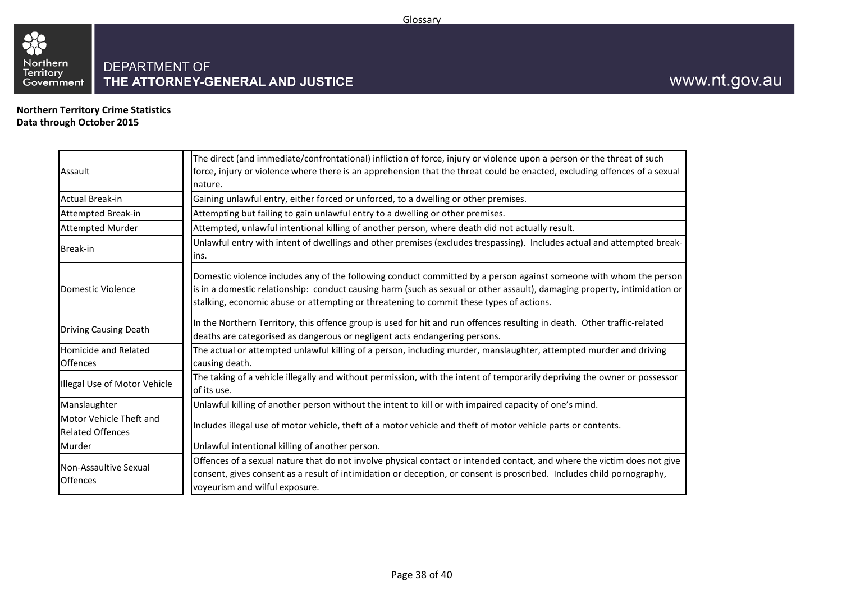

**Northern Territory Crime Statistics Data through October 2015**

33

| Assault                                            | The direct (and immediate/confrontational) infliction of force, injury or violence upon a person or the threat of such<br>force, injury or violence where there is an apprehension that the threat could be enacted, excluding offences of a sexual<br>nature.                                                                             |
|----------------------------------------------------|--------------------------------------------------------------------------------------------------------------------------------------------------------------------------------------------------------------------------------------------------------------------------------------------------------------------------------------------|
| <b>Actual Break-in</b>                             | Gaining unlawful entry, either forced or unforced, to a dwelling or other premises.                                                                                                                                                                                                                                                        |
| <b>Attempted Break-in</b>                          | Attempting but failing to gain unlawful entry to a dwelling or other premises.                                                                                                                                                                                                                                                             |
| <b>Attempted Murder</b>                            | Attempted, unlawful intentional killing of another person, where death did not actually result.                                                                                                                                                                                                                                            |
| <b>Break-in</b>                                    | Unlawful entry with intent of dwellings and other premises (excludes trespassing). Includes actual and attempted break-<br>ins.                                                                                                                                                                                                            |
| Domestic Violence                                  | Domestic violence includes any of the following conduct committed by a person against someone with whom the person<br>is in a domestic relationship: conduct causing harm (such as sexual or other assault), damaging property, intimidation or<br>stalking, economic abuse or attempting or threatening to commit these types of actions. |
| <b>Driving Causing Death</b>                       | In the Northern Territory, this offence group is used for hit and run offences resulting in death. Other traffic-related<br>deaths are categorised as dangerous or negligent acts endangering persons.                                                                                                                                     |
| <b>Homicide and Related</b><br><b>Offences</b>     | The actual or attempted unlawful killing of a person, including murder, manslaughter, attempted murder and driving<br>causing death.                                                                                                                                                                                                       |
| Illegal Use of Motor Vehicle                       | The taking of a vehicle illegally and without permission, with the intent of temporarily depriving the owner or possessor<br>of its use.                                                                                                                                                                                                   |
| Manslaughter                                       | Unlawful killing of another person without the intent to kill or with impaired capacity of one's mind.                                                                                                                                                                                                                                     |
| Motor Vehicle Theft and<br><b>Related Offences</b> | Includes illegal use of motor vehicle, theft of a motor vehicle and theft of motor vehicle parts or contents.                                                                                                                                                                                                                              |
| Murder                                             | Unlawful intentional killing of another person.                                                                                                                                                                                                                                                                                            |
| Non-Assaultive Sexual<br><b>Offences</b>           | Offences of a sexual nature that do not involve physical contact or intended contact, and where the victim does not give<br>consent, gives consent as a result of intimidation or deception, or consent is proscribed. Includes child pornography,<br>voyeurism and wilful exposure.                                                       |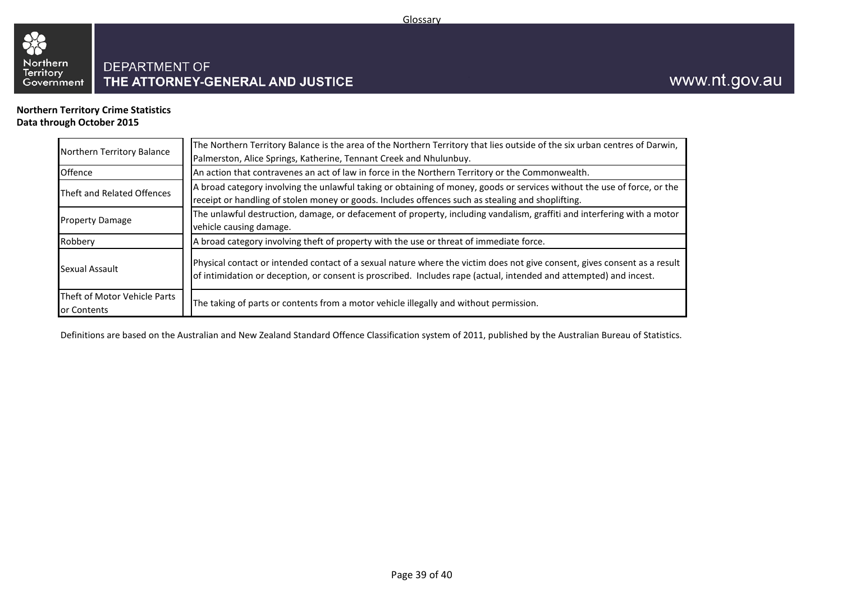

**Northern Territory Crime Statistics Data through October 2015**

| Northern Territory Balance                  | The Northern Territory Balance is the area of the Northern Territory that lies outside of the six urban centres of Darwin,<br>Palmerston, Alice Springs, Katherine, Tennant Creek and Nhulunbuy.                                                |  |  |  |  |  |  |
|---------------------------------------------|-------------------------------------------------------------------------------------------------------------------------------------------------------------------------------------------------------------------------------------------------|--|--|--|--|--|--|
| Offence                                     | An action that contravenes an act of law in force in the Northern Territory or the Commonwealth.                                                                                                                                                |  |  |  |  |  |  |
| Theft and Related Offences                  | A broad category involving the unlawful taking or obtaining of money, goods or services without the use of force, or the<br>receipt or handling of stolen money or goods. Includes offences such as stealing and shoplifting.                   |  |  |  |  |  |  |
| <b>Property Damage</b>                      | The unlawful destruction, damage, or defacement of property, including vandalism, graffiti and interfering with a motor<br>vehicle causing damage.                                                                                              |  |  |  |  |  |  |
| Robbery                                     | A broad category involving theft of property with the use or threat of immediate force.                                                                                                                                                         |  |  |  |  |  |  |
| Sexual Assault                              | Physical contact or intended contact of a sexual nature where the victim does not give consent, gives consent as a result<br>of intimidation or deception, or consent is proscribed. Includes rape (actual, intended and attempted) and incest. |  |  |  |  |  |  |
| Theft of Motor Vehicle Parts<br>or Contents | The taking of parts or contents from a motor vehicle illegally and without permission.                                                                                                                                                          |  |  |  |  |  |  |

Definitions are based on the Australian and New Zealand Standard Offence Classification system of 2011, published by the Australian Bureau of Statistics.